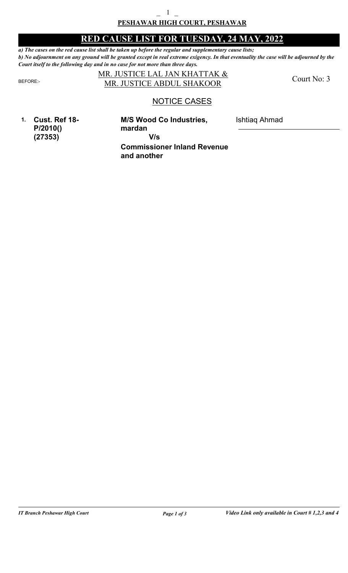### **PESHAWAR HIGH COURT, PESHAWAR**  $-$  1  $-$

# **RED CAUSE LIST FOR TUESDAY, 24 MAY, 2022**

*a) The cases on the red cause list shall be taken up before the regular and supplementary cause lists; b) No adjournment on any ground will be granted except in real extreme exigency. In that eventuality the case will be adjourned by the Court itself to the following day and in no case for not more than three days.*

### MR. JUSTICE LAL JAN KHATTAK & BEFORE: MR. JUSTICE ABDUL SHAKOOR

Court No: 3

Ishtiaq Ahmad

# NOTICE CASES

**1. Cust. Ref 18- P/2010() (27353)**

**Commissioner Inland Revenue M/S Wood Co Industries, mardan V/s**

**and another**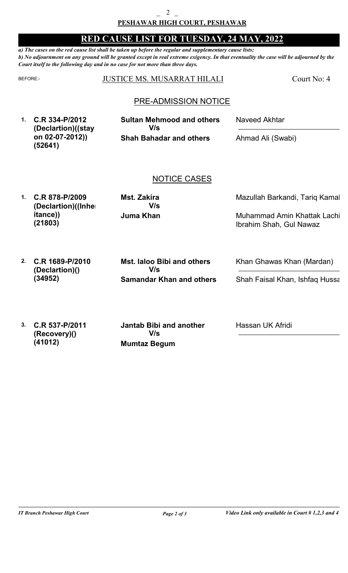## **RED CAUSE LIST FOR TUESDAY, 24 MAY, 2022**

*a) The cases on the red cause list shall be taken up before the regular and supplementary cause lists; b) No adjournment on any ground will be granted except in real extreme exigency. In that eventuality the case will be adjourned by the Court itself to the following day and in no case for not more than three days.*

#### BEFORE: JUSTICE MS. MUSARRAT HILALI Court No: 4

## PRE-ADMISSION NOTICE

**1. C.R 334-P/2012 (Declartion)((stay on 02-07-2012)) (52641)**

**Shah Bahadar and others Sultan Mehmood and others V/s**

Naveed Akhtar

Ahmad Ali (Swabi)

### NOTICE CASES

**1. C.R 878-P/2009 (Declartion)((Inher itance)) (21803)**

**Juma Khan Mst. Zakira V/s**

Mazullah Barkandi, Tariq Kamal

Muhammad Amin Khattak Lachi, Ibrahim Shah, Gul Nawaz

**2. C.R 1689-P/2010 (Declartion)() Samandar Khan and others Mst. laloo Bibi and others** Khan Ghawas Khan (Mardan) Shah Faisal Khan, Ishfaq Hussa **V/s (34952)**

**3. C.R 537-P/2011 (Recovery)() (41012)**

Hassan UK Afridi

**Mumtaz Begum Jantab Bibi and another V/s**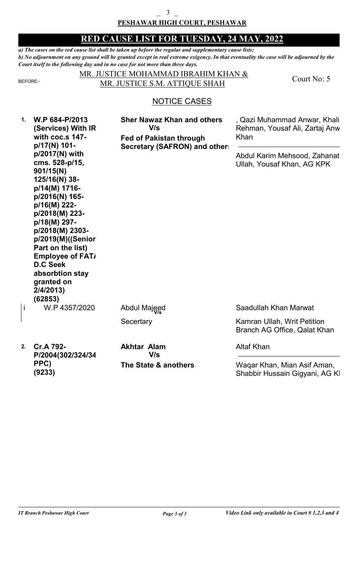#### **PESHAWAR HIGH COURT, PESHAWAR**  $\overline{3}$

### **RED CAUSE LIST FOR TUESDAY, 24 MAY, 2022**

*a) The cases on the red cause list shall be taken up before the regular and supplementary cause lists; b) No adjournment on any ground will be granted except in real extreme exigency. In that eventuality the case will be adjourned by the Court itself to the following day and in no case for not more than three days.*

**1.**

#### MR. JUSTICE MOHAMMAD IBRAHIM KHAN & BEFORE: MR. JUSTICE S.M. ATTIQUE SHAH

Court No: 5

# NOTICE CASES

| W.P 684-P/2013     |
|--------------------|
| (Services) With IR |
| with coc.s 147-    |
| p/17(N) 101-       |
| p/2017(N) with     |
| cms. 528-p/15,     |
| 901/15(N)          |
| 125/16(N) 38-      |
| p/14(M) 1716-      |
| p/2016(N) 165-     |
| p/16(M) 222-       |
| p/2018(M) 223-     |
| p/18(M) 297-       |
| p/2018(M) 2303-    |
| p/2019(M)((Senior  |
| Part on the list)  |
| Employee of FAT/   |
| <b>D.C Seek</b>    |
| absorbtion stay    |
| granted on         |
| 2/4/2013)          |
| (62853)            |
| W.P 4357/2020      |
|                    |

**Fed of Pakistan through Secretary (SAFRON) and others Sher Nawaz Khan and others V/s**

, Qazi Muhammad Anwar, Khali Rehman, Yousaf Ali, Zartaj Anw Khan

Abdul Karim Mehsood, Zahanat Ullah, Yousaf Khan, AG KPK

Abdul Majeed

**Secertary** 

**2. Cr.A 792- P/2004(302/324/34 PPC) (9233)**

**The State & anothers Akhtar Alam V/s**

Saadullah Khan Marwat

Kamran Ullah, Writ Petition Branch AG Office, Qalat Khan

Altaf Khan

Waqar Khan, Mian Asif Aman, Shabbir Hussain Gigyani, AG KI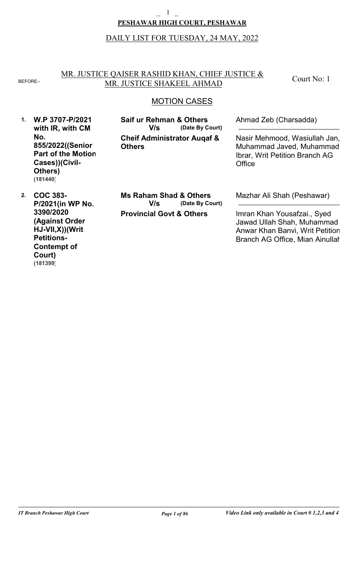### **PESHAWAR HIGH COURT, PESHAWAR**  $\mathbf 1$

### DAILY LIST FOR TUESDAY, 24 MAY, 2022

#### MR. JUSTICE QAISER RASHID KHAN, CHIEF JUSTICE & BEFORE: MR. JUSTICE SHAKEEL AHMAD

Court No: 1

# MOTION CASES

**1. W.P 3707-P/2021 with IR, with CM No. 855/2022((Senior Part of the Motion Cases))(Civil-Others) (181440)**

**Cheif Administrator Auqaf & Others (Date By Court) Saif ur Rehman & Others V/s**

Ahmad Zeb (Charsadda)

Nasir Mehmood, Wasiullah Jan, Muhammad Javed, Muhammad Ibrar, Writ Petition Branch AG **Office** 

**2. COC 383- P/2021(in WP No. 3390/2020 (Against Order HJ-VII,X))(Writ Petitions-Contempt of Court) (181399)**

**Provincial Govt & Others (Date By Court) Ms Raham Shad & Others V/s**

Mazhar Ali Shah (Peshawar)

Imran Khan Yousafzai., Syed Jawad Ullah Shah, Muhammad Anwar Khan Banvi, Writ Petition Branch AG Office, Mian Ainullah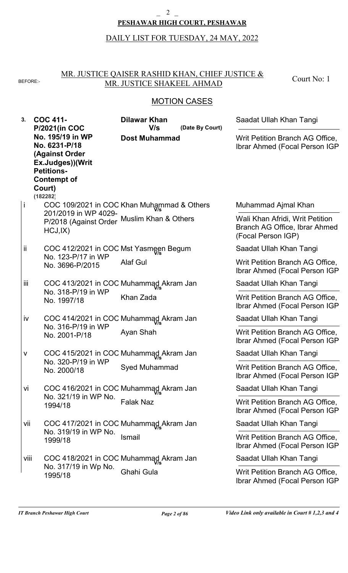#### $\overline{2}$

### **PESHAWAR HIGH COURT, PESHAWAR**

# DAILY LIST FOR TUESDAY, 24 MAY, 2022

### MR. JUSTICE QAISER RASHID KHAN, CHIEF JUSTICE & BEFORE: MR. JUSTICE SHAKEEL AHMAD

Court No: 1

# MOTION CASES

| 3.   | <b>COC 411-</b><br><b>P/2021(in COC</b>                                                                                                  | <b>Dilawar Khan</b><br>V/s<br>(Date By Court) | Saadat Ullah Khan Tangi                                                                |
|------|------------------------------------------------------------------------------------------------------------------------------------------|-----------------------------------------------|----------------------------------------------------------------------------------------|
|      | No. 195/19 in WP<br>No. 6231-P/18<br>(Against Order<br>Ex.Judges))(Writ<br><b>Petitions-</b><br><b>Contempt of</b><br>Court)<br>(182282) | <b>Dost Muhammad</b>                          | Writ Petition Branch AG Office,<br>Ibrar Ahmed (Focal Person IGP)                      |
| İ    |                                                                                                                                          | COC 109/2021 in COC Khan Muhammad & Others    | Muhammad Ajmal Khan                                                                    |
|      | 201/2019 in WP 4029-<br>HCJ,IX)                                                                                                          | P/2018 (Against Order Muslim Khan & Others    | Wali Khan Afridi, Writ Petition<br>Branch AG Office, Ibrar Ahmed<br>(Focal Person IGP) |
| Îİ   | COC 412/2021 in COC Mst Yasmeen Begum                                                                                                    |                                               | Saadat Ullah Khan Tangi                                                                |
|      | No. 123-P/17 in WP<br>No. 3696-P/2015                                                                                                    | <b>Alaf Gul</b>                               | Writ Petition Branch AG Office,<br>Ibrar Ahmed (Focal Person IGP                       |
| Ϊİİ  |                                                                                                                                          | COC 413/2021 in COC Muhammad Akram Jan        | Saadat Ullah Khan Tangi                                                                |
|      | No. 318-P/19 in WP<br>No. 1997/18                                                                                                        | Khan Zada                                     | Writ Petition Branch AG Office,<br><b>Ibrar Ahmed (Focal Person IGP</b>                |
| İV   |                                                                                                                                          | COC 414/2021 in COC Muhammad Akram Jan        | Saadat Ullah Khan Tangi                                                                |
|      | No. 316-P/19 in WP<br>No. 2001-P/18                                                                                                      | Ayan Shah                                     | Writ Petition Branch AG Office,<br>Ibrar Ahmed (Focal Person IGP                       |
| ٧    |                                                                                                                                          | COC 415/2021 in COC Muhammad Akram Jan        | Saadat Ullah Khan Tangi                                                                |
|      | No. 320-P/19 in WP<br>No. 2000/18                                                                                                        | <b>Syed Muhammad</b>                          | Writ Petition Branch AG Office,<br>Ibrar Ahmed (Focal Person IGP                       |
| Vİ   |                                                                                                                                          | COC 416/2021 in COC Muhammad Akram Jan        | Saadat Ullah Khan Tangi                                                                |
|      | No. 321/19 in WP No.<br>1994/18                                                                                                          | <b>Falak Naz</b>                              | Writ Petition Branch AG Office,<br>Ibrar Ahmed (Focal Person IGP                       |
| Vii  |                                                                                                                                          | COC 417/2021 in COC Muhammad Akram Jan        | Saadat Ullah Khan Tangi                                                                |
|      | No. 319/19 in WP No.<br>1999/18                                                                                                          | <b>Ismail</b>                                 | Writ Petition Branch AG Office,<br>Ibrar Ahmed (Focal Person IGP                       |
| Viii |                                                                                                                                          | COC 418/2021 in COC Muhammad Akram Jan        | Saadat Ullah Khan Tangi                                                                |
|      | No. 317/19 in Wp No.<br>1995/18                                                                                                          | Ghahi Gula                                    | Writ Petition Branch AG Office,<br>Ibrar Ahmed (Focal Person IGP                       |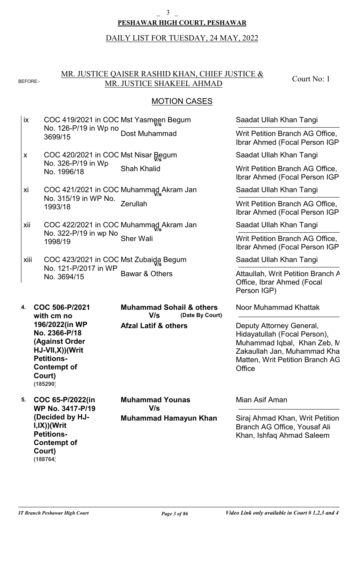#### $\overline{3}$

### **PESHAWAR HIGH COURT, PESHAWAR**

DAILY LIST FOR TUESDAY, 24 MAY, 2022

#### MR. JUSTICE QAISER RASHID KHAN, CHIEF JUSTICE & BEFORE:- MR. JUSTICE SHAKEEL AHMAD

Court No: 1

### **MOTION CASES**

- COC 419/2021 in COC Mst Yasmeen Begum **V/s** No. 126-P/19 in Wp no. 3699/15 Dost Muhammad ix
- COC 420/2021 in COC Mst Nisar Begum **V/s** No. 326-P/19 in Wp No. 1996/18 Shah Khalid x
- COC 421/2021 in COC Muhammad Akram Jan<br>Na 215/10 in WD Na No. 315/19 in WP No. 1993/18 Zerullah xi
- COC 422/2021 in COC Muhammad Akram Jan<br>Na 233 B/40 in um Na No. 322-P/19 in wp No. 1998/19 Sher Wali xii
- COC 423/2021 in COC Mst Zubaida Begum **V/s** No. 121-P/2017 in WP No. 3694/15 Bawar & Others xiii

**4. COC 506-P/2021 with cm no 196/2022(in WP No. 2366-P/18 (Against Order HJ-VII,X))(Writ Petitions-Contempt of Court) (185290)**

**5. COC 65-P/2022(in WP No. 3417-P/19 (Decided by HJ-I,IX))(Writ Petitions-Contempt of Court) (188764)**

**Muhammad Sohail & others**

**(Date By Court)**

**Afzal Latif & others**

**V/s**

**Muhammad Hamayun Khan Muhammad Younas V/s**

Saadat Ullah Khan Tangi

Writ Petition Branch AG Office, Ibrar Ahmed (Focal Person IGP)

Saadat Ullah Khan Tangi

Writ Petition Branch AG Office, Ibrar Ahmed (Focal Person IGP)

Saadat Ullah Khan Tangi

Writ Petition Branch AG Office, Ibrar Ahmed (Focal Person IGP)

Saadat Ullah Khan Tangi

Writ Petition Branch AG Office, Ibrar Ahmed (Focal Person IGP)

Saadat Ullah Khan Tangi

Attaullah, Writ Petition Branch A Office, Ibrar Ahmed (Focal Person IGP)

Noor Muhammad Khattak

Deputy Attorney General, Hidayatullah (Focal Person), Muhammad Iqbal, Khan Zeb, M. Zakaullah Jan, Muhammad Kha Matten, Writ Petition Branch AG **Office** 

### Mian Asif Aman

Siraj Ahmad Khan, Writ Petition Branch AG Office, Yousaf Ali Khan, Ishfaq Ahmad Saleem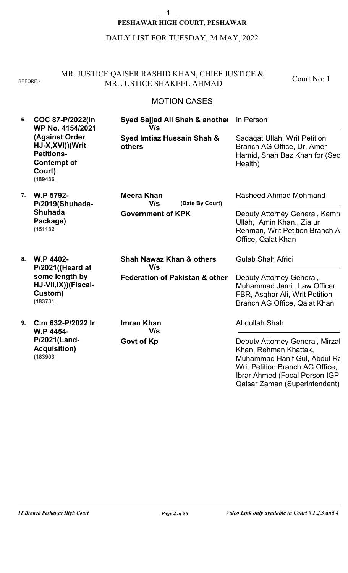#### $\overline{4}$

### **PESHAWAR HIGH COURT, PESHAWAR**

# DAILY LIST FOR TUESDAY, 24 MAY, 2022

### MR. JUSTICE QAISER RASHID KHAN, CHIEF JUSTICE & BEFORE: MR. JUSTICE SHAKEEL AHMAD

Court No: 1

# MOTION CASES

| 6. | COC 87-P/2022(in<br>WP No. 4154/2021<br>(Against Order<br>HJ-X, XVI))(Writ<br><b>Petitions-</b><br><b>Contempt of</b><br>Court)<br>(189436) | Syed Sajjad Ali Shah & another<br>V/s<br>Syed Imtiaz Hussain Shah &<br>others | In Person                                                                                                                                                                                      |
|----|---------------------------------------------------------------------------------------------------------------------------------------------|-------------------------------------------------------------------------------|------------------------------------------------------------------------------------------------------------------------------------------------------------------------------------------------|
|    |                                                                                                                                             |                                                                               | Sadagat Ullah, Writ Petition<br>Branch AG Office, Dr. Amer<br>Hamid, Shah Baz Khan for (Sec<br>Health)                                                                                         |
| 7. | W.P 5792-<br>P/2019(Shuhada-                                                                                                                | <b>Meera Khan</b><br>V/s<br>(Date By Court)                                   | Rasheed Ahmad Mohmand                                                                                                                                                                          |
|    | <b>Shuhada</b><br>Package)<br>(151132)                                                                                                      | <b>Government of KPK</b>                                                      | Deputy Attorney General, Kamra<br>Ullah, Amin Khan., Zia ur<br>Rehman, Writ Petition Branch A<br>Office, Qalat Khan                                                                            |
| 8. | W.P 4402-<br>P/2021((Heard at                                                                                                               | <b>Shah Nawaz Khan &amp; others</b><br>V/s                                    | <b>Gulab Shah Afridi</b>                                                                                                                                                                       |
|    | some length by<br>HJ-VII, IX)) (Fiscal-<br>Custom)<br>(183731)                                                                              | <b>Federation of Pakistan &amp; other:</b>                                    | Deputy Attorney General,<br>Muhammad Jamil, Law Officer<br>FBR, Asghar Ali, Writ Petition<br>Branch AG Office, Qalat Khan                                                                      |
| 9. | C.m 632-P/2022 In<br>W.P 4454-                                                                                                              | <b>Imran Khan</b><br>V/s                                                      | <b>Abdullah Shah</b>                                                                                                                                                                           |
|    | P/2021(Land-<br><b>Acquisition)</b><br>(183903)                                                                                             | Govt of Kp                                                                    | Deputy Attorney General, Mirzal<br>Khan, Rehman Khattak,<br>Muhammad Hanif Gul, Abdul Ra<br>Writ Petition Branch AG Office,<br>Ibrar Ahmed (Focal Person IGP)<br>Qaisar Zaman (Superintendent) |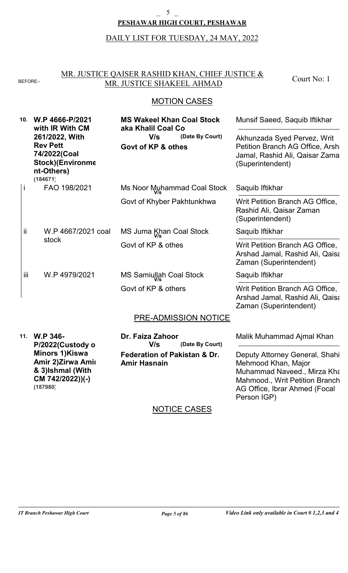#### \_ 5 \_

### **PESHAWAR HIGH COURT, PESHAWAR**

#### DAILY LIST FOR TUESDAY, 24 MAY, 2022

#### MR. JUSTICE QAISER RASHID KHAN, CHIEF JUSTICE & BEFORE: MR. JUSTICE SHAKEEL AHMAD

Court No: 1

### MOTION CASES

| 10. | W.P 4666-P/2021<br>with IR With CM<br>261/2022, With<br><b>Rev Pett</b><br>74/2022(Coal<br><b>Stock)</b> (Environme<br>nt-Others)<br>(184671) | <b>MS Wakeel Khan Coal Stock</b><br>aka Khalil Coal Co<br>V/s<br>(Date By Court)<br>Govt of KP & othes | Munsif Saeed, Saquib Iftikhar<br>Akhunzada Syed Pervez, Writ<br>Petition Branch AG Office, Arsha<br>Jamal, Rashid Ali, Qaisar Zama<br>(Superintendent) |
|-----|-----------------------------------------------------------------------------------------------------------------------------------------------|--------------------------------------------------------------------------------------------------------|--------------------------------------------------------------------------------------------------------------------------------------------------------|
|     | FAO 198/2021                                                                                                                                  | Ms Noor Muhammad Coal Stock                                                                            | Saquib Iftikhar                                                                                                                                        |
|     |                                                                                                                                               | Govt of Khyber Pakhtunkhwa                                                                             | Writ Petition Branch AG Office,<br>Rashid Ali, Qaisar Zaman<br>(Superintendent)                                                                        |
| ii  | W.P 4667/2021 coal                                                                                                                            | MS Juma Khan Coal Stock                                                                                | Saquib Iftikhar                                                                                                                                        |
|     | stock                                                                                                                                         | Govt of KP & othes                                                                                     | Writ Petition Branch AG Office,<br>Arshad Jamal, Rashid Ali, Qaisa<br>Zaman (Superintendent)                                                           |
| iii | W.P 4979/2021                                                                                                                                 | MS Samiullah Coal Stock                                                                                | Saquib Iftikhar                                                                                                                                        |
|     |                                                                                                                                               | Govt of KP & others                                                                                    | Writ Petition Branch AG Office,<br>Arshad Jamal, Rashid Ali, Qaisa<br>Zaman (Superintendent)                                                           |
|     |                                                                                                                                               | PRE-ADMISSION NOTICE                                                                                   |                                                                                                                                                        |
|     | 11. W.P 346-<br>P/2022(Custody o                                                                                                              | Dr. Faiza Zahoor<br>V/s<br>(Date By Court)                                                             | Malik Muhammad Ajmal Khan                                                                                                                              |
|     | <b>Minors 1)Kiswa</b>                                                                                                                         | <b>Federation of Pakistan &amp; Dr.</b>                                                                | Deputy Attorney General, Shahi                                                                                                                         |

Deputy Attorney General, Shahi Mehmood Khan, Major Muhammad Naveed., Mirza Kha Mahmood., Writ Petition Branch AG Office, Ibrar Ahmed (Focal Person IGP)

# NOTICE CASES

**Amir Hasnain**

**Amir 2)Zirwa Amir & 3)Ishmal (With CM 742/2022))(-)**

**(187980)**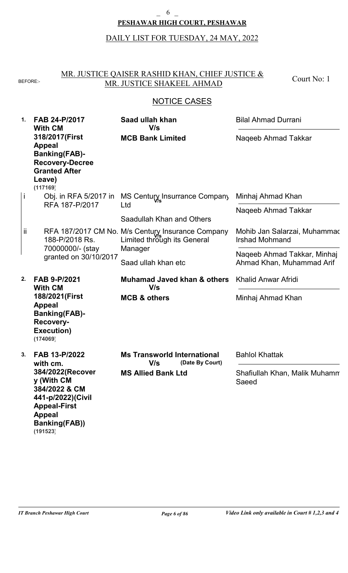#### **PESHAWAR HIGH COURT, PESHAWAR** 6

# DAILY LIST FOR TUESDAY, 24 MAY, 2022

### MR. JUSTICE QAISER RASHID KHAN, CHIEF JUSTICE & BEFORE: MR. JUSTICE SHAKEEL AHMAD

Court No: 1

| $\mathbf 1$ . | FAB 24-P/2017<br><b>With CM</b><br>318/2017(First<br><b>Appeal</b><br><b>Banking(FAB)-</b><br><b>Recovery-Decree</b><br><b>Granted After</b><br>Leave)<br>(117169) | Saad ullah khan<br>V/s<br><b>MCB Bank Limited</b>                                | <b>Bilal Ahmad Durrani</b>                               |
|---------------|--------------------------------------------------------------------------------------------------------------------------------------------------------------------|----------------------------------------------------------------------------------|----------------------------------------------------------|
|               |                                                                                                                                                                    |                                                                                  | Naqeeb Ahmad Takkar                                      |
| j             | Obj. in RFA 5/2017 in<br>RFA 187-P/2017                                                                                                                            | MS Century Insurrance Company<br>Ltd                                             | Minhaj Ahmad Khan                                        |
|               |                                                                                                                                                                    | Saadullah Khan and Others                                                        | Naqeeb Ahmad Takkar                                      |
| Ϊİ            | 188-P/2018 Rs.                                                                                                                                                     | RFA 187/2017 CM No. M/s Century Insurance Company<br>Limited through its General | Mohib Jan Salarzai, Muhammac<br><b>Irshad Mohmand</b>    |
|               | 70000000/- (stay<br>granted on 30/10/2017                                                                                                                          | Manager<br>Saad ullah khan etc                                                   | Naqeeb Ahmad Takkar, Minhaj<br>Ahmad Khan, Muhammad Arif |
|               |                                                                                                                                                                    |                                                                                  |                                                          |
| 2.            | FAB 9-P/2021                                                                                                                                                       | <b>Muhamad Javed khan &amp; others</b>                                           | <b>Khalid Anwar Afridi</b>                               |
|               | <b>With CM</b><br>188/2021(First<br><b>Appeal</b><br><b>Banking(FAB)-</b><br><b>Recovery-</b><br>Execution)<br>(174069)                                            | V/s<br><b>MCB &amp; others</b>                                                   | Minhaj Ahmad Khan                                        |
| 3.            | FAB 13-P/2022<br>with cm.                                                                                                                                          | <b>Ms Transworld International</b><br>V/s<br>(Date By Court)                     | <b>Bahlol Khattak</b>                                    |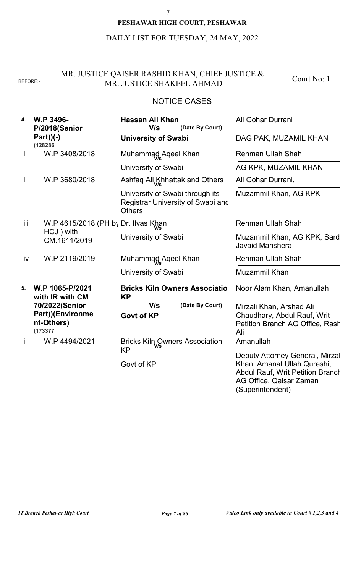# **PESHAWAR HIGH COURT, PESHAWAR**  $\overline{7}$

DAILY LIST FOR TUESDAY, 24 MAY, 2022

#### MR. JUSTICE QAISER RASHID KHAN, CHIEF JUSTICE & BEFORE: MR. JUSTICE SHAKEEL AHMAD

Court No: 1

| 4.  | W.P 3496-<br>P/2018(Senior                                   | Hassan Ali Khan<br>V/s<br>(Date By Court)                                             | Ali Gohar Durrani                                                                                 |
|-----|--------------------------------------------------------------|---------------------------------------------------------------------------------------|---------------------------------------------------------------------------------------------------|
|     | $Part)$ $(-)$<br>(128286)                                    | <b>University of Swabi</b>                                                            | DAG PAK, MUZAMIL KHAN                                                                             |
| İ   | W.P 3408/2018                                                | Muhammad Aqeel Khan                                                                   | <b>Rehman Ullah Shah</b>                                                                          |
|     |                                                              | University of Swabi                                                                   | AG KPK, MUZAMIL KHAN                                                                              |
| ij. | W.P 3680/2018                                                | Ashfaq Ali Khhattak and Others                                                        | Ali Gohar Durrani,                                                                                |
|     |                                                              | University of Swabi through its<br>Registrar University of Swabi and<br><b>Others</b> | Muzammil Khan, AG KPK                                                                             |
| iii | W.P 4615/2018 (PH by Dr. Ilyas Khan                          |                                                                                       | <b>Rehman Ullah Shah</b>                                                                          |
|     | HCJ ) with<br>CM.1611/2019                                   | University of Swabi                                                                   | Muzammil Khan, AG KPK, Sard<br><b>Javaid Manshera</b>                                             |
| iv  | W.P 2119/2019                                                | Muhammad Aqeel Khan                                                                   | <b>Rehman Ullah Shah</b>                                                                          |
|     |                                                              | University of Swabi                                                                   | Muzammil Khan                                                                                     |
| 5.  | W.P 1065-P/2021<br>with IR with CM                           | <b>Bricks Kiln Owners Association</b><br><b>KP</b>                                    | Noor Alam Khan, Amanullah                                                                         |
|     | 70/2022(Senior<br>Part))(Environme<br>nt-Others)<br>(173377) | V/s<br>(Date By Court)<br><b>Govt of KP</b>                                           | Mirzali Khan, Arshad Ali<br>Chaudhary, Abdul Rauf, Writ<br>Petition Branch AG Office, Rash<br>Ali |
| İ   | W.P 4494/2021                                                | Bricks Kiln Qwners Association                                                        | Amanullah                                                                                         |
|     |                                                              | <b>KP</b><br>Govt of KP                                                               | Deputy Attorney General, Mirzal<br>Khan, Amanat Ullah Qureshi,                                    |
|     |                                                              |                                                                                       | <b>Abdul Rauf, Writ Petition Branch</b><br>AG Office, Qaisar Zaman<br>(Superintendent)            |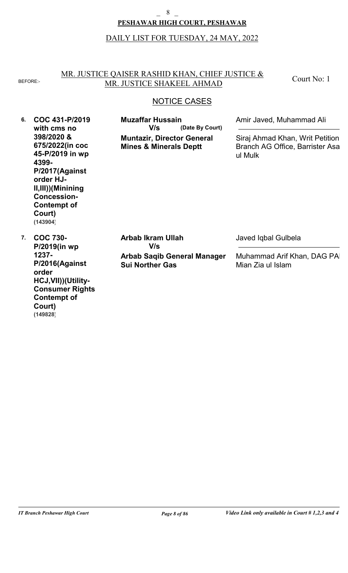#### 8

### **PESHAWAR HIGH COURT, PESHAWAR**

### DAILY LIST FOR TUESDAY, 24 MAY, 2022

#### MR. JUSTICE QAISER RASHID KHAN, CHIEF JUSTICE & BEFORE: MR. JUSTICE SHAKEEL AHMAD

Court No: 1

### NOTICE CASES

**6. COC 431-P/2019 7. COC 730 with cms no 398/2020 & 675/2022(in coc 45-P/2019 in wp 4399- P/2017(Against order HJ-II,III))(Minining Concession-Contempt of Court) P/2019(in wp 1237- P/2016(Against order HCJ,VII))(Utility-Muntazir, Director General Mines & Minerals Deptt Arbab Saqib General Manager Sui Norther Gas (Date By Court) Muzaffar Hussain Arbab Ikram Ullah** Amir Javed, Muhammad Ali Javed Iqbal Gulbela Siraj Ahmad Khan, Writ Petition Branch AG Office, Barrister Asa ul Mulk Muhammad Arif Khan, DAG PA Mian Zia ul Islam **V/s V/s (143904)**

**Consumer Rights-**

**Contempt of**

**Court)**

**(149828)**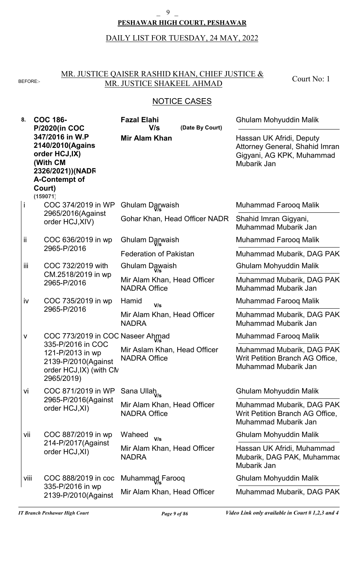### 9

### **PESHAWAR HIGH COURT, PESHAWAR**

# DAILY LIST FOR TUESDAY, 24 MAY, 2022

### MR. JUSTICE QAISER RASHID KHAN, CHIEF JUSTICE & BEFORE: MR. JUSTICE SHAKEEL AHMAD

Court No: 1

# NOTICE CASES

| 8.      | <b>COC 186-</b><br><b>P/2020(in COC</b>                                                                                     | <b>Fazal Elahi</b><br>V/s<br>(Date By Court)        | Ghulam Mohyuddin Malik                                                                                 |
|---------|-----------------------------------------------------------------------------------------------------------------------------|-----------------------------------------------------|--------------------------------------------------------------------------------------------------------|
|         | 347/2016 in W.P<br>2140/2010(Agains<br>order HCJ,IX)<br>(With CM<br>2326/2021))(NADF<br>A-Contempt of<br>Court)<br>(159071) | <b>Mir Alam Khan</b>                                | Hassan UK Afridi, Deputy<br>Attorney General, Shahid Imran<br>Gigyani, AG KPK, Muhammad<br>Mubarik Jan |
| j       | COC 374/2019 in WP                                                                                                          | Ghulam Darwaish                                     | Muhammad Farooq Malik                                                                                  |
|         | 2965/2016(Against<br>order HCJ, XIV)                                                                                        | Gohar Khan, Head Officer NADR                       | Shahid Imran Gigyani,<br>Muhammad Mubarik Jan                                                          |
| ij.     | COC 636/2019 in wp                                                                                                          | Ghulam Darwaish                                     | Muhammad Farooq Malik                                                                                  |
|         | 2965-P/2016                                                                                                                 | <b>Federation of Pakistan</b>                       | Muhammad Mubarik, DAG PAK                                                                              |
| Ϊij     | COC 732/2019 with                                                                                                           | Ghulam Dawaish                                      | Ghulam Mohyuddin Malik                                                                                 |
|         | CM.2518/2019 in wp<br>2965-P/2016                                                                                           | Mir Alam Khan, Head Officer<br><b>NADRA Office</b>  | Muhammad Mubarik, DAG PAK<br>Muhammad Mubarik Jan                                                      |
| iv      | COC 735/2019 in wp                                                                                                          | Hamid<br>V/s                                        | Muhammad Farooq Malik                                                                                  |
|         | 2965-P/2016                                                                                                                 | Mir Alam Khan, Head Officer<br><b>NADRA</b>         | Muhammad Mubarik, DAG PAK<br>Muhammad Mubarik Jan                                                      |
| $\sf V$ | COC 773/2019 in COC Naseer Ahmad                                                                                            |                                                     | <b>Muhammad Faroog Malik</b>                                                                           |
|         | 335-P/2016 in COC<br>121-P/2013 in wp<br>2139-P/2010(Against<br>order HCJ, IX) (with CN<br>2965/2019)                       | Mir Aslam Khan, Head Officer<br><b>NADRA Office</b> | Muhammad Mubarik, DAG PAK<br>Writ Petition Branch AG Office,<br>Muhammad Mubarik Jan                   |
| Vİ      | COC 871/2019 in WP                                                                                                          | Sana Ullah <sub>V/s</sub>                           | Ghulam Mohyuddin Malik                                                                                 |
|         | 2965-P/2016(Against<br>order HCJ, XI)                                                                                       | Mir Alam Khan, Head Officer<br><b>NADRA Office</b>  | Muhammad Mubarik, DAG PAK<br>Writ Petition Branch AG Office,<br>Muhammad Mubarik Jan                   |
| vii     | COC 887/2019 in wp                                                                                                          | Waheed<br>V/s                                       | Ghulam Mohyuddin Malik                                                                                 |
|         | 214-P/2017(Against<br>order HCJ, XI)                                                                                        | Mir Alam Khan, Head Officer<br><b>NADRA</b>         | Hassan UK Afridi, Muhammad<br>Mubarik, DAG PAK, Muhammac<br>Mubarik Jan                                |
| viii    | COC 888/2019 in coc                                                                                                         | Muhammad Farooq                                     | Ghulam Mohyuddin Malik                                                                                 |
|         | 335-P/2016 in wp<br>2139-P/2010(Against                                                                                     | Mir Alam Khan, Head Officer                         | Muhammad Mubarik, DAG PAK                                                                              |

*IT Branch Peshawar High Court Page 9 of 86 Video Link only available in Court # 1,2,3 and 4*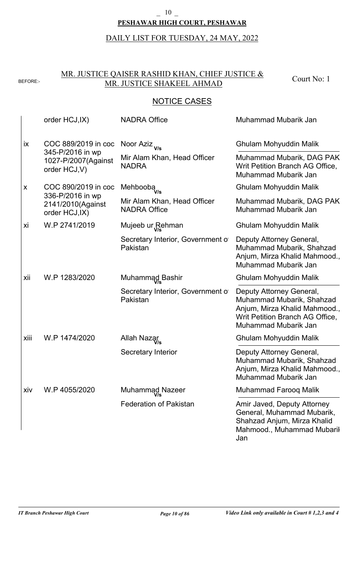### **PESHAWAR HIGH COURT, PESHAWAR**  $\frac{10}{}$

DAILY LIST FOR TUESDAY, 24 MAY, 2022

### MR. JUSTICE QAISER RASHID KHAN, CHIEF JUSTICE & BEFORE: MIN. JUSTICE CALISER RASHID KITAN, CHIEF JUSTICE & Court No: 1

|           | order HCJ, IX)                                           | <b>NADRA Office</b>                                | Muhammad Mubarik Jan                                                                                                                              |
|-----------|----------------------------------------------------------|----------------------------------------------------|---------------------------------------------------------------------------------------------------------------------------------------------------|
| <b>ix</b> | COC 889/2019 in coc                                      | Noor Aziz <sub>V/s</sub>                           | Ghulam Mohyuddin Malik                                                                                                                            |
|           | 345-P/2016 in wp<br>1027-P/2007(Against<br>order HCJ, V) | Mir Alam Khan, Head Officer<br><b>NADRA</b>        | Muhammad Mubarik, DAG PAK<br>Writ Petition Branch AG Office,<br>Muhammad Mubarik Jan                                                              |
| X         | COC 890/2019 in coc                                      | Mehbooba <sub>v/s</sub>                            | Ghulam Mohyuddin Malik                                                                                                                            |
|           | 336-P/2016 in wp<br>2141/2010(Against<br>order HCJ, IX)  | Mir Alam Khan, Head Officer<br><b>NADRA Office</b> | Muhammad Mubarik, DAG PAK<br>Muhammad Mubarik Jan                                                                                                 |
| хi        | W.P 2741/2019                                            | Mujeeb ur Rehman                                   | Ghulam Mohyuddin Malik                                                                                                                            |
|           |                                                          | Secretary Interior, Government of<br>Pakistan      | Deputy Attorney General,<br>Muhammad Mubarik, Shahzad<br>Anjum, Mirza Khalid Mahmood.,<br>Muhammad Mubarik Jan                                    |
| xii       | W.P 1283/2020                                            | Muhammad Bashir                                    | Ghulam Mohyuddin Malik                                                                                                                            |
|           |                                                          | Secretary Interior, Government of<br>Pakistan      | Deputy Attorney General,<br>Muhammad Mubarik, Shahzad<br>Anjum, Mirza Khalid Mahmood.,<br>Writ Petition Branch AG Office,<br>Muhammad Mubarik Jan |
| xiii      | W.P 1474/2020                                            | Allah Nazar                                        | Ghulam Mohyuddin Malik                                                                                                                            |
|           |                                                          | <b>Secretary Interior</b>                          | Deputy Attorney General,<br>Muhammad Mubarik, Shahzad<br>Anjum, Mirza Khalid Mahmood.,<br>Muhammad Mubarik Jan                                    |
| xiv       | W.P 4055/2020                                            | Muhammad Nazeer                                    | <b>Muhammad Faroog Malik</b>                                                                                                                      |
|           |                                                          | <b>Federation of Pakistan</b>                      | Amir Javed, Deputy Attorney<br>General, Muhammad Mubarik,<br>Shahzad Anjum, Mirza Khalid<br>Mahmood., Muhammad Mubaril<br>Jan                     |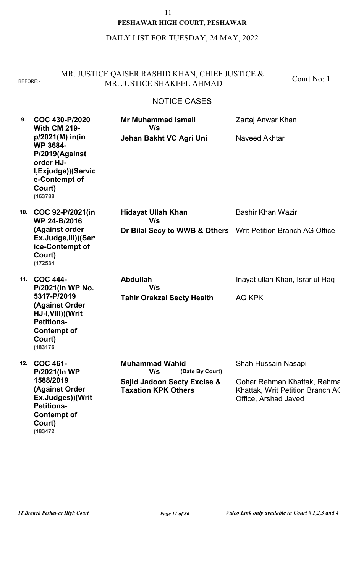#### **PESHAWAR HIGH COURT, PESHAWAR** \_ 11 \_

# DAILY LIST FOR TUESDAY, 24 MAY, 2022

### MR. JUSTICE QAISER RASHID KHAN, CHIEF JUSTICE & BEFORE: MR. JUSTICE SHAKEEL AHMAD

Court No: 1

| 9.  | COC 430-P/2020<br><b>With CM 219-</b>                                                                                              | <b>Mr Muhammad Ismail</b><br>V/s                                     | Zartaj Anwar Khan                                                                       |
|-----|------------------------------------------------------------------------------------------------------------------------------------|----------------------------------------------------------------------|-----------------------------------------------------------------------------------------|
|     | $p/2021(M)$ in(in<br><b>WP 3684-</b><br>P/2019(Against<br>order HJ-<br>I, Exjudge)) (Servic<br>e-Contempt of<br>Court)<br>(163788) | Jehan Bakht VC Agri Uni                                              | Naveed Akhtar                                                                           |
| 10. | COC 92-P/2021(in<br>WP 24-B/2016                                                                                                   | <b>Hidayat Ullah Khan</b><br>V/s                                     | <b>Bashir Khan Wazir</b>                                                                |
|     | (Against order<br>Ex.Judge, III)) (Ser<br>ice-Contempt of<br>Court)<br>(172534)                                                    | Dr Bilal Secy to WWB & Others                                        | Writ Petition Branch AG Office                                                          |
| 11. | <b>COC 444-</b><br>P/2021(in WP No.                                                                                                | <b>Abdullah</b><br>V/s                                               | Inayat ullah Khan, Israr ul Haq                                                         |
|     | 5317-P/2019<br>(Against Order<br>HJ-I, VIII)) (Writ<br><b>Petitions-</b><br><b>Contempt of</b><br>Court)<br>(183176)               | <b>Tahir Orakzai Secty Health</b>                                    | <b>AG KPK</b>                                                                           |
| 12. | <b>COC 461-</b><br><b>P/2021(In WP</b>                                                                                             | <b>Muhammad Wahid</b><br>V/s<br>(Date By Court)                      | Shah Hussain Nasapi                                                                     |
|     | 1588/2019<br><b>(Against Order</b><br>Ex.Judges))(Writ<br><b>Petitions-</b><br><b>Contempt of</b><br>Court)<br>(183472)            | <b>Sajid Jadoon Secty Excise &amp;</b><br><b>Taxation KPK Others</b> | Gohar Rehman Khattak, Rehma<br>Khattak, Writ Petition Branch AC<br>Office, Arshad Javed |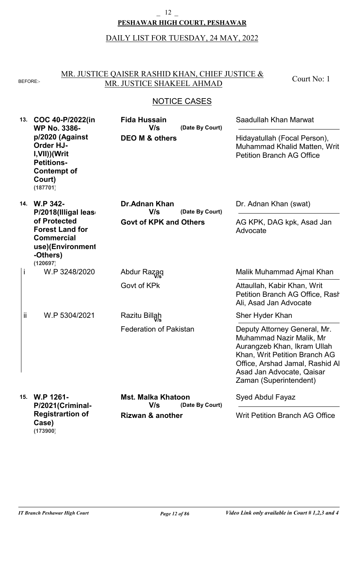#### **PESHAWAR HIGH COURT, PESHAWAR**  $\frac{12}{}$

# DAILY LIST FOR TUESDAY, 24 MAY, 2022

### MR. JUSTICE QAISER RASHID KHAN, CHIEF JUSTICE & BEFORE: MR. JUSTICE SHAKEEL AHMAD

Court No: 1

# NOTICE CASES

| 13. | COC 40-P/2022(in<br><b>WP No. 3386-</b><br>p/2020 (Against<br><b>Order HJ-</b><br>I, VII)) (Writ<br><b>Petitions-</b><br><b>Contempt of</b><br>Court)<br>(187701) | <b>Fida Hussain</b><br>V/s<br><b>DEO M &amp; others</b> | (Date By Court) | Saadullah Khan Marwat<br>Hidayatullah (Focal Person),<br>Muhammad Khalid Matten, Writ<br><b>Petition Branch AG Office</b>                                                                                          |
|-----|-------------------------------------------------------------------------------------------------------------------------------------------------------------------|---------------------------------------------------------|-----------------|--------------------------------------------------------------------------------------------------------------------------------------------------------------------------------------------------------------------|
| 14. | <b>W.P 342-</b><br>P/2018(Illigal leas<br>of Protected                                                                                                            | <b>Dr.Adnan Khan</b><br>V/s                             | (Date By Court) | Dr. Adnan Khan (swat)                                                                                                                                                                                              |
|     | <b>Forest Land for</b><br><b>Commercial</b><br>use)(Environment<br>-Others)<br>(120697)                                                                           | <b>Govt of KPK and Others</b>                           |                 | AG KPK, DAG kpk, Asad Jan<br>Advocate                                                                                                                                                                              |
| İ   | W.P 3248/2020                                                                                                                                                     | Abdur Razaq                                             |                 | Malik Muhammad Ajmal Khan                                                                                                                                                                                          |
|     |                                                                                                                                                                   | Govt of KPk                                             |                 | Attaullah, Kabir Khan, Writ<br>Petition Branch AG Office, Rash<br>Ali, Asad Jan Advocate                                                                                                                           |
| ij. | W.P 5304/2021                                                                                                                                                     | Razitu Billah                                           |                 | Sher Hyder Khan                                                                                                                                                                                                    |
|     |                                                                                                                                                                   | <b>Federation of Pakistan</b>                           |                 | Deputy Attorney General, Mr.<br>Muhammad Nazir Malik, Mr<br>Aurangzeb Khan, Ikram Ullah<br>Khan, Writ Petition Branch AG<br>Office, Arshad Jamal, Rashid Al<br>Asad Jan Advocate, Qaisar<br>Zaman (Superintendent) |
| 15. | W.P 1261-<br>P/2021(Criminal-                                                                                                                                     | <b>Mst. Malka Khatoon</b><br>V/s                        | (Date By Court) | <b>Syed Abdul Fayaz</b>                                                                                                                                                                                            |
|     | <b>Registrartion of</b><br>Case)                                                                                                                                  | <b>Rizwan &amp; another</b>                             |                 | <b>Writ Petition Branch AG Office</b>                                                                                                                                                                              |

**(173900)**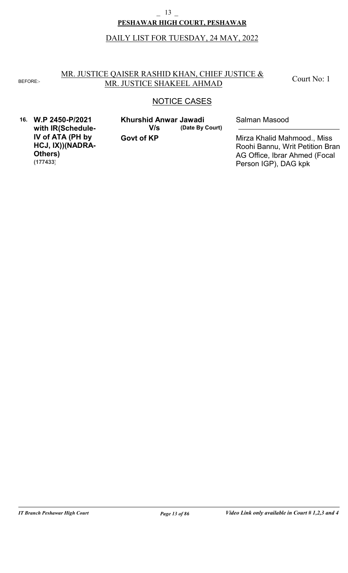#### **PESHAWAR HIGH COURT, PESHAWAR** \_ 13 \_

# DAILY LIST FOR TUESDAY, 24 MAY, 2022

#### MR. JUSTICE QAISER RASHID KHAN, CHIEF JUSTICE & BEFORE: MR. JUSTICE SHAKEEL AHMAD

Court No: 1

### NOTICE CASES

**16. W.P 2450-P/2021 with IR(Schedule-IV of ATA (PH by HCJ, IX))(NADRA-Others) (177433)**

**Govt of KP (Date By Court) Khurshid Anwar Jawadi** Salman Masood **V/s**

Mirza Khalid Mahmood., Miss Roohi Bannu, Writ Petition Bran AG Office, Ibrar Ahmed (Focal Person IGP), DAG kpk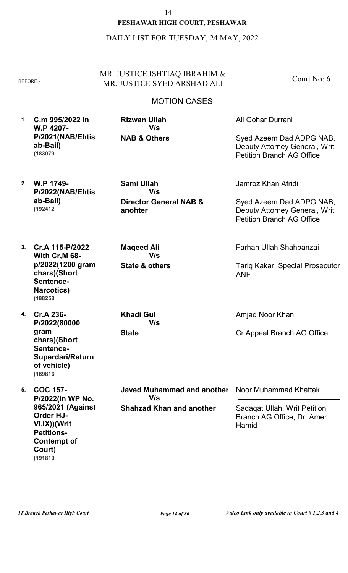### **PESHAWAR HIGH COURT, PESHAWAR** \_ 14 \_

### DAILY LIST FOR TUESDAY, 24 MAY, 2022

#### MR. JUSTICE ISHTIAQ IBRAHIM & BEFORE:- MR. JUSTICE SYED ARSHAD ALI

Court No: 6

# MOTION CASES

**1. C.m 995/2022 In W.P 4207- P/2021(NAB/Ehtis ab-Bail) (183079)**

**NAB & Others Rizwan Ullah V/s**

**2. W.P 1749- P/2022(NAB/Ehtis ab-Bail) (192412)**

**Director General NAB & anohter Sami Ullah V/s**

**3. Cr.A 115-P/2022 With Cr,M 68 p/2022(1200 gram chars)(Short Sentence-Narcotics)**

**4. Cr.A 236- P/2022(80000 gram chars)(Short Sentence-Superdari/Return of vehicle) (189816)**

**(188258)**

**5. COC 157- P/2022(in WP No. 965/2021 (Against Order HJ-VI,IX))(Writ Petitions-Contempt of Court) (191810)**

**Khadi Gul V/s**

**State & others**

**V/s**

**Maqeed Ali**

**State**

**Shahzad Khan and another Javed Muhammad and another V/s**

Ali Gohar Durrani

Syed Azeem Dad ADPG NAB, Deputy Attorney General, Writ Petition Branch AG Office

Jamroz Khan Afridi

Syed Azeem Dad ADPG NAB, Deputy Attorney General, Writ Petition Branch AG Office

Farhan Ullah Shahbanzai

Tariq Kakar, Special Prosecutor ANF

Amjad Noor Khan

Cr Appeal Branch AG Office

Noor Muhammad Khattak

Sadaqat Ullah, Writ Petition Branch AG Office, Dr. Amer **Hamid**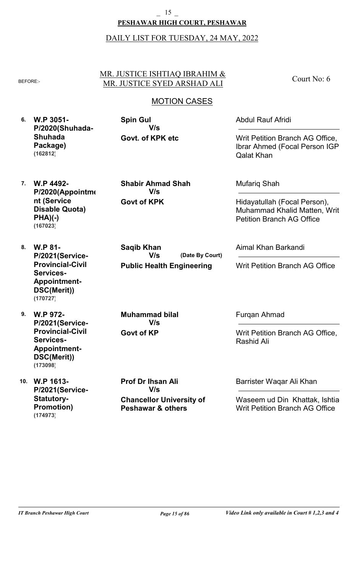### **PESHAWAR HIGH COURT, PESHAWAR** \_ 15 \_

### DAILY LIST FOR TUESDAY, 24 MAY, 2022

#### MR. JUSTICE ISHTIAQ IBRAHIM & BEFORE:- MR. JUSTICE SYED ARSHAD ALI

Court No: 6

## MOTION CASES

**6. W.P 3051- P/2020(Shuhada-Shuhada Package) (162812)**

**Govt. of KPK etc Spin Gul V/s**

Abdul Rauf Afridi

Writ Petition Branch AG Office, Ibrar Ahmed (Focal Person IGP), Qalat Khan

**7. W.P 4492- P/2020(Appointme nt (Service Disable Quota) PHA)(-) (167023)**

**Govt of KPK Shabir Ahmad Shah V/s**

**Public Health Engineering**

**V/s**

**(Date By Court)**

Mufariq Shah

Hidayatullah (Focal Person), Muhammad Khalid Matten, Writ Petition Branch AG Office

Writ Petition Branch AG Office

**8. W.P 81- P/2021(Service-Provincial-Civil Services-Appointment-DSC(Merit)) (170727)**

**9. W.P 972- P/2021(Service-Provincial-Civil Services-Appointment-DSC(Merit)) (173098)**

**10. W.P 1613- P/2021(Service-Statutory-Promotion) (174973)**

**Govt of KP Muhammad bilal V/s**

**Saqib Khan**

**Chancellor University of Prof Dr Ihsan Ali V/s**

**Peshawar & others**

Furqan Ahmad

Aimal Khan Barkandi

Writ Petition Branch AG Office, Rashid Ali

Barrister Waqar Ali Khan

Waseem ud Din Khattak, Ishtia Writ Petition Branch AG Office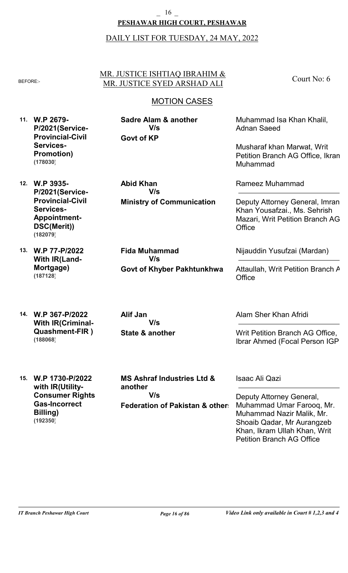#### **PESHAWAR HIGH COURT, PESHAWAR** \_ 16 \_

### DAILY LIST FOR TUESDAY, 24 MAY, 2022

### MR. JUSTICE ISHTIAQ IBRAHIM & BEFORE:- MR. JUSTICE SYED ARSHAD ALI

Court No: 6

# MOTION CASES

**11. W.P 2679- P/2021(Service-Provincial-Civil Services-Promotion) (178030)**

**Govt of KP Sadre Alam & another V/s**

**Abid Khan**

**12. W.P 3935- P/2021(Service-Provincial-Civil Services-Appointment-DSC(Merit)) (182079)**

**13. W.P 77-P/2022 With IR(Land-Mortgage) (187128)**

**14. W.P 367-P/2022 With IR(Criminal-Quashment-FIR ) (188068)**

**Govt of Khyber Pakhtunkhwa V/s**

**Ministry of Communication**

**State & another Alif Jan V/s**

**Fida Muhammad**

**V/s**

Muhammad Isa Khan Khalil, Adnan Saeed

Musharaf khan Marwat, Writ Petition Branch AG Office, Ikram Muhammad

Rameez Muhammad

Deputy Attorney General, Imran Khan Yousafzai., Ms. Sehrish Mazari, Writ Petition Branch AG **Office** 

Nijauddin Yusufzai (Mardan)

Attaullah, Writ Petition Branch A **Office** 

Alam Sher Khan Afridi

Writ Petition Branch AG Office, Ibrar Ahmed (Focal Person IGP)

**15. W.P 1730-P/2022 with IR(Utility-Consumer Rights-Gas-Incorrect Billing) (192350)**

**Federation of Pakistan & others MS Ashraf Industries Ltd & another V/s**

Isaac Ali Qazi

Deputy Attorney General, Muhammad Umar Farooq, Mr. Muhammad Nazir Malik, Mr. Shoaib Qadar, Mr Aurangzeb Khan, Ikram Ullah Khan, Writ Petition Branch AG Office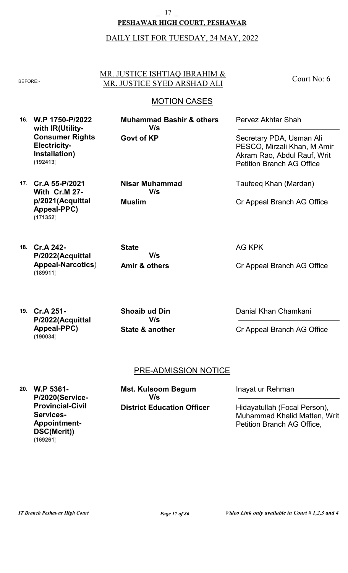#### **PESHAWAR HIGH COURT, PESHAWAR** \_ 17 \_

### DAILY LIST FOR TUESDAY, 24 MAY, 2022

# MR. JUSTICE ISHTIAQ IBRAHIM & BEFORE:- MR. JUSTICE SYED ARSHAD ALI

# MOTION CASES

**16. W.P 1750-P/2022 with IR(Utility-Consumer Rights-Electricity-Installation) (192413)**

**17. Cr.A 55-P/2021**

**(171352)**

**With Cr.M 27 p/2021(Acquittal Appeal-PPC)**

**Govt of KP Muhammad Bashir & others V/s**

Pervez Akhtar Shah

Secretary PDA, Usman Ali PESCO, Mirzali Khan, M Amir Akram Rao, Abdul Rauf, Writ Petition Branch AG Office

Court No: 6

Taufeeq Khan (Mardan)

Cr Appeal Branch AG Office

**18. Cr.A 242- P/2022(Acquittal Appeal-Narcotics) (189911)**

**V/s**

**Nisar Muhammad**

**V/s**

**Amir & others**

**Muslim**

**State**

AG KPK

Cr Appeal Branch AG Office

**19. Cr.A 251- P/2022(Acquittal Appeal-PPC) (190034)**

**State & another Shoaib ud Din V/s**

Danial Khan Chamkani

Cr Appeal Branch AG Office

## PRE-ADMISSION NOTICE

**20. W.P 5361- P/2020(Service-Provincial-Civil Services-Appointment-DSC(Merit)) (169261)**

**District Education Officer Mst. Kulsoom Begum V/s**

Inayat ur Rehman

Hidayatullah (Focal Person), Muhammad Khalid Matten, Writ Petition Branch AG Office,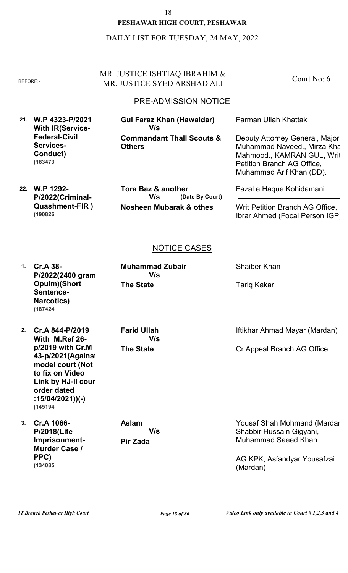#### **PESHAWAR HIGH COURT, PESHAWAR** \_ 18 \_

### DAILY LIST FOR TUESDAY, 24 MAY, 2022

#### MR. JUSTICE ISHTIAQ IBRAHIM & BEFORE:- MR. JUSTICE SYED ARSHAD ALI

### PRE-ADMISSION NOTICE

**21. W.P 4323-P/2021 With IR(Service-Federal-Civil Services-Conduct) (183473)**

**Commandant Thall Scouts & Others Gul Faraz Khan (Hawaldar) V/s**

**22. W.P 1292- P/2022(Criminal-Quashment-FIR ) (190826)**

**Nosheen Mubarak & othes (Date By Court) Tora Baz & another V/s**

Farman Ullah Khattak

Court No: 6

Deputy Attorney General, Major Muhammad Naveed., Mirza Kha Mahmood., KAMRAN GUL, Writ Petition Branch AG Office, Muhammad Arif Khan (DD).

Fazal e Haque Kohidamani

Writ Petition Branch AG Office, Ibrar Ahmed (Focal Person IGP)

### NOTICE CASES

**1. Cr.A 38- P/2022(2400 gram Opuim)(Short Sentence-Narcotics) (187424)**

- **2. Cr.A 844-P/2019 With M.Ref 26 p/2019 with Cr.M 43-p/2021(Against model court (Not to fix on Video Link by HJ-II cour order dated :15/04/2021))(-) (145194)**
- **3. Cr.A 1066- P/2018(Life Imprisonment-Murder Case / PPC) (134085)**

**The State Muhammad Zubair V/s**

**The State Farid Ullah V/s**

**Pir Zada Aslam V/s** Shaiber Khan

Tariq Kakar

Iftikhar Ahmad Mayar (Mardan)

Cr Appeal Branch AG Office

Yousaf Shah Mohmand (Mardar Shabbir Hussain Gigyani, Muhammad Saeed Khan

AG KPK, Asfandyar Yousafzai (Mardan)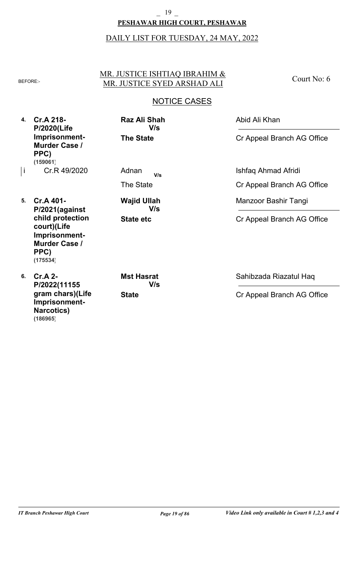### **PESHAWAR HIGH COURT, PESHAWAR** 19

# DAILY LIST FOR TUESDAY, 24 MAY, 2022

### MR. JUSTICE ISHTIAQ IBRAHIM & BEFORE: MR. JUSTICE SYED ARSHAD ALI

Court No: 6

# NOTICE CASES

**4. Cr.A 218- P/2020(Life Imprisonment-Murder Case / PPC) (159061)**

Cr.R 49/2020 i Adnan The State

**The State**

**Raz Ali Shah**

**V/s**

- **5. Cr.A 401- P/2021(against child protection court)(Life Imprisonment-Murder Case / PPC) (175534)**
- **6. Cr.A 2- P/2022(11155 gram chars)(Life Imprisonment-Narcotics) (186965)**

**State etc V/s**

**Wajid Ullah**

**State Mst Hasrat V/s** Abid Ali Khan

Cr Appeal Branch AG Office

**V/s** Ishfaq Ahmad Afridi Cr Appeal Branch AG Office

Manzoor Bashir Tangi

Cr Appeal Branch AG Office

Sahibzada Riazatul Haq

Cr Appeal Branch AG Office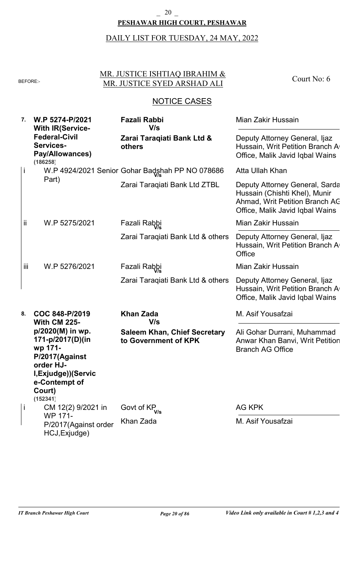### **PESHAWAR HIGH COURT, PESHAWAR** \_ 20 \_

# DAILY LIST FOR TUESDAY, 24 MAY, 2022

#### MR. JUSTICE ISHTIAQ IBRAHIM & BEFORE: MR. JUSTICE SYED ARSHAD ALI

Court No: 6

| 7.  | W.P 5274-P/2021<br><b>With IR(Service-</b>                                                                                                    | Fazali Rabbi<br>V/s                                         | Mian Zakir Hussain                                                                                                                   |
|-----|-----------------------------------------------------------------------------------------------------------------------------------------------|-------------------------------------------------------------|--------------------------------------------------------------------------------------------------------------------------------------|
|     | <b>Federal-Civil</b><br>Services-<br><b>Pay/Allowances)</b><br>(186258)                                                                       | Zarai Taraqiati Bank Ltd &<br>others                        | Deputy Attorney General, Ijaz<br>Hussain, Writ Petition Branch A<br>Office, Malik Javid Iqbal Wains                                  |
| İ   |                                                                                                                                               | W.P 4924/2021 Senior Gohar Badshah PP NO 078686             | Atta Ullah Khan                                                                                                                      |
|     | Part)                                                                                                                                         | Zarai Taraqiati Bank Ltd ZTBL                               | Deputy Attorney General, Sarda<br>Hussain (Chishti Khel), Munir<br>Ahmad, Writ Petition Branch AC<br>Office, Malik Javid Iqbal Wains |
| Ϊİ  | W.P 5275/2021                                                                                                                                 | Fazali Rabbi                                                | Mian Zakir Hussain                                                                                                                   |
|     |                                                                                                                                               | Zarai Taraqiati Bank Ltd & others                           | Deputy Attorney General, Ijaz<br>Hussain, Writ Petition Branch A<br>Office                                                           |
| iii | W.P 5276/2021                                                                                                                                 | Fazali Rabbi                                                | Mian Zakir Hussain                                                                                                                   |
|     |                                                                                                                                               | Zarai Taragiati Bank Ltd & others                           | Deputy Attorney General, Ijaz<br>Hussain, Writ Petition Branch A<br>Office, Malik Javid Iqbal Wains                                  |
| 8.  | COC 848-P/2019<br><b>With CM 225-</b>                                                                                                         | <b>Khan Zada</b><br>V/s                                     | M. Asif Yousafzai                                                                                                                    |
|     | p/2020(M) in wp.<br>171-p/2017(D)(in<br>wp 171-<br>P/2017(Against<br>order HJ-<br>I, Exjudge)) (Servic<br>e-Contempt of<br>Court)<br>(152341) | <b>Saleem Khan, Chief Secretary</b><br>to Government of KPK | Ali Gohar Durrani, Muhammad<br>Anwar Khan Banvi, Writ Petition<br><b>Branch AG Office</b>                                            |
| İ   | CM 12(2) 9/2021 in<br><b>WP 171-</b>                                                                                                          | Govt of KP <sub>V/s</sub>                                   | <b>AG KPK</b>                                                                                                                        |
|     | P/2017(Against order<br>HCJ, Exjudge)                                                                                                         | Khan Zada                                                   | M. Asif Yousafzai                                                                                                                    |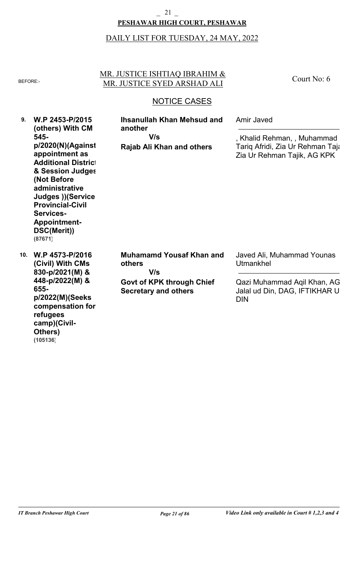#### **PESHAWAR HIGH COURT, PESHAWAR** \_ 21 \_

### DAILY LIST FOR TUESDAY, 24 MAY, 2022

#### MR. JUSTICE ISHTIAQ IBRAHIM & BEFORE: MR. JUSTICE SYED ARSHAD ALI

Court No: 6

### NOTICE CASES

**9. W.P 2453-P/2015 10. W.P 4573-P/2016 (others) With CM 545 p/2020(N)(Against appointment as Additional District & Session Judges (Not Before administrative Judges ))(Service-Provincial-Civil Services-Appointment-DSC(Merit)) (Civil) With CMs 830-p/2021(M) & 448-p/2022(M) & 655 p/2022(M)(Seeks compensation for refugees camp)(Civil-Rajab Ali Khan and others Govt of KPK through Chief Secretary and others Ihsanullah Khan Mehsud and another Muhamamd Yousaf Khan and others** Amir Javed Javed Ali, Muhammad Younas Utmankhel , Khalid Rehman, , Muhammad Tariq Afridi, Zia Ur Rehman Taja Zia Ur Rehman Tajik, AG KPK Qazi Muhammad Aqil Khan, AG, Jalal ud Din, DAG, IFTIKHAR U DIN **V/s V/s (87671)**

**Others)**

**(105136)**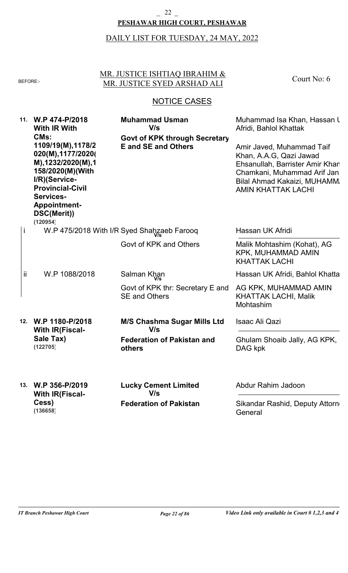#### **PESHAWAR HIGH COURT, PESHAWAR** \_ 22 \_

# DAILY LIST FOR TUESDAY, 24 MAY, 2022

#### MR. JUSTICE ISHTIAQ IBRAHIM & BEFORE: MR. JUSTICE SYED ARSHAD ALI

Court No: 6

| 11. | W.P 474-P/2018<br><b>With IR With</b><br>CM <sub>s</sub> :<br>1109/19(M), 1178/2<br>020(M), 1177/2020(<br>M),1232/2020(M),1<br>158/2020(M)(With<br>I/R)(Service-<br><b>Provincial-Civil</b><br><b>Services-</b><br><b>Appointment-</b><br>DSC(Merit))<br>(120954) | <b>Muhammad Usman</b><br>V/s<br><b>Govt of KPK through Secretary</b><br><b>E</b> and SE and Others | Muhammad Isa Khan, Hassan L<br>Afridi, Bahlol Khattak<br>Amir Javed, Muhammad Taif<br>Khan, A.A.G, Qazi Jawad<br>Ehsanullah, Barrister Amir Khan<br>Chamkani, Muhammad Arif Jan<br>Bilal Ahmad Kakaizi, MUHAMM.<br><b>AMIN KHATTAK LACHI</b> |
|-----|-------------------------------------------------------------------------------------------------------------------------------------------------------------------------------------------------------------------------------------------------------------------|----------------------------------------------------------------------------------------------------|----------------------------------------------------------------------------------------------------------------------------------------------------------------------------------------------------------------------------------------------|
|     |                                                                                                                                                                                                                                                                   | W.P 475/2018 With I/R Syed Shahzaeb Farooq                                                         | Hassan UK Afridi                                                                                                                                                                                                                             |
|     |                                                                                                                                                                                                                                                                   | Govt of KPK and Others                                                                             | Malik Mohtashim (Kohat), AG<br><b>KPK, MUHAMMAD AMIN</b><br><b>KHATTAK LACHI</b>                                                                                                                                                             |
| ii  | W.P 1088/2018                                                                                                                                                                                                                                                     | Salman Khan                                                                                        | Hassan UK Afridi, Bahlol Khatta                                                                                                                                                                                                              |
|     |                                                                                                                                                                                                                                                                   | Govt of KPK thr: Secretary E and<br><b>SE and Others</b>                                           | AG KPK, MUHAMMAD AMIN<br><b>KHATTAK LACHI, Malik</b><br>Mohtashim                                                                                                                                                                            |
| 12. | W.P 1180-P/2018<br><b>With IR(Fiscal-</b>                                                                                                                                                                                                                         | <b>M/S Chashma Sugar Mills Ltd</b><br>V/s                                                          | <b>Isaac Ali Qazi</b>                                                                                                                                                                                                                        |
|     | Sale Tax)<br>(122705)                                                                                                                                                                                                                                             | <b>Federation of Pakistan and</b><br>others                                                        | Ghulam Shoaib Jally, AG KPK,<br>DAG kpk                                                                                                                                                                                                      |
| 13. | W.P 356-P/2019<br><b>With IR(Fiscal-</b>                                                                                                                                                                                                                          | <b>Lucky Cement Limited</b><br>V/s                                                                 | Abdur Rahim Jadoon                                                                                                                                                                                                                           |
|     | Cess)<br>(136658)                                                                                                                                                                                                                                                 | <b>Federation of Pakistan</b>                                                                      | Sikandar Rashid, Deputy Attorn<br>General                                                                                                                                                                                                    |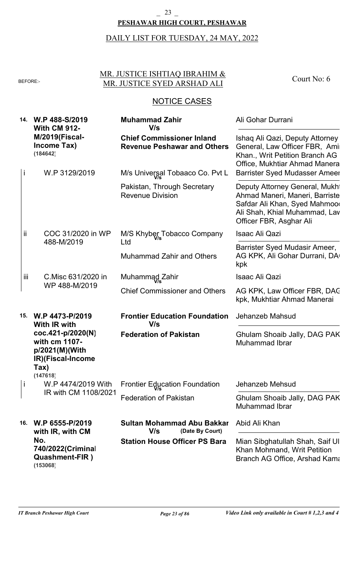#### **PESHAWAR HIGH COURT, PESHAWAR** \_ 23 \_

# DAILY LIST FOR TUESDAY, 24 MAY, 2022

#### MR. JUSTICE ISHTIAQ IBRAHIM & BEFORE: MR. JUSTICE SYED ARSHAD ALI

Court No: 6

| 14. | W.P 488-S/2019<br><b>With CM 912-</b>                                                         | <b>Muhammad Zahir</b><br>V/s                                           | Ali Gohar Durrani                                                                                                                                                            |
|-----|-----------------------------------------------------------------------------------------------|------------------------------------------------------------------------|------------------------------------------------------------------------------------------------------------------------------------------------------------------------------|
| İ   | <b>M/2019(Fiscal-</b><br>Income Tax)<br>(184642)<br>W.P 3129/2019                             | <b>Chief Commissioner Inland</b><br><b>Revenue Peshawar and Others</b> | Ishaq Ali Qazi, Deputy Attorney<br>General, Law Officer FBR, Amir<br>Khan., Writ Petition Branch AG<br>Office, Mukhtiar Ahmad Manera<br><b>Barrister Syed Mudasser Ameer</b> |
|     |                                                                                               | M/s Universal Tobaaco Co. Pvt L                                        |                                                                                                                                                                              |
|     |                                                                                               | Pakistan, Through Secretary<br><b>Revenue Division</b>                 | Deputy Attorney General, Mukht<br>Ahmad Maneri, Maneri, Barriste<br>Safdar Ali Khan, Syed Mahmoor<br>Ali Shah, Khial Muhammad, Lav<br>Officer FBR, Asghar Ali                |
| Ϊİ  | COC 31/2020 in WP                                                                             | M/S Khyber Tobacco Company                                             | <b>Isaac Ali Qazi</b>                                                                                                                                                        |
|     | 488-M/2019                                                                                    | Ltd                                                                    | Barrister Syed Mudasir Ameer,                                                                                                                                                |
|     |                                                                                               | <b>Muhammad Zahir and Others</b>                                       | AG KPK, Ali Gohar Durrani, DA<br>kpk                                                                                                                                         |
| Ϊij | C.Misc 631/2020 in                                                                            | Muhammad Zahir                                                         | <b>Isaac Ali Qazi</b>                                                                                                                                                        |
|     | WP 488-M/2019                                                                                 | <b>Chief Commissioner and Others</b>                                   | AG KPK, Law Officer FBR, DAC<br>kpk, Mukhtiar Ahmad Manerai                                                                                                                  |
| 15. | W.P 4473-P/2019<br>With IR with                                                               | <b>Frontier Education Foundation</b><br>V/s                            | Jehanzeb Mahsud                                                                                                                                                              |
|     | coc.421-p/2020(N)<br>with cm 1107-<br>p/2021(M)(With<br>IR)(Fiscal-Income<br>Tax)<br>(147618) | <b>Federation of Pakistan</b>                                          | Ghulam Shoaib Jally, DAG PAK<br><b>Muhammad Ibrar</b>                                                                                                                        |
| j   | W.P 4474/2019 With                                                                            | <b>Frontier Education Foundation</b>                                   | Jehanzeb Mehsud                                                                                                                                                              |
|     | IR with CM 1108/2021                                                                          | <b>Federation of Pakistan</b>                                          | Ghulam Shoaib Jally, DAG PAK<br><b>Muhammad Ibrar</b>                                                                                                                        |
| 16. | W.P 6555-P/2019<br>with IR, with CM                                                           | Sultan Mohammad Abu Bakkar<br>V/s<br>(Date By Court)                   | Abid Ali Khan                                                                                                                                                                |
|     | No.<br>740/2022(Criminal<br><b>Quashment-FIR)</b><br>(153068)                                 | <b>Station House Officer PS Bara</b>                                   | Mian Sibghatullah Shah, Saif UI<br>Khan Mohmand, Writ Petition<br>Branch AG Office, Arshad Kama                                                                              |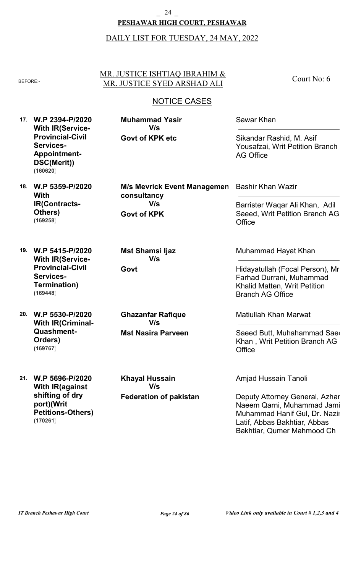### **PESHAWAR HIGH COURT, PESHAWAR** 24

### DAILY LIST FOR TUESDAY, 24 MAY, 2022

MR. JUSTICE ISHTIAQ IBRAHIM & BEFORE:- MR. JUSTICE SYED ARSHAD ALI

NOTICE CASES

**17. W.P 2394-P/2020 With IR(Service-Provincial-Civil Services-Appointment-DSC(Merit)) (160620)**

**Govt of KPK etc V/s**

**Muhammad Yasir**

Sawar Khan

Sikandar Rashid, M. Asif Yousafzai, Writ Petition Branch AG Office

Barrister Waqar Ali Khan, Adil Saeed, Writ Petition Branch AG

Court No: 6

**18. W.P 5359-P/2020 With IR(Contracts-Others) (169258)**

**Govt of KPK M/s Mevrick Event Managemen consultancy V/s**

**Office** 

Bashir Khan Wazir

**19. W.P 5415-P/2020 With IR(Service-Provincial-Civil Services-Termination) (169448)**

**20. W.P 5530-P/2020 With IR(Criminal-Quashment-Orders) (169767)**

**21. W.P 5696-P/2020 With IR(against shifting of dry port)(Writ Petitions-Others) (170261)**

**Mst Nasira Parveen Ghazanfar Rafique V/s**

**Mst Shamsi Ijaz**

**V/s**

**Govt**

**Federation of pakistan Khayal Hussain V/s**

Muhammad Hayat Khan

Hidayatullah (Focal Person), Mr. Farhad Durrani, Muhammad Khalid Matten, Writ Petition Branch AG Office

Matiullah Khan Marwat

Saeed Butt, Muhahammad Saed Khan , Writ Petition Branch AG **Office** 

Amjad Hussain Tanoli

Deputy Attorney General, Azhar Naeem Qarni, Muhammad Jamil, Muhammad Hanif Gul, Dr. Nazir Latif, Abbas Bakhtiar, Abbas Bakhtiar, Qumer Mahmood Ch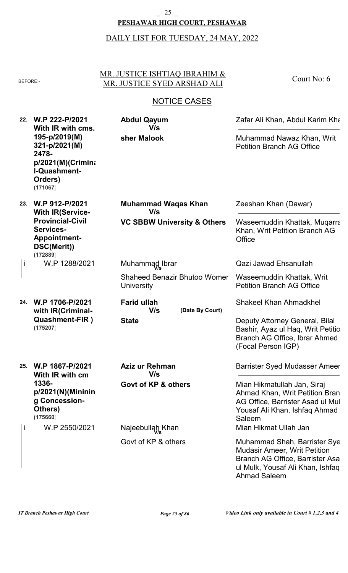### **PESHAWAR HIGH COURT, PESHAWAR** \_ 25 \_

# DAILY LIST FOR TUESDAY, 24 MAY, 2022

### MR. JUSTICE ISHTIAQ IBRAHIM & BEFORE: MR. JUSTICE SYED ARSHAD ALI

Court No: 6

| 22. | W.P 222-P/2021<br>With IR with cms.<br>195-p/2019(M)<br>321-p/2021(M)<br>2478-<br>$p/2021(M)$ (Crimina<br>I-Quashment-<br>Orders)<br>(171067) | <b>Abdul Qayum</b><br>V/s                         | Zafar Ali Khan, Abdul Karim Kha                                                                                                                                   |
|-----|-----------------------------------------------------------------------------------------------------------------------------------------------|---------------------------------------------------|-------------------------------------------------------------------------------------------------------------------------------------------------------------------|
|     |                                                                                                                                               | sher Malook                                       | Muhammad Nawaz Khan, Writ<br><b>Petition Branch AG Office</b>                                                                                                     |
| 23. | W.P 912-P/2021<br><b>With IR(Service-</b><br><b>Provincial-Civil</b><br>Services-<br><b>Appointment-</b><br>DSC(Merit))<br>(172889)           | <b>Muhammad Waqas Khan</b><br>V/s                 | Zeeshan Khan (Dawar)                                                                                                                                              |
|     |                                                                                                                                               | <b>VC SBBW University &amp; Others</b>            | Waseemuddin Khattak, Muqarra<br>Khan, Writ Petition Branch AG<br>Office                                                                                           |
| j   | W.P 1288/2021                                                                                                                                 | Muhammad Ibrar                                    | Qazi Jawad Ehsanullah                                                                                                                                             |
|     |                                                                                                                                               | <b>Shaheed Benazir Bhutoo Womer</b><br>University | Waseemuddin Khattak, Writ<br><b>Petition Branch AG Office</b>                                                                                                     |
| 24. | W.P 1706-P/2021<br>with IR(Criminal-                                                                                                          | <b>Farid ullah</b><br>V/s<br>(Date By Court)      | <b>Shakeel Khan Ahmadkhel</b>                                                                                                                                     |
|     | <b>Quashment-FIR</b> )<br>(175207)                                                                                                            | <b>State</b>                                      | Deputy Attorney General, Bilal<br>Bashir, Ayaz ul Haq, Writ Petitio<br>Branch AG Office, Ibrar Ahmed<br>(Focal Person IGP)                                        |
| 25. | W.P 1867-P/2021<br>With IR with cm                                                                                                            | Aziz ur Rehman<br>V/s                             | <b>Barrister Syed Mudasser Ameer</b>                                                                                                                              |
|     | 1336-<br>p/2021(N)(Mininin)<br>g Concession-<br>Others)<br>(175660)                                                                           | Govt of KP & others                               | Mian Hikmatullah Jan, Siraj<br>Ahmad Khan, Writ Petition Bran<br>AG Office, Barrister Asad ul Mul<br>Yousaf Ali Khan, Ishfaq Ahmad<br>Saleem                      |
|     | W.P 2550/2021                                                                                                                                 | Najeebullah Khan                                  | Mian Hikmat Ullah Jan                                                                                                                                             |
|     |                                                                                                                                               | Govt of KP & others                               | Muhammad Shah, Barrister Sye<br><b>Mudasir Ameer, Writ Petition</b><br>Branch AG Office, Barrister Asa<br>ul Mulk, Yousaf Ali Khan, Ishfaq<br><b>Ahmad Saleem</b> |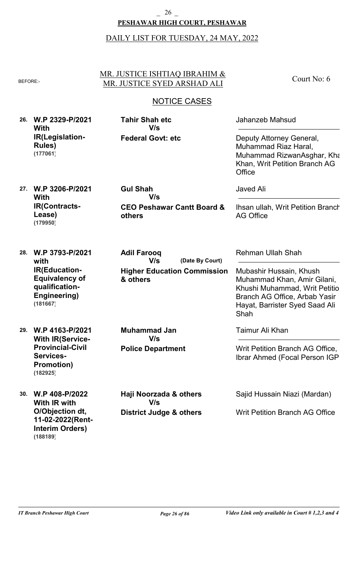### **PESHAWAR HIGH COURT, PESHAWAR** \_ 26 \_

### DAILY LIST FOR TUESDAY, 24 MAY, 2022

#### MR. JUSTICE ISHTIAQ IBRAHIM & BEFORE:- MR. JUSTICE SYED ARSHAD ALI

## NOTICE CASES

**26. W.P 2329-P/2021 With IR(Legislation-Rules) (177061)**

**Federal Govt: etc Tahir Shah etc V/s**

**V/s**

**V/s**

Jahanzeb Mahsud

Deputy Attorney General, Muhammad Riaz Haral, Muhammad RizwanAsghar, Kha Khan, Writ Petition Branch AG **Office** 

Court No: 6

**27. W.P 3206-P/2021 With IR(Contracts-Lease) (179950)**

**CEO Peshawar Cantt Board & others**

**Higher Education Commission**

**(Date By Court)**

**28. W.P 3793-P/2021 with IR(Education-Equivalency of qualification-Engineering) (181667)**

**29. W.P 4163-P/2021 With IR(Service-Provincial-Civil Services-Promotion) (182925)**

**30. W.P 408-P/2022 With IR with O/Objection dt, 11-02-2022(Rent-Interim Orders) (188189)**

**Police Department Muhammad Jan V/s**

**& others**

**Adil Farooq**

**Gul Shah**

**District Judge & others Haji Noorzada & others V/s**

Javed Ali

Ihsan ullah, Writ Petition Branch AG Office

Rehman Ullah Shah

Mubashir Hussain, Khush Muhammad Khan, Amir Gilani, Khushi Muhammad, Writ Petition Branch AG Office, Arbab Yasir Hayat, Barrister Syed Saad Ali Shah

Taimur Ali Khan

Writ Petition Branch AG Office, Ibrar Ahmed (Focal Person IGP)

Sajid Hussain Niazi (Mardan)

Writ Petition Branch AG Office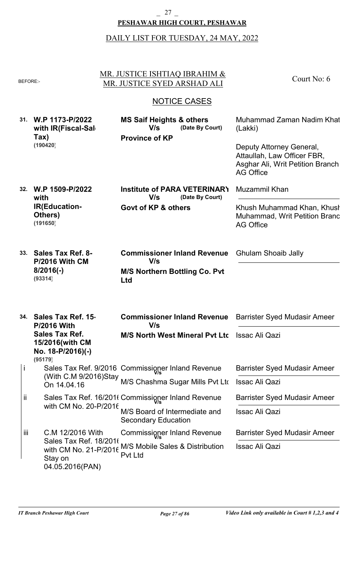### **PESHAWAR HIGH COURT, PESHAWAR** \_ 27 \_

| BEFORE:- |                                                                             | MR. JUSTICE ISHTIAQ IBRAHIM &<br>MR. JUSTICE SYED ARSHAD ALI                             | Court No: 6                                                                                                     |
|----------|-----------------------------------------------------------------------------|------------------------------------------------------------------------------------------|-----------------------------------------------------------------------------------------------------------------|
|          |                                                                             | <b>NOTICE CASES</b>                                                                      |                                                                                                                 |
|          | 31. W.P 1173-P/2022<br>with IR(Fiscal-Sal<br>Tax)                           | <b>MS Saif Heights &amp; others</b><br>(Date By Court)<br>V/s<br><b>Province of KP</b>   | Muhammad Zaman Nadim Khat<br>(Lakki)                                                                            |
|          | (190420)                                                                    |                                                                                          | Deputy Attorney General,<br>Attaullah, Law Officer FBR,<br>Asghar Ali, Writ Petition Branch<br><b>AG Office</b> |
| 32.      | W.P 1509-P/2022<br>with                                                     | Institute of PARA VETERINARY<br>V/s<br>(Date By Court)                                   | <b>Muzammil Khan</b>                                                                                            |
|          | <b>IR(Education-</b><br>Others)<br>(191650)                                 | Govt of KP & others                                                                      | Khush Muhammad Khan, Khush<br>Muhammad, Writ Petition Branc<br><b>AG Office</b>                                 |
| 33.      | <b>Sales Tax Ref. 8-</b><br><b>P/2016 With CM</b><br>$8/2016(-)$<br>(93314) | <b>Commissioner Inland Revenue</b><br>V/s<br><b>M/S Northern Bottling Co. Pvt</b><br>Ltd | <b>Ghulam Shoaib Jally</b>                                                                                      |
| 34.      | Sales Tax Ref. 15<br><b>P/2016 With</b>                                     | <b>Commissioner Inland Revenue</b> Barrister Syed Mudasir Ameer<br>V/s                   |                                                                                                                 |
|          | <b>Sales Tax Ref.</b><br>15/2016(with CM<br>No. 18-P/2016)(-)<br>(95179)    | M/S North West Mineral Pvt Ltc Issac Ali Qazi                                            |                                                                                                                 |
| j        |                                                                             | Sales Tax Ref. 9/2016 Commissioner Inland Revenue                                        | <b>Barrister Syed Mudasir Ameer</b>                                                                             |
|          |                                                                             | (With C.M 9/2016)Stay<br>M/S Chashma Sugar Mills Pvt Ltd                                 | <b>Issac Ali Qazi</b>                                                                                           |
| ij.      |                                                                             | Sales Tax Ref. 16/201t Commissioner Inland Revenue                                       | <b>Barrister Syed Mudasir Ameer</b>                                                                             |
|          | with CM No. 20-P/2016                                                       | M/S Board of Intermediate and                                                            | Issac Ali Qazi                                                                                                  |
|          |                                                                             | <b>Secondary Education</b>                                                               |                                                                                                                 |
| iii.     | C.M 12/2016 With<br>Sales Tax Ref. 18/2016                                  | Commissioner Inland Revenue                                                              | <b>Barrister Syed Mudasir Ameer</b>                                                                             |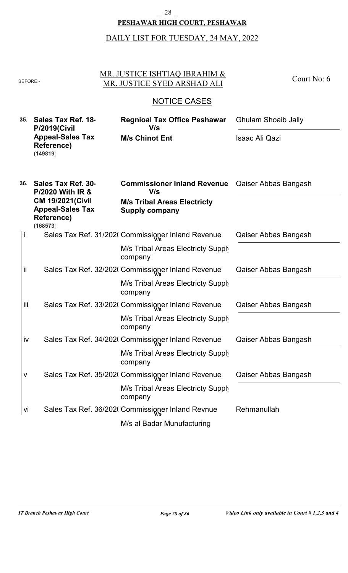#### **PESHAWAR HIGH COURT, PESHAWAR** \_ 28 \_

|     | <b>BEFORE:-</b>                                                              | MR. JUSTICE ISHTIAQ IBRAHIM &<br>MR. JUSTICE SYED ARSHAD ALI                    | Court No: 6                |
|-----|------------------------------------------------------------------------------|---------------------------------------------------------------------------------|----------------------------|
|     |                                                                              | <b>NOTICE CASES</b>                                                             |                            |
| 35. | Sales Tax Ref. 18                                                            | <b>Regnioal Tax Office Peshawar</b><br>V/s                                      | <b>Ghulam Shoaib Jally</b> |
|     | <b>P/2019(Civil</b><br><b>Appeal-Sales Tax</b><br>Reference)<br>(149819)     | <b>M/s Chinot Ent</b>                                                           | <b>Isaac Ali Qazi</b>      |
| 36. | Sales Tax Ref. 30<br><b>P/2020 With IR &amp;</b><br><b>CM 19/2021 (Civil</b> | <b>Commissioner Inland Revenue</b><br>V/s<br><b>M/s Tribal Areas Electricty</b> | Qaiser Abbas Bangash       |
|     | <b>Appeal-Sales Tax</b><br>Reference)<br>(168573)                            | <b>Supply company</b>                                                           |                            |
| İ   |                                                                              | Sales Tax Ref. 31/202( Commissioner Inland Revenue                              | Qaiser Abbas Bangash       |
|     |                                                                              | M/s Tribal Areas Electricty Supply<br>company                                   |                            |
| ij  |                                                                              | Sales Tax Ref. 32/202( Commissioner Inland Revenue                              | Qaiser Abbas Bangash       |
|     |                                                                              | M/s Tribal Areas Electricty Supply<br>company                                   |                            |
| Ϊİİ |                                                                              | Sales Tax Ref. 33/202( Commissioner Inland Revenue                              | Qaiser Abbas Bangash       |
|     |                                                                              | M/s Tribal Areas Electricty Supply<br>company                                   |                            |
| iv  |                                                                              | Sales Tax Ref. 34/202( Commissioner Inland Revenue                              | Qaiser Abbas Bangash       |
|     |                                                                              | M/s Tribal Areas Electricty Supply<br>company                                   |                            |
| V   |                                                                              | Sales Tax Ref. 35/202( Commissioner Inland Revenue                              | Qaiser Abbas Bangash       |
|     |                                                                              | M/s Tribal Areas Electricty Supply<br>company                                   |                            |
| Vİ  |                                                                              | Sales Tax Ref. 36/202( Commissioner Inland Revnue                               | Rehmanullah                |
|     |                                                                              | M/s al Badar Munufacturing                                                      |                            |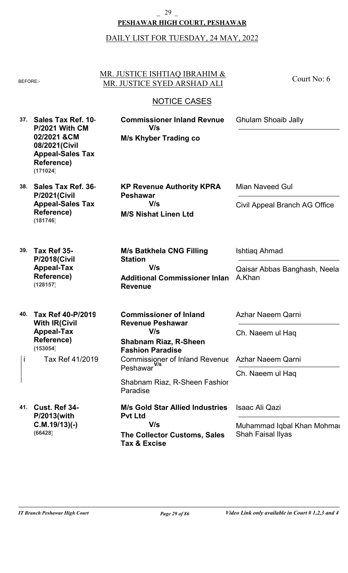### **PESHAWAR HIGH COURT, PESHAWAR** \_ 29 \_

| BEFORE:-  |                                                                                                                                  | MR. JUSTICE ISHTIAQ IBRAHIM &<br>MR. JUSTICE SYED ARSHAD ALI                                                                                                                                                          | Court No: 6                                                                    |
|-----------|----------------------------------------------------------------------------------------------------------------------------------|-----------------------------------------------------------------------------------------------------------------------------------------------------------------------------------------------------------------------|--------------------------------------------------------------------------------|
|           |                                                                                                                                  | <b>NOTICE CASES</b>                                                                                                                                                                                                   |                                                                                |
| 37.       | Sales Tax Ref. 10<br><b>P/2021 With CM</b><br>02/2021 & CM<br>08/2021(Civil<br><b>Appeal-Sales Tax</b><br>Reference)<br>(171024) | <b>Commissioner Inland Revnue</b><br>V/s<br><b>M/s Khyber Trading co</b>                                                                                                                                              | <b>Ghulam Shoaib Jally</b>                                                     |
| 38.       | Sales Tax Ref. 36<br><b>P/2021(Civil</b><br><b>Appeal-Sales Tax</b><br><b>Reference)</b><br>(181746)                             | <b>KP Revenue Authority KPRA</b><br><b>Peshawar</b><br>V/s<br><b>M/S Nishat Linen Ltd</b>                                                                                                                             | <b>Mian Naveed Gul</b><br>Civil Appeal Branch AG Office                        |
| 39.       | Tax Ref 35-<br><b>P/2018(Civil</b><br><b>Appeal-Tax</b><br><b>Reference)</b><br>(128157)                                         | <b>M/s Batkhela CNG Filling</b><br><b>Station</b><br>V/s<br><b>Additional Commissioner Inlan</b><br><b>Revenue</b>                                                                                                    | Ishtiag Ahmad<br>Qaisar Abbas Banghash, Neela<br>A.Khan                        |
| 40.<br>j. | Tax Ref 40-P/2019<br><b>With IR(Civil</b><br><b>Appeal-Tax</b><br>Reference)<br>(153054)<br>Tax Ref 41/2019                      | <b>Commissioner of Inland</b><br><b>Revenue Peshawar</b><br>V/s<br><b>Shabnam Riaz, R-Sheen</b><br><b>Fashion Paradise</b><br>Commissioner of Inland Revenue<br>Peshawar<br>Shabnam Riaz, R-Sheen Fashior<br>Paradise | Azhar Naeem Qarni<br>Ch. Naeem ul Haq<br>Azhar Naeem Qarni<br>Ch. Naeem ul Haq |
| 41.       | Cust. Ref 34-<br>P/2013(with<br>$C.M.19/13$ )(-)<br>(66428)                                                                      | <b>M/s Gold Star Allied Industries</b><br><b>Pvt Ltd</b><br>V/s<br><b>The Collector Customs, Sales</b><br><b>Tax &amp; Excise</b>                                                                                     | Isaac Ali Qazi<br>Muhammad Iqbal Khan Mohmai<br><b>Shah Faisal Ilyas</b>       |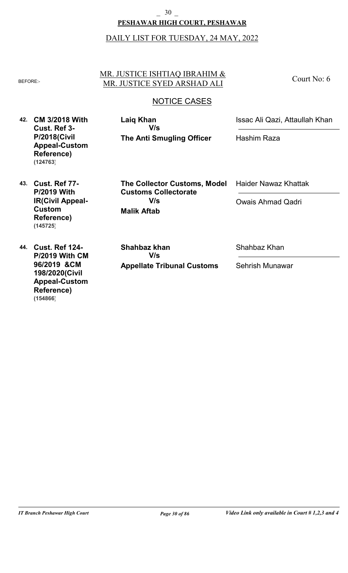#### **PESHAWAR HIGH COURT, PESHAWAR** \_ 30 \_

### DAILY LIST FOR TUESDAY, 24 MAY, 2022

#### MR. JUSTICE ISHTIAQ IBRAHIM & BEFORE: MR. JUSTICE SYED ARSHAD ALI

Court No: 6

### NOTICE CASES

**42. CM 3/2018 With Cust. Ref 3- P/2018(Civil Appeal-Custom Reference) (124763)**

**The Anti Smugling Officer Laiq Khan V/s**

Issac Ali Qazi, Attaullah Khan

Hashim Raza

**43. Cust. Ref 77- P/2019 With IR(Civil Appeal-Custom Reference) (145725)**

**44. Cust. Ref 124- P/2019 With CM 96/2019 &CM 198/2020(Civil Appeal-Custom Reference) (154866)**

**Malik Aftab The Collector Customs, Model Customs Collectorate V/s**

Haider Nawaz Khattak

Owais Ahmad Qadri

**Appellate Tribunal Customs Shahbaz khan V/s**

Shahbaz Khan

Sehrish Munawar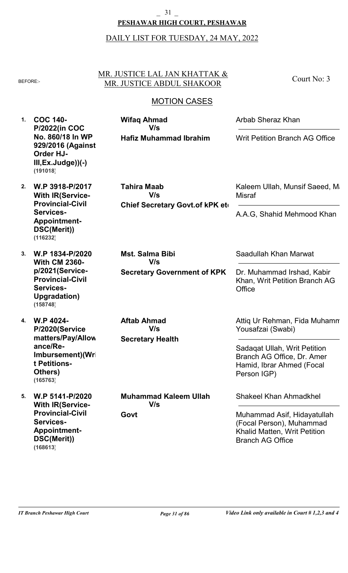### **PESHAWAR HIGH COURT, PESHAWAR** \_ 31 \_

### DAILY LIST FOR TUESDAY, 24 MAY, 2022

MR. JUSTICE LAL JAN KHATTAK & BEFORE:- MR. JUSTICE ABDUL SHAKOOR

**Wifaq Ahmad**

**V/s**

**Hafiz Muhammad Ibrahim**

# MOTION CASES

**1. COC 140- P/2022(in COC No. 860/18 In WP 929/2016 (Against Order HJ-III,Ex.Judge))(-) (191018)**

- **2. W.P 3918-P/2017 With IR(Service-Provincial-Civil Services-Appointment-DSC(Merit)) (116232)**
- **3. W.P 1834-P/2020 With CM 2360 p/2021(Service-Provincial-Civil Services-Upgradation) (158748)**

**4. W.P 4024- P/2020(Service matters/Pay/Allow ance/Re-Imbursement)(Wri t Petitions-Others) (165763)**

**5. W.P 5141-P/2020 With IR(Service-Provincial-Civil Services-Appointment-DSC(Merit)) (168613)**

**Chief Secretary Govt.of kPK et Tahira Maab V/s**

**Secretary Government of KPK**

**Secretary Health**

**V/s**

**Muhammad Kaleem Ullah**

**V/s**

**Aftab Ahmad**

**Mst. Salma Bibi**

**V/s**

**Govt**

Arbab Sheraz Khan

Writ Petition Branch AG Office

Court No: 3

Kaleem Ullah, Munsif Saeed, Ma **Misraf** 

A.A.G, Shahid Mehmood Khan

Saadullah Khan Marwat

Dr. Muhammad Irshad, Kabir Khan, Writ Petition Branch AG **Office** 

Attiq Ur Rehman, Fida Muhamm Yousafzai (Swabi)

Sadaqat Ullah, Writ Petition Branch AG Office, Dr. Amer Hamid, Ibrar Ahmed (Focal Person IGP)

Shakeel Khan Ahmadkhel

Muhammad Asif, Hidayatullah (Focal Person), Muhammad Khalid Matten, Writ Petition Branch AG Office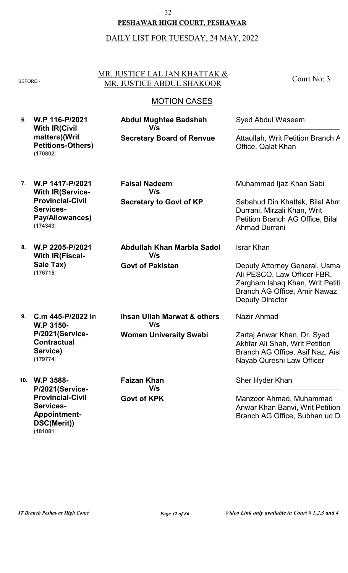### **PESHAWAR HIGH COURT, PESHAWAR** \_ 32 \_

### DAILY LIST FOR TUESDAY, 24 MAY, 2022

#### MR. JUSTICE LAL JAN KHATTAK & BEFORE:- MR. JUSTICE ABDUL SHAKOOR

### MOTION CASES

**6. W.P 116-P/2021 With IR(Civil matters)(Writ Petitions-Others) (170802)**

**Secretary Board of Renvue Abdul Mughtee Badshah V/s**

**Secretary to Govt of KP**

**Faisal Nadeem**

**V/s**

Syed Abdul Waseem

Attaullah, Writ Petition Branch A Office, Qalat Khan

Court No: 3

**7. W.P 1417-P/2021 With IR(Service-Provincial-Civil Services-Pay/Allowances) (174343)**

**8. W.P 2205-P/2021 With IR(Fiscal-Sale Tax) (176715)**

**9. C.m 445-P/2022 In W.P 3150- P/2021(Service-Contractual Service) (179774)**

**10. W.P 3588- P/2021(Service-Provincial-Civil Services-Appointment-DSC(Merit)) (181081)**

**Abdullah Khan Marbla Sadol**

**Govt of Pakistan**

**V/s**

**Women University Swabi Ihsan Ullah Marwat & others V/s**

**Govt of KPK Faizan Khan V/s**

Muhammad Ijaz Khan Sabi

Sabahud Din Khattak, Bilal Ahm Durrani, Mirzali Khan, Writ Petition Branch AG Office, Bilal Ahmad Durrani

Israr Khan

Deputy Attorney General, Usma Ali PESCO, Law Officer FBR, Zargham Ishaq Khan, Writ Petiti Branch AG Office, Amir Nawaz Deputy Director

Nazir Ahmad

Zartaj Anwar Khan, Dr. Syed Akhtar Ali Shah, Writ Petition Branch AG Office, Asif Naz, Aish Nayab Qureshi Law Officer

Sher Hyder Khan

Manzoor Ahmad, Muhammad Anwar Khan Banvi, Writ Petition Branch AG Office, Subhan ud D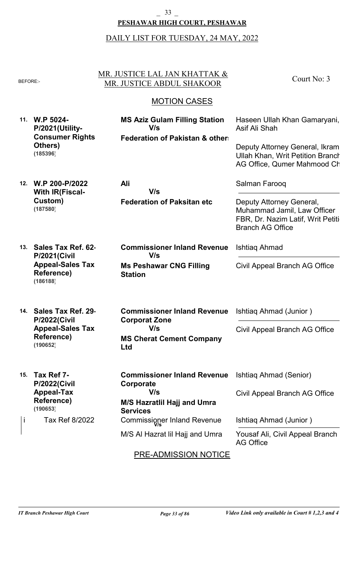#### **PESHAWAR HIGH COURT, PESHAWAR** \_ 33 \_

| <b>BEFORE:-</b> |                                                                                   | MR. JUSTICE LAL JAN KHATTAK &<br>MR. JUSTICE ABDUL SHAKOOR                                | Court No: 3                                                                                                                                               |
|-----------------|-----------------------------------------------------------------------------------|-------------------------------------------------------------------------------------------|-----------------------------------------------------------------------------------------------------------------------------------------------------------|
|                 |                                                                                   | <b>MOTION CASES</b>                                                                       |                                                                                                                                                           |
|                 | 11. W.P 5024-<br>P/2021(Utility-<br><b>Consumer Rights</b><br>Others)<br>(185396) | <b>MS Aziz Gulam Filling Station</b><br>V/s<br><b>Federation of Pakistan &amp; other:</b> | Haseen Ullah Khan Gamaryani,<br>Asif Ali Shah<br>Deputy Attorney General, Ikram<br><b>Ullah Khan, Writ Petition Branch</b><br>AG Office, Qumer Mahmood Ch |
| 12.             | W.P 200-P/2022<br><b>With IR(Fiscal-</b>                                          | Ali<br>V/s                                                                                | Salman Farooq                                                                                                                                             |
|                 | Custom)<br>(187580)                                                               | <b>Federation of Paksitan etc</b>                                                         | Deputy Attorney General,<br>Muhammad Jamil, Law Officer<br>FBR, Dr. Nazim Latif, Writ Petiti<br><b>Branch AG Office</b>                                   |
| 13.             | Sales Tax Ref. 62-<br><b>P/2021(Civil</b>                                         | <b>Commissioner Inland Revenue</b><br>V/s                                                 | Ishtiag Ahmad                                                                                                                                             |
|                 | <b>Appeal-Sales Tax</b><br>Reference)<br>(186188)                                 | <b>Ms Peshawar CNG Filling</b><br><b>Station</b>                                          | Civil Appeal Branch AG Office                                                                                                                             |
| 14.             | Sales Tax Ref. 29<br><b>P/2022(Civil</b>                                          | <b>Commissioner Inland Revenue</b><br><b>Corporat Zone</b>                                | Ishtiag Ahmad (Junior)                                                                                                                                    |
|                 | <b>Appeal-Sales Tax</b><br><b>Reference)</b><br>(190652)                          | V/s<br><b>MS Cherat Cement Company</b><br>Ltd                                             | Civil Appeal Branch AG Office                                                                                                                             |
| 15.             | Tax Ref 7-                                                                        | <b>Commissioner Inland Revenue</b>                                                        | Ishtiag Ahmad (Senior)                                                                                                                                    |
|                 | <b>P/2022(Civil</b><br><b>Appeal-Tax</b><br>Reference)<br>(190653)                | Corporate<br>V/s<br>M/S Hazratlil Hajj and Umra<br><b>Services</b>                        | Civil Appeal Branch AG Office                                                                                                                             |
| İ               | Tax Ref 8/2022                                                                    | Commissioner Inland Revenue                                                               | Ishtiag Ahmad (Junior)                                                                                                                                    |
|                 |                                                                                   | M/S AI Hazrat lil Hajj and Umra                                                           | Yousaf Ali, Civil Appeal Branch<br><b>AG Office</b>                                                                                                       |
|                 |                                                                                   | <b>PRE-ADMISSION NOTICE</b>                                                               |                                                                                                                                                           |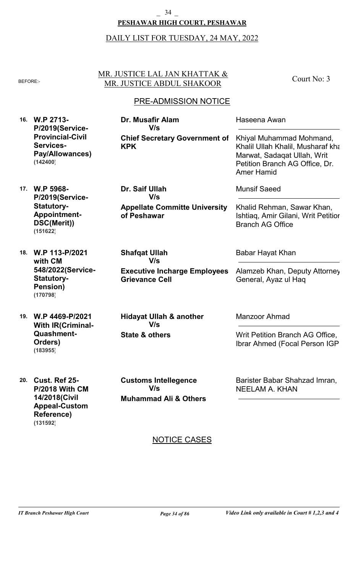# \_ 34 \_

### **PESHAWAR HIGH COURT, PESHAWAR**

#### DAILY LIST FOR TUESDAY, 24 MAY, 2022

#### MR. JUSTICE LAL JAN KHATTAK & BEFORE: MR. JUSTICE ABDUL SHAKOOR

### PRE-ADMISSION NOTICE

**16. W.P 2713- P/2019(Service-Provincial-Civil Services-Pay/Allowances) (142400)**

**Chief Secretary Government of KPK Dr. Musafir Alam V/s**

**Appellate Committe University**

**Executive Incharge Employees**

**of Peshawar**

**Dr. Saif Ullah**

**V/s**

**Grievance Cell**

**Shafqat Ullah**

**V/s**

Khiyal Muhammad Mohmand,

- **17. W.P 5968- P/2019(Service-Statutory-Appointment-DSC(Merit)) (151622)**
- **18. W.P 113-P/2021 with CM 548/2022(Service-Statutory-Pension) (170798)**
- **19. W.P 4469-P/2021 With IR(Criminal-Quashment-Orders) (183955)**

**20. Cust. Ref 25-**

**Reference)**

**(131592)**

**P/2018 With CM 14/2018(Civil Appeal-Custom**

**State & others Hidayat Ullah & another V/s**

**Muhammad Ali & Others Customs Intellegence V/s**

Manzoor Ahmad

Writ Petition Branch AG Office, Ibrar Ahmed (Focal Person IGP)

Barister Babar Shahzad Imran, NEELAM A. KHAN

### NOTICE CASES

Court No: 3

Khalil Ullah Khalil, Musharaf kha Marwat, Sadaqat Ullah, Writ Petition Branch AG Office, Dr.

Munsif Saeed

Amer Hamid

Haseena Awan

Khalid Rehman, Sawar Khan, Ishtiaq, Amir Gilani, Writ Petition Branch AG Office

Babar Hayat Khan

Alamzeb Khan, Deputy Attorney General, Ayaz ul Haq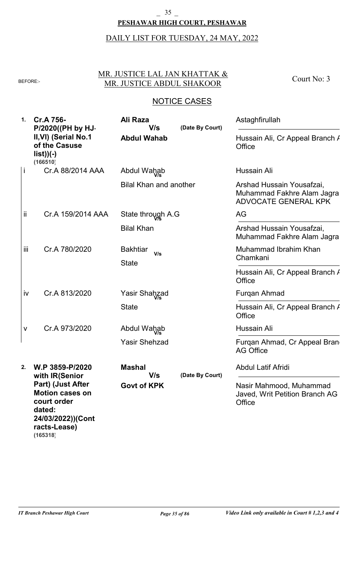#### **PESHAWAR HIGH COURT, PESHAWAR**  $-35$

# DAILY LIST FOR TUESDAY, 24 MAY, 2022

### MR. JUSTICE LAL JAN KHATTAK & BEFORE: MR. JUSTICE ABDUL SHAKOOR

Court No: 3

| 1.  | Cr.A 756-<br>P/2020((PH by HJ                                                                                         | Ali Raza<br>V/s                        | (Date By Court) | Astaghfirullah                                                                         |
|-----|-----------------------------------------------------------------------------------------------------------------------|----------------------------------------|-----------------|----------------------------------------------------------------------------------------|
|     | II, VI) (Serial No.1<br>of the Casuse<br>$list))(-)$<br>(166510)                                                      | <b>Abdul Wahab</b>                     |                 | Hussain Ali, Cr Appeal Branch /<br>Office                                              |
|     | Cr.A 88/2014 AAA                                                                                                      | Abdul Wahab                            |                 | Hussain Ali                                                                            |
|     |                                                                                                                       | <b>Bilal Khan and another</b>          |                 | Arshad Hussain Yousafzai,<br>Muhammad Fakhre Alam Jagra<br><b>ADVOCATE GENERAL KPK</b> |
| ii  | Cr.A 159/2014 AAA                                                                                                     | State through A.G                      |                 | AG                                                                                     |
|     |                                                                                                                       | <b>Bilal Khan</b>                      |                 | Arshad Hussain Yousafzai,<br>Muhammad Fakhre Alam Jagra                                |
| iii | Cr.A 780/2020                                                                                                         | <b>Bakhtiar</b><br>V/s<br><b>State</b> |                 | Muhammad Ibrahim Khan<br>Chamkani                                                      |
|     |                                                                                                                       |                                        |                 | Hussain Ali, Cr Appeal Branch /<br>Office                                              |
| iv  | Cr.A 813/2020                                                                                                         | Yasir Shahzad                          |                 | Furgan Ahmad                                                                           |
|     |                                                                                                                       | <b>State</b>                           |                 | Hussain Ali, Cr Appeal Branch /<br>Office                                              |
| ٨   | Cr.A 973/2020                                                                                                         | Abdul Wahab                            |                 | Hussain Ali                                                                            |
|     |                                                                                                                       | <b>Yasir Shehzad</b>                   |                 | Furgan Ahmad, Cr Appeal Bran<br><b>AG Office</b>                                       |
| 2.  | W.P 3859-P/2020<br>with IR(Senior                                                                                     | Mashal<br>V/s                          | (Date By Court) | Abdul Latif Afridi                                                                     |
|     | Part) (Just After<br><b>Motion cases on</b><br>court order<br>dated:<br>24/03/2022))(Cont<br>racts-Lease)<br>(165318) | <b>Govt of KPK</b>                     |                 | Nasir Mahmood, Muhammad<br>Javed, Writ Petition Branch AG<br>Office                    |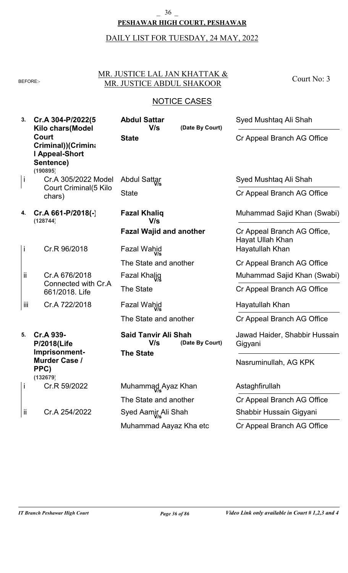#### **PESHAWAR HIGH COURT, PESHAWAR**  $\frac{36}{5}$

# DAILY LIST FOR TUESDAY, 24 MAY, 2022

### MR. JUSTICE LAL JAN KHATTAK & BEFORE: MR. JUSTICE ABDUL SHAKOOR

Court No: 3

| 3.           | Cr.A 304-P/2022(5<br>Kilo chars(Model                                  | <b>Abdul Sattar</b><br>V/s         | (Date By Court) | Syed Mushtaq Ali Shah                           |
|--------------|------------------------------------------------------------------------|------------------------------------|-----------------|-------------------------------------------------|
|              | Court<br>Criminal))(Crimina<br>I Appeal-Short<br>Sentence)<br>(190895) | <b>State</b>                       |                 | Cr Appeal Branch AG Office                      |
| j            | Cr.A 305/2022 Model                                                    | <b>Abdul Sattar</b>                |                 | Syed Mushtaq Ali Shah                           |
|              | Court Criminal(5 Kilo<br>chars)                                        | <b>State</b>                       |                 | Cr Appeal Branch AG Office                      |
| 4.           | $Cr.A 661-P/2018(-)$<br>(128744)                                       | <b>Fazal Khaliq</b><br>V/s         |                 | Muhammad Sajid Khan (Swabi)                     |
|              |                                                                        | <b>Fazal Wajid and another</b>     |                 | Cr Appeal Branch AG Office,<br>Hayat Ullah Khan |
| j.           | Cr.R 96/2018                                                           | Fazal Wahid                        |                 | Hayatullah Khan                                 |
|              |                                                                        | The State and another              |                 | Cr Appeal Branch AG Office                      |
| ii           | Cr.A 676/2018                                                          | Fazal Khalig                       |                 | Muhammad Sajid Khan (Swabi)                     |
|              | Connected with Cr.A<br>661/2018. Life                                  | <b>The State</b>                   |                 | Cr Appeal Branch AG Office                      |
| iii          | Cr.A 722/2018                                                          | Fazal Wahid                        |                 | Hayatullah Khan                                 |
|              |                                                                        | The State and another              |                 | Cr Appeal Branch AG Office                      |
| 5.           | Cr.A 939-<br><b>P/2018(Life</b>                                        | <b>Said Tanvir Ali Shah</b><br>V/s | (Date By Court) | Jawad Haider, Shabbir Hussain<br>Gigyani        |
|              | Imprisonment-<br><b>Murder Case /</b><br>PPC)<br>(132679)              | <b>The State</b>                   |                 | Nasruminullah, AG KPK                           |
| $\mathbf{I}$ | Cr.R 59/2022                                                           | Muhammad Ayaz Khan                 |                 | Astaghfirullah                                  |
|              |                                                                        | The State and another              |                 | Cr Appeal Branch AG Office                      |
| ij           | Cr.A 254/2022                                                          | Syed Aamir Ali Shah                |                 | Shabbir Hussain Gigyani                         |
|              |                                                                        | Muhammad Aayaz Kha etc             |                 | Cr Appeal Branch AG Office                      |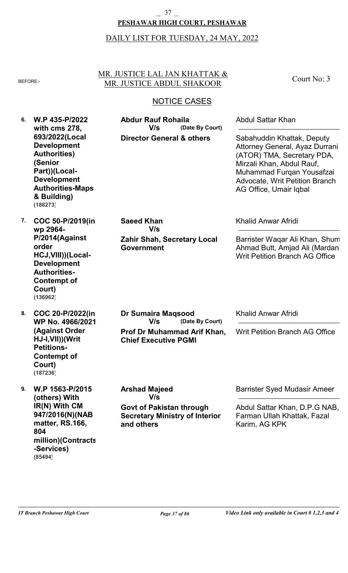### **PESHAWAR HIGH COURT, PESHAWAR** \_ 37 \_

#### DAILY LIST FOR TUESDAY, 24 MAY, 2022

#### MR. JUSTICE LAL JAN KHATTAK & BEFORE:- MR. JUSTICE ABDUL SHAKOOR

Court No: 3

### NOTICE CASES

**6. W.P 435-P/2022 7. COC 50-P/2019(in 8. COC 20-P/2022(in 9. W.P 1563-P/2015 with cms 278, 693/2022(Local Development Authorities) (Senior Part))(Local-Development Authorities-Maps & Building) wp 2964- P/2014(Against order HCJ,VIII))(Local-Development Authorities-Contempt of Court) WP No. 4966/2021 (Against Order HJ-I,VII))(Writ Petitions-Contempt of Court) (others) With IR(N) With CM 947/2016(N)(NAB matter, RS.166, 804 million)(Contracts -Services) Director General & others Zahir Shah, Secretary Local Government Prof Dr Muhammad Arif Khan, Chief Executive PGMI Govt of Pakistan through Secretary Ministry of Interior and others (Date By Court) (Date By Court) Abdur Rauf Rohaila Saeed Khan Dr Sumaira Maqsood Arshad Majeed** Abdul Sattar Khan Khalid Anwar Afridi Khalid Anwar Afridi Barrister Syed Mudasir Ameer Sabahuddin Khattak, Deputy Attorney General, Ayaz Durrani (ATOR) TMA, Secretary PDA, Mirzali Khan, Abdul Rauf, Muhammad Furqan Yousafzai Advocate, Writ Petition Branch AG Office, Umair Iqbal Barrister Waqar Ali Khan, Shum Ahmad Butt, Amjad Ali (Mardan), Writ Petition Branch AG Office Writ Petition Branch AG Office Abdul Sattar Khan, D.P.G NAB, Farman Ullah Khattak, Fazal Karim, AG KPK **V/s V/s V/s V/s (188273) (136962) (187236)**

**(85494)**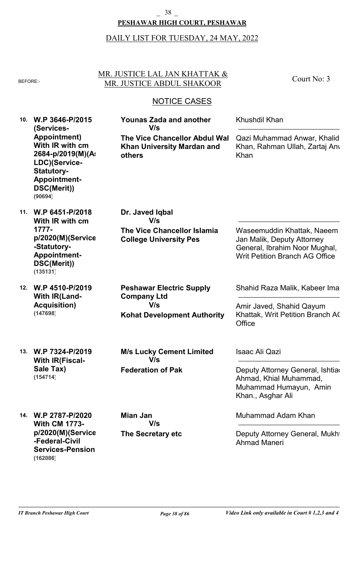#### **PESHAWAR HIGH COURT, PESHAWAR** \_ 38 \_

# DAILY LIST FOR TUESDAY, 24 MAY, 2022

### MR. JUSTICE LAL JAN KHATTAK & BEFORE: MR. JUSTICE ABDUL SHAKOOR

Court No: 3

| 10. | W.P 3646-P/2015<br>(Services-                                                                                                                | <b>Younas Zada and another</b><br>V/s                                               | Khushdil Khan                                                                                            |
|-----|----------------------------------------------------------------------------------------------------------------------------------------------|-------------------------------------------------------------------------------------|----------------------------------------------------------------------------------------------------------|
|     | <b>Appointment</b> )<br>With IR with cm<br>2684-p/2019(M)(A:<br>LDC)(Service-<br><b>Statutory-</b><br>Appointment-<br>DSC(Merit))<br>(90694) | <b>The Vice Chancellor Abdul Wal</b><br><b>Khan University Mardan and</b><br>others | Qazi Muhammad Anwar, Khalid<br>Khan, Rahman Ullah, Zartaj Any<br>Khan                                    |
| 11. | W.P 6451-P/2018<br>With IR with cm<br>$1777 -$                                                                                               | Dr. Javed Iqbal<br>V/s<br><b>The Vice Chancellor Islamia</b>                        | Waseemuddin Khattak, Naeem                                                                               |
|     | p/2020(M)(Service<br>-Statutory-<br>Appointment-<br>DSC(Merit))<br>(135131)                                                                  | <b>College University Pes</b>                                                       | Jan Malik, Deputy Attorney<br>General, Ibrahim Noor Mughal,<br><b>Writ Petition Branch AG Office</b>     |
| 12. | W.P 4510-P/2019<br><b>With IR(Land-</b>                                                                                                      | <b>Peshawar Electric Supply</b><br><b>Company Ltd</b>                               | Shahid Raza Malik, Kabeer Ima                                                                            |
|     | <b>Acquisition)</b><br>(147698)                                                                                                              | V/s<br><b>Kohat Development Authority</b>                                           | Amir Javed, Shahid Qayum<br>Khattak, Writ Petition Branch AC<br>Office                                   |
| 13. | W.P 7324-P/2019<br><b>With IR(Fiscal-</b>                                                                                                    | <b>M/s Lucky Cement Limited</b><br>V/s                                              | <b>Isaac Ali Qazi</b>                                                                                    |
|     | Sale Tax)<br>(154714)                                                                                                                        | <b>Federation of Pak</b>                                                            | Deputy Attorney General, Ishtia<br>Ahmad, Khial Muhammad,<br>Muhammad Humayun, Amin<br>Khan., Asghar Ali |
| 14. | W.P 2787-P/2020<br><b>With CM 1773-</b>                                                                                                      | <b>Mian Jan</b><br>V/s                                                              | Muhammad Adam Khan                                                                                       |
|     | p/2020(M)(Service<br>-Federal-Civil<br><b>Services-Pension</b><br>(162086)                                                                   | The Secretary etc                                                                   | Deputy Attorney General, Mukht<br><b>Ahmad Maneri</b>                                                    |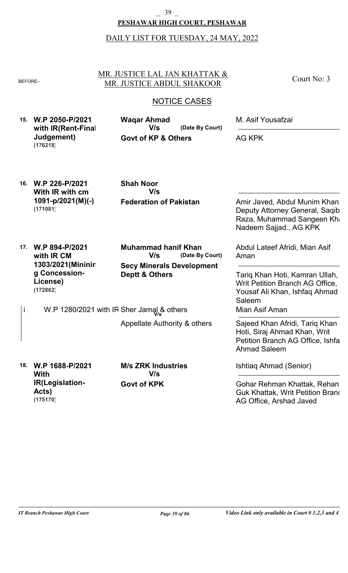#### **PESHAWAR HIGH COURT, PESHAWAR** \_ 39 \_

### DAILY LIST FOR TUESDAY, 24 MAY, 2022

#### MR. JUSTICE LAL JAN KHATTAK & BEFORE:- MR. JUSTICE ABDUL SHAKOOR

Court No: 3

### NOTICE CASES

| 15. W.P 2050-P/2021    | Wagar Ahmad                    |                 | M. Asif Yousafzai |
|------------------------|--------------------------------|-----------------|-------------------|
| with IR(Rent-Final     | V/s                            | (Date By Court) |                   |
| Judgement)<br>(176218) | <b>Govt of KP &amp; Others</b> |                 | AG KPK            |

**16. W.P 226-P/2021 With IR with cm 1091-p/2021(M)(-) (171081)**

**Federation of Pakistan Shah Noor V/s**

Amir Javed, Abdul Munim Khan, Deputy Attorney General, Saqib Raza, Muhammad Sangeen Kha Nadeem Sajjad., AG KPK

**17. W.P 894-P/2021 with IR CM 1303/2021(Mininin g Concession-License) (172862)**

**Secy Minerals Development Deptt & Others (Date By Court) Muhammad hanif Khan V/s**

i W.P 1280/2021 with IR Sher Jamal & others

Appellate Authority & others

**18. W.P 1688-P/2021 With IR(Legislation-Acts) (175170)**

**Govt of KPK M/s ZRK Industries V/s**

Abdul Lateef Afridi, Mian Asif Aman

Tariq Khan Hoti, Kamran Ullah, Writ Petition Branch AG Office, Yousaf Ali Khan, Ishfaq Ahmad Saleem Mian Asif Aman

Sajeed Khan Afridi, Tariq Khan Hoti, Siraj Ahmad Khan, Writ Petition Branch AG Office, Ishfaq Ahmad Saleem

Ishtiaq Ahmad (Senior)

Gohar Rehman Khattak, Rehan Guk Khattak, Writ Petition Brand AG Office, Arshad Javed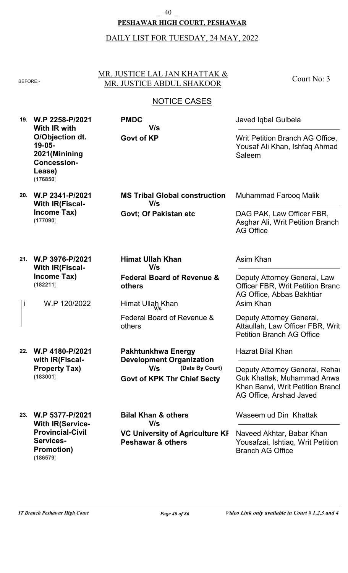### **PESHAWAR HIGH COURT, PESHAWAR** \_ 40 \_

#### DAILY LIST FOR TUESDAY, 24 MAY, 2022

#### MR. JUSTICE LAL JAN KHATTAK & BEFORE:- MR. JUSTICE ABDUL SHAKOOR

**Govt of KP**

**V/s**

**PMDC**

Court No: 3

### NOTICE CASES

**19. W.P 2258-P/2021 With IR with O/Objection dt. 19-05- 2021(Minining Concession-Lease) (176850)**

**20. W.P 2341-P/2021**

**(177090)**

**With IR(Fiscal-Income Tax)**

**Govt; Of Pakistan etc MS Tribal Global construction V/s**

Muhammad Farooq Malik

Asim Khan

Asim Khan

Saleem

Hazrat Bilal Khan

Javed Iqbal Gulbela

DAG PAK, Law Officer FBR, Asghar Ali, Writ Petition Branch AG Office

Deputy Attorney General, Law **Officer FBR, Writ Petition Branch** 

Deputy Attorney General, Rehan Guk Khattak, Muhammad Anwar Khan Banvi, Writ Petition Brancl

Attaullah, Law Officer FBR, Writ

AG Office, Arshad Javed

AG Office, Abbas Bakhtiar

Deputy Attorney General,

Petition Branch AG Office

Writ Petition Branch AG Office, Yousaf Ali Khan, Ishfaq Ahmad

- **21. W.P 3976-P/2021 With IR(Fiscal-Income Tax) (182211)**
	- W.P 120/2022 i Himat Ullah Khan **V/s**
- **22. W.P 4180-P/2021 with IR(Fiscal-Property Tax) (183001)**
- **Federal Board of Revenue & others**

**Himat Ullah Khan**

**V/s**

Federal Board of Revenue & others

**Govt of KPK Thr Chief Secty (Date By Court) Pakhtunkhwa Energy Development Organization V/s**

**23. W.P 5377-P/2021 With IR(Service-Provincial-Civil Services-Promotion) VC University of Agriculture KP Peshawar & others Bilal Khan & others** Waseem ud Din Khattak Naveed Akhtar, Babar Khan Yousafzai, Ishtiaq, Writ Petition Branch AG Office **V/s (186579)**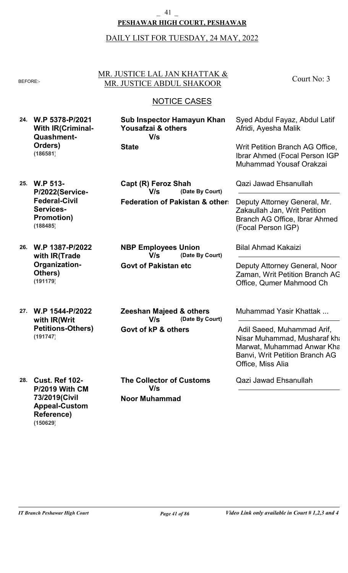#### **PESHAWAR HIGH COURT, PESHAWAR** \_ 41 \_

#### DAILY LIST FOR TUESDAY, 24 MAY, 2022

#### MR. JUSTICE LAL JAN KHATTAK & BEFORE: MR. JUSTICE ABDUL SHAKOOR

Court No: 3

### NOTICE CASES

- **24. W.P 5378-P/2021 With IR(Criminal-Quashment-Orders) State Sub Inspector Hamayun Khan Yousafzai & others** Afridi, Ayesha Malik **V/s (186581)**
- **25. W.P 513- P/2022(Service-Federal-Civil Services-Promotion) (188485)**
- **26. W.P 1387-P/2022 with IR(Trade Organization-Others) (191179)**
- **27. W.P 1544-P/2022 with IR(Writ Petitions-Others) (191747)**

**Federation of Pakistan & others (Date By Court) Capt (R) Feroz Shah V/s**

**Govt of Pakistan etc (Date By Court) NBP Employees Union V/s**

**Govt of kP & others (Date By Court) Zeeshan Majeed & others V/s**

**28. Cust. Ref 102- P/2019 With CM 73/2019(Civil Appeal-Custom Reference) (150629)**

**Noor Muhammad The Collector of Customs V/s**

Syed Abdul Fayaz, Abdul Latif

Writ Petition Branch AG Office, Ibrar Ahmed (Focal Person IGP), Muhammad Yousaf Orakzai

Qazi Jawad Ehsanullah

Deputy Attorney General, Mr. Zakaullah Jan, Writ Petition Branch AG Office, Ibrar Ahmed (Focal Person IGP)

Bilal Ahmad Kakaizi

Deputy Attorney General, Noor Zaman, Writ Petition Branch AG Office, Qumer Mahmood Ch

Muhammad Yasir Khattak ...

 Adil Saeed, Muhammad Arif, Nisar Muhammad, Musharaf kha Marwat, Muhammad Anwar Kha Banvi, Writ Petition Branch AG Office, Miss Alia

Qazi Jawad Ehsanullah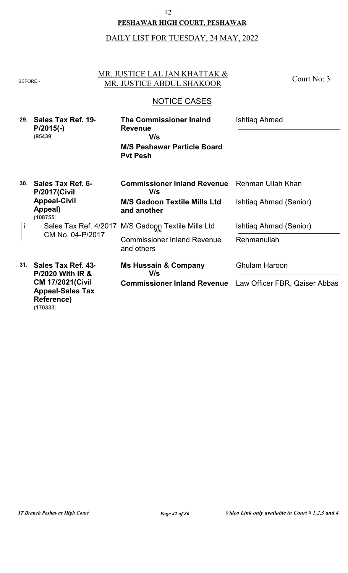#### **PESHAWAR HIGH COURT, PESHAWAR** \_ 42 \_

# DAILY LIST FOR TUESDAY, 24 MAY, 2022

| <b>BEFORE:-</b> |                                                                                               | MR. JUSTICE LAL JAN KHATTAK &<br>MR. JUSTICE ABDUL SHAKOOR                                                       | Court No: 3                                 |
|-----------------|-----------------------------------------------------------------------------------------------|------------------------------------------------------------------------------------------------------------------|---------------------------------------------|
|                 |                                                                                               | <b>NOTICE CASES</b>                                                                                              |                                             |
| 29.             | Sales Tax Ref. 19<br>$P/2015(-)$<br>(95439)                                                   | <b>The Commissioner Inalnd</b><br><b>Revenue</b><br>V/s<br><b>M/S Peshawar Particle Board</b><br><b>Pyt Pesh</b> | Ishtiag Ahmad                               |
| 30.             | <b>Sales Tax Ref. 6-</b><br><b>P/2017(Civil</b><br><b>Appeal-Civil</b><br>Appeal)<br>(108755) | <b>Commissioner Inland Revenue</b><br>V/s<br><b>M/S Gadoon Textile Mills Ltd</b><br>and another                  | Rehman Ullah Khan<br>Ishtiag Ahmad (Senior) |
| Ť               | Sales Tax Ref. 4/2017                                                                         | M/S Gadoon Textile Mills Ltd                                                                                     | Ishtiag Ahmad (Senior)                      |
|                 | CM No. 04-P/2017                                                                              | <b>Commissioner Inland Revenue</b><br>and others                                                                 | Rehmanullah                                 |
| 31.             | Sales Tax Ref. 43<br><b>P/2020 With IR &amp;</b>                                              | <b>Ms Hussain &amp; Company</b><br>V/s                                                                           | <b>Ghulam Haroon</b>                        |
|                 | <b>CM 17/2021(Civil</b><br><b>Appeal-Sales Tax</b><br>Reference)<br>(170333)                  | <b>Commissioner Inland Revenue</b> Law Officer FBR, Qaiser Abbas                                                 |                                             |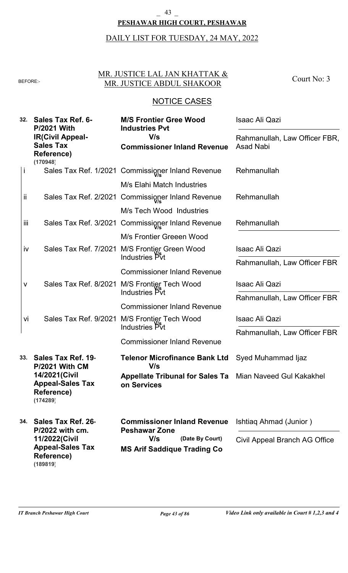### **PESHAWAR HIGH COURT, PESHAWAR** \_ 43 \_

# DAILY LIST FOR TUESDAY, 24 MAY, 2022

### MR. JUSTICE LAL JAN KHATTAK & BEFORE: MR. JUSTICE ABDUL SHAKOOR

Court No: 3

| 32.          | <b>Sales Tax Ref. 6-</b><br><b>P/2021 With</b><br><b>IR(Civil Appeal-</b><br><b>Sales Tax</b><br>Reference)<br>(170948) | <b>M/S Frontier Gree Wood</b><br><b>Industries Pvt</b><br>V/s<br><b>Commissioner Inland Revenue</b> | Isaac Ali Qazi<br>Rahmanullah, Law Officer FBR,<br><b>Asad Nabi</b> |
|--------------|-------------------------------------------------------------------------------------------------------------------------|-----------------------------------------------------------------------------------------------------|---------------------------------------------------------------------|
| j            |                                                                                                                         | Sales Tax Ref. 1/2021 Commissioner Inland Revenue                                                   | Rehmanullah                                                         |
|              |                                                                                                                         | M/s Elahi Match Industries                                                                          |                                                                     |
| ii           |                                                                                                                         | Sales Tax Ref. 2/2021 Commissioner Inland Revenue                                                   | Rehmanullah                                                         |
|              |                                                                                                                         | M/s Tech Wood Industries                                                                            |                                                                     |
| iii.         |                                                                                                                         | Sales Tax Ref. 3/2021 Commissioner Inland Revenue                                                   | Rehmanullah                                                         |
|              |                                                                                                                         | M/s Frontier Greeen Wood                                                                            |                                                                     |
| İV           |                                                                                                                         | Sales Tax Ref. 7/2021 M/S Frontier Green Wood                                                       | Isaac Ali Qazi                                                      |
|              |                                                                                                                         | Industries Pvt                                                                                      | Rahmanullah, Law Officer FBR                                        |
|              |                                                                                                                         | <b>Commissioner Inland Revenue</b>                                                                  |                                                                     |
| $\mathsf{V}$ |                                                                                                                         | Sales Tax Ref. 8/2021 M/S Frontier Tech Wood<br>Industries Pvt                                      | <b>Isaac Ali Qazi</b>                                               |
|              |                                                                                                                         |                                                                                                     | Rahmanullah, Law Officer FBR                                        |
|              |                                                                                                                         | <b>Commissioner Inland Revenue</b>                                                                  |                                                                     |
|              | Sales Tax Ref. 9/2021<br>vi                                                                                             | M/S Frontier Tech Wood<br>Industries Pvt                                                            | <b>Isaac Ali Qazi</b>                                               |
|              |                                                                                                                         | <b>Commissioner Inland Revenue</b>                                                                  | Rahmanullah, Law Officer FBR                                        |
|              |                                                                                                                         |                                                                                                     |                                                                     |
| 33.          | Sales Tax Ref. 19<br><b>P/2021 With CM</b>                                                                              | <b>Telenor Microfinance Bank Ltd</b><br>V/s                                                         | Syed Muhammad Ijaz                                                  |
|              | 14/2021 (Civil<br><b>Appeal-Sales Tax</b><br><b>Reference)</b><br>(174289)                                              | <b>Appellate Tribunal for Sales Ta</b> Mian Naveed Gul Kakakhel<br>on Services                      |                                                                     |
| 34.          | Sales Tax Ref. 26<br>P/2022 with cm.                                                                                    | <b>Commissioner Inland Revenue</b><br><b>Peshawar Zone</b>                                          | Ishtiag Ahmad (Junior)                                              |
|              | 11/2022(Civil<br><b>Appeal-Sales Tax</b><br>Reference)<br>(189819)                                                      | V/s<br>(Date By Court)<br><b>MS Arif Saddique Trading Co</b>                                        | Civil Appeal Branch AG Office                                       |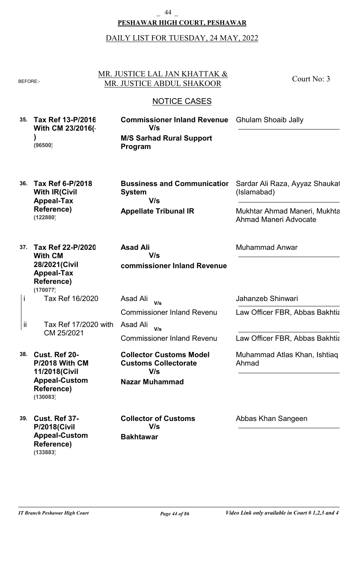#### **PESHAWAR HIGH COURT, PESHAWAR** \_ 44 \_

#### DAILY LIST FOR TUESDAY, 24 MAY, 2022

#### MR. JUSTICE LAL JAN KHATTAK & BEFORE:- MR. JUSTICE ABDUL SHAKOOR

Court No: 3

### NOTICE CASES

**35. Tax Ref 13-P/2016 With CM 23/2016(- ) (96500)**

**M/S Sarhad Rural Support Program Commissioner Inland Revenue V/s**

**36. Tax Ref 6-P/2018 With IR(Civil Appeal-Tax Reference) (122880)**

**Appellate Tribunal IR Bussiness and Communication System V/s**

Sardar Ali Raza, Ayyaz Shaukat (Islamabad)

Ghulam Shoaib Jally

Mukhtar Ahmad Maneri, Mukhtar Ahmad Maneri Advocate

**37. Tax Ref 22-P/2020 With CM 28/2021(Civil Appeal-Tax Reference)** Tax Ref 16/2020 i **(170077)**

Tax Ref 17/2020 with CM 25/2021 ii

**38. Cust. Ref 20- P/2018 With CM 11/2018(Civil Appeal-Custom Reference) (130083)**

**39. Cust. Ref 37- P/2018(Civil Appeal-Custom Reference) (133883)**

**commissioner Inland Revenue Asad Ali V/s**

Commissioner Inland Revenu Asad Ali **V/s**

Commissioner Inland Revenu Asad Ali **V/s**

**Nazar Muhammad Collector Customs Model Customs Collectorate V/s**

**Bakhtawar Collector of Customs V/s**

Jahanzeb Shinwari

Muhammad Anwar

Law Officer FBR, Abbas Bakhtia

Law Officer FBR, Abbas Bakhtia

Muhammad Atlas Khan, Ishtiaq Ahmad

Abbas Khan Sangeen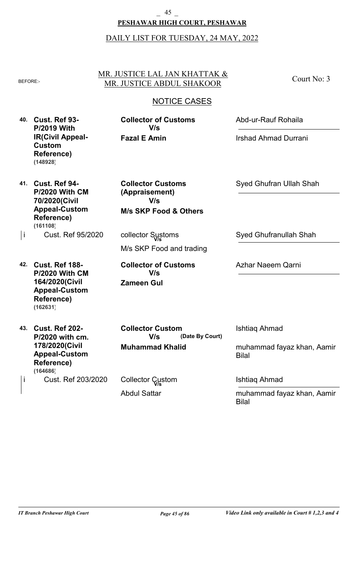### **PESHAWAR HIGH COURT, PESHAWAR** \_ 45 \_

### DAILY LIST FOR TUESDAY, 24 MAY, 2022

#### MR. JUSTICE LAL JAN KHATTAK & BEFORE: MR. JUSTICE ABDUL SHAKOOR

### NOTICE CASES

**40. Cust. Ref 93- P/2019 With IR(Civil Appeal-Custom Reference) (148928)**

**Fazal E Amin Collector of Customs V/s**

**M/s SKP Food & Others**

**Collector Customs (Appraisement)**

**V/s**

collector Sustoms **V/s**

M/s SKP Food and trading

**Collector of Customs**

**V/s**

Abd-ur-Rauf Rohaila

Court No: 3

Irshad Ahmad Durrani

**41. Cust. Ref 94- P/2020 With CM 70/2020(Civil Appeal-Custom Reference)** Cust. Ref 95/2020 i **(161108)**

**42. Cust. Ref 188- P/2020 With CM 164/2020(Civil Appeal-Custom Reference) (162631)**

**43. Cust. Ref 202-**

**Reference)**

i

**P/2020 with cm. 178/2020(Civil Appeal-Custom**

**Muhammad Khalid (Date By Court) Collector Custom V/s**

Cust. Ref 203/2020 **(164686)**

Abdul Sattar Collector Custom **V/s**

**Zameen Gul**

Syed Ghufranullah Shah

Syed Ghufran Ullah Shah

Azhar Naeem Qarni

Ishtiaq Ahmad

muhammad fayaz khan, Aamir Bilal

Ishtiaq Ahmad

muhammad fayaz khan, Aamir Bilal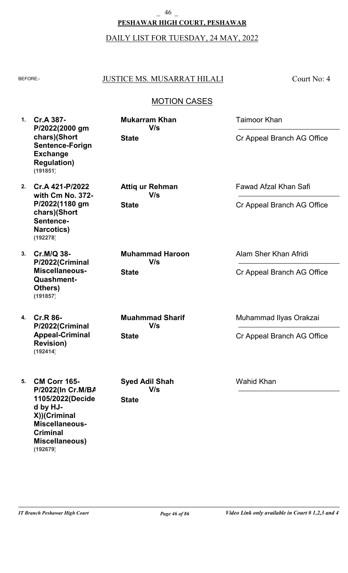# **PESHAWAR HIGH COURT, PESHAWAR** \_ 46 \_

### DAILY LIST FOR TUESDAY, 24 MAY, 2022

### BEFORE: JUSTICE MS. MUSARRAT HILALI

Court No: 4

# MOTION CASES

**1. Cr.A 387- P/2022(2000 gm chars)(Short Sentence-Forign Exchange Regulation) (191851)**

**2. Cr.A 421-P/2022 with Cm No. 372- P/2022(1180 gm chars)(Short Sentence-Narcotics) (192278)**

**3. Cr.M/Q 38- P/2022(Criminal Miscellaneous-Quashment-Others) (191857)**

**4. Cr.R 86- P/2022(Criminal Appeal-Criminal Revision) (192414)**

**5. CM Corr 165- P/2022(In Cr.M/BA 1105/2022(Decide d by HJ-X))(Criminal Miscellaneous-Criminal Miscellaneous) (192679)**

**State Mukarram Khan V/s**

**State Attiq ur Rehman V/s**

**State Muhammad Haroon V/s**

**State Muahmmad Sharif V/s**

**State Syed Adil Shah V/s**

Fawad Afzal Khan Safi

Taimoor Khan

Cr Appeal Branch AG Office

Cr Appeal Branch AG Office

Alam Sher Khan Afridi

Cr Appeal Branch AG Office

Muhammad Ilyas Orakzai

Cr Appeal Branch AG Office

Wahid Khan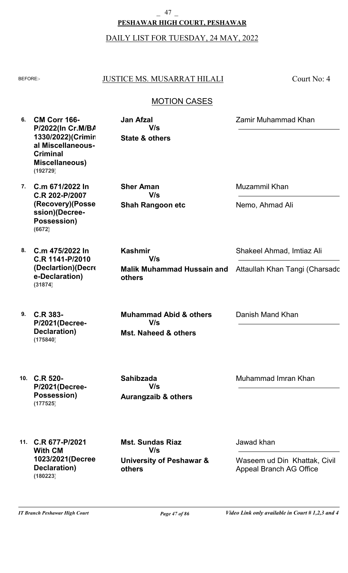# **PESHAWAR HIGH COURT, PESHAWAR** \_ 47 \_

DAILY LIST FOR TUESDAY, 24 MAY, 2022

### BEFORE:- JUSTICE MS. MUSARRAT HILALI

Court No: 4

### MOTION CASES

**6. CM Corr 166- 7. C.m 671/2022 In 8. C.m 475/2022 In 9. C.R 383- 10. C.R 520- 11. C.R 677-P/2021 P/2022(In Cr.M/BA 1330/2022)(Crimin al Miscellaneous-Criminal Miscellaneous) C.R 202-P/2007 (Recovery)(Posse ssion)(Decree-Possession) C.R 1141-P/2010 (Declartion)(Decre e-Declaration) P/2021(Decree-Declaration) P/2021(Decree-Possession) With CM 1023/2021(Decree-Declaration) State & others Shah Rangoon etc Malik Muhammad Hussain and others Mst. Naheed & others Aurangzaib & others University of Peshawar & others Jan Afzal Sher Aman Kashmir Muhammad Abid & others Sahibzada Mst. Sundas Riaz** Zamir Muhammad Khan Muzammil Khan Shakeel Ahmad, Imtiaz Ali Danish Mand Khan Muhammad Imran Khan Jawad khan Nemo, Ahmad Ali Attaullah Khan Tangi (Charsadd Waseem ud Din Khattak, Civil Appeal Branch AG Office **V/s V/s V/s V/s V/s V/s (192729) (6672) (31874) (175840) (177525) (180223)**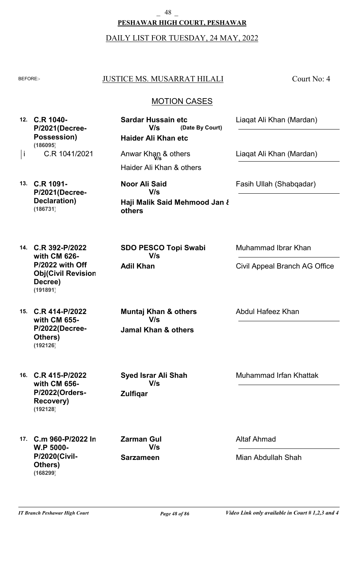**PESHAWAR HIGH COURT, PESHAWAR** \_ 48 \_

DAILY LIST FOR TUESDAY, 24 MAY, 2022

#### BEFORE: JUSTICE MS. MUSARRAT HILALI

Court No: 4

### MOTION CASES

**(Date By Court)**

**12. C.R 1040- P/2021(Decree-Possession)** C.R 1041/2021 **(186095)**

Haider Ali Khan & others |i C.R 1041/2021 Anwar Khan & others **In Liaqat Ali Khan (Mardan)** 

**Haider Ali Khan etc**

**Sardar Hussain etc**

**V/s**

**13. C.R 1091- P/2021(Decree-Declaration) (186731)**

**14. C.R 392-P/2022**

**Decree)**

**(191891)**

**with CM 626- P/2022 with Off Obj(Civil Revision-** **Haji Malik Said Mehmood Jan & others Noor Ali Said V/s**

Muhammad Ibrar Khan

Abdul Hafeez Khan

Liaqat Ali Khan (Mardan)

Fasih Ullah (Shabqadar)

Civil Appeal Branch AG Office

**15. C.R 414-P/2022 with CM 655- P/2022(Decree-Others) (192126)**

**16. C.R 415-P/2022 with CM 656- P/2022(Orders-Recovery) (192128)**

**Jamal Khan & others Muntaj Khan & others V/s**

**SDO PESCO Topi Swabi**

**V/s**

**Adil Khan**

**Zulfiqar Syed Israr Ali Shah V/s**

**17. C.m 960-P/2022 In W.P 5000- P/2020(Civil-Others) (168299)**

**Sarzameen Zarman Gul V/s**

Muhammad Irfan Khattak

Altaf Ahmad

Mian Abdullah Shah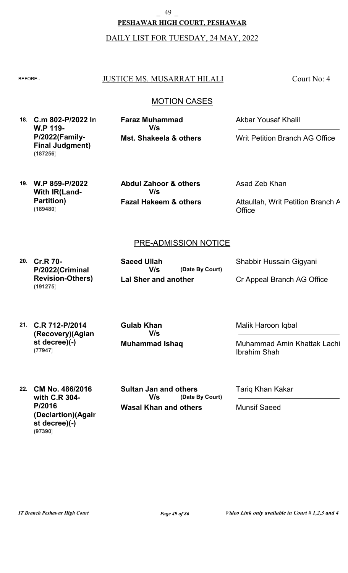**PESHAWAR HIGH COURT, PESHAWAR** \_ 49 \_

DAILY LIST FOR TUESDAY, 24 MAY, 2022

#### BEFORE: JUSTICE MS. MUSARRAT HILALI

Court No: 4

### MOTION CASES

**18. C.m 802-P/2022 In W.P 119- P/2022(Family-Final Judgment) (187256)**

**Mst. Shakeela & others Faraz Muhammad V/s**

Akbar Yousaf Khalil

Writ Petition Branch AG Office

**19. W.P 859-P/2022 With IR(Land-Partition) (189480)**

**Fazal Hakeem & others Abdul Zahoor & others V/s**

Asad Zeb Khan

Attaullah, Writ Petition Branch A **Office** 

### PRE-ADMISSION NOTICE

**20. Cr.R 70- P/2022(Criminal Revision-Others) (191275)**

**Lal Sher and another (Date By Court) Saeed Ullah V/s**

Shabbir Hussain Gigyani

Cr Appeal Branch AG Office

**21. C.R 712-P/2014 (Recovery)(Agian st decree)(-) (77947)**

**Muhammad Ishaq Gulab Khan V/s**

Malik Haroon Iqbal

Muhammad Amin Khattak Lachi, Ibrahim Shah

**22. CM No. 486/2016 with C.R 304- P/2016 (Declartion)(Again st decree)(-) (97390)**

**Wasal Khan and others (Date By Court) Sultan Jan and others V/s**

Tariq Khan Kakar

Munsif Saeed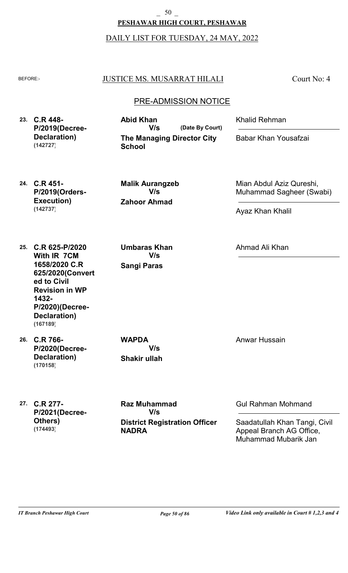\_ 50 \_

**PESHAWAR HIGH COURT, PESHAWAR**

DAILY LIST FOR TUESDAY, 24 MAY, 2022

### BEFORE: JUSTICE MS. MUSARRAT HILALI

Court No: 4

### PRE-ADMISSION NOTICE

**23. C.R 448- P/2019(Decree-Declaration) (142727)**

**The Managing Director City School (Date By Court) Abid Khan V/s**

Khalid Rehman

Babar Khan Yousafzai

**24. C.R 451- P/2019(Orders-Execution) (142737)**

**Zahoor Ahmad Malik Aurangzeb V/s**

Mian Abdul Aziz Qureshi, Muhammad Sagheer (Swabi)

Ayaz Khan Khalil

Ahmad Ali Khan

**25. C.R 625-P/2020 With IR 7CM 1658/2020 C.R 625/2020(Convert ed to Civil Revision in WP 1432- P/2020)(Decree-Declaration) (167189)**

**26. C.R 766- P/2020(Decree-Declaration) (170158)**

**Shakir ullah WAPDA V/s**

**Sangi Paras**

**Umbaras Khan**

**V/s**

**27. C.R 277- P/2021(Decree-Others) (174493)**

**District Registration Officer NADRA Raz Muhammad V/s**

Anwar Hussain

Gul Rahman Mohmand

Saadatullah Khan Tangi, Civil Appeal Branch AG Office, Muhammad Mubarik Jan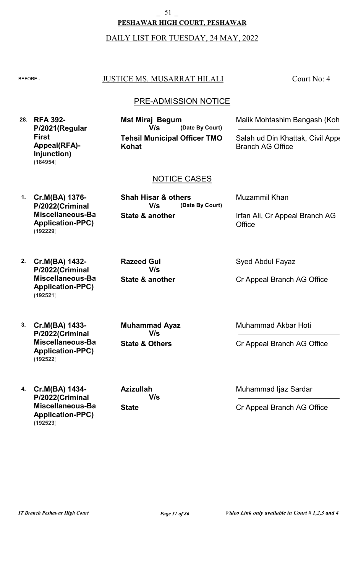#### 51

#### **PESHAWAR HIGH COURT, PESHAWAR**

### DAILY LIST FOR TUESDAY, 24 MAY, 2022

### BEFORE: JUSTICE MS. MUSARRAT HILALI

### PRE-ADMISSION NOTICE

**28. RFA 392- P/2021(Regular First Appeal(RFA)- Injunction) (184954)**

**Tehsil Municipal Officer TMO Kohat (Date By Court) Mst Miraj Begum V/s**

Malik Mohtashim Bangash (Koh

Court No: 4

Salah ud Din Khattak, Civil Appe Branch AG Office

### NOTICE CASES

**1. Cr.M(BA) 1376- P/2022(Criminal Miscellaneous-Bail Application-PPC) (192229)**

**State & another (Date By Court) V/s**

**Shah Hisar & others**

Muzammil Khan

**Office** 

**2. Cr.M(BA) 1432- P/2022(Criminal Miscellaneous-Bail Application-PPC) (192521)**

**State & another Razeed Gul V/s**

Syed Abdul Fayaz

Cr Appeal Branch AG Office

Irfan Ali, Cr Appeal Branch AG

**3. Cr.M(BA) 1433- P/2022(Criminal Miscellaneous-Bail Application-PPC) (192522)**

**4. Cr.M(BA) 1434- P/2022(Criminal Miscellaneous-Bail Application-PPC) (192523)**

**State & Others Muhammad Ayaz V/s**

**State Azizullah V/s** Muhammad Akbar Hoti

Cr Appeal Branch AG Office

Muhammad Ijaz Sardar

Cr Appeal Branch AG Office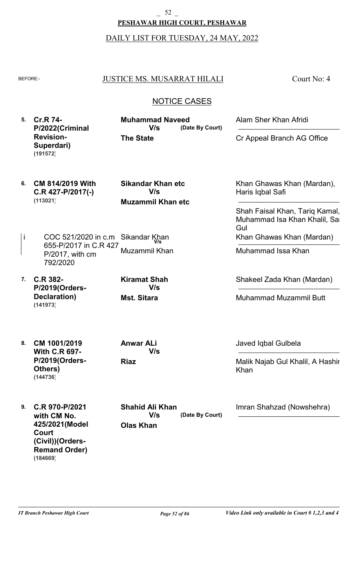**PESHAWAR HIGH COURT, PESHAWAR** 52

DAILY LIST FOR TUESDAY, 24 MAY, 2022

| ◡   | ıL |
|-----|----|
| Ξ   |    |
| . . |    |

#### JUSTICE MS. MUSARRAT HILALI

Court No: 4

### NOTICE CASES

**5. Cr.R 74- P/2022(Criminal Revision-Superdari) The State (Date By Court) Muhammad Naveed** Alam Sher Khan Afridi Cr Appeal Branch AG Office **V/s (191572)**

**6. CM 814/2019 With C.R 427-P/2017(-) (113021)**

**Muzammil Khan etc Sikandar Khan etc V/s**

- i COC 521/2020 in c.m Sikandar Khan 655-P/2017 in C.R 427- P/2017, with cm 792/2020 Muzammil Khan
- **7. C.R 382- P/2019(Orders-Declaration) (141973)**

**Mst. Sitara Kiramat Shah V/s**

Khan Ghawas Khan (Mardan), Haris Iqbal Safi

Shah Faisal Khan, Tariq Kamal, Muhammad Isa Khan Khalil, Sa Gul Khan Ghawas Khan (Mardan)

Muhammad Issa Khan

Shakeel Zada Khan (Mardan)

Muhammad Muzammil Butt

**8. CM 1001/2019 With C.R 697- P/2019(Orders-Others) (144736)**

**Riaz Anwar ALi V/s** Javed Iqbal Gulbela

Malik Najab Gul Khalil, A Hashir Khan

**9. C.R 970-P/2021 with CM No. 425/2021(Model Court (Civil))(Orders-Remand Order) (184669)**

**Olas Khan (Date By Court) Shahid Ali Khan V/s**

Imran Shahzad (Nowshehra)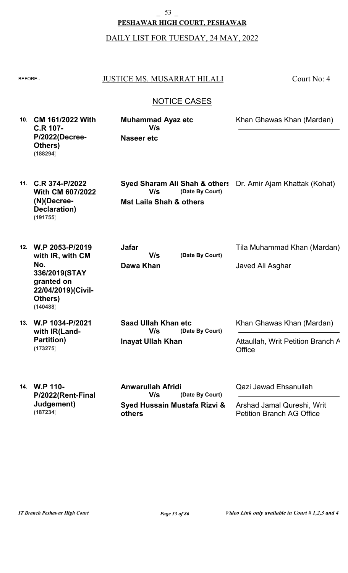**PESHAWAR HIGH COURT, PESHAWAR** \_ 53 \_

DAILY LIST FOR TUESDAY, 24 MAY, 2022

| <b>BEFORE:-</b>     |                                                                                                                        | <b>JUSTICE MS. MUSARRAT HILALI</b>                                                            | Court No: 4                                                                             |
|---------------------|------------------------------------------------------------------------------------------------------------------------|-----------------------------------------------------------------------------------------------|-----------------------------------------------------------------------------------------|
| <b>NOTICE CASES</b> |                                                                                                                        |                                                                                               |                                                                                         |
| 10.                 | <b>CM 161/2022 With</b><br><b>C.R 107-</b><br>P/2022(Decree-<br>Others)<br>(188294)                                    | <b>Muhammad Ayaz etc</b><br>V/s<br><b>Naseer etc</b>                                          | Khan Ghawas Khan (Mardan)                                                               |
| 11.                 | C.R 374-P/2022<br><b>With CM 607/2022</b><br>$(N)$ (Decree-<br>Declaration)<br>(191755)                                | Syed Sharam Ali Shah & others<br>(Date By Court)<br>V/s<br><b>Mst Laila Shah &amp; others</b> | Dr. Amir Ajam Khattak (Kohat)                                                           |
| 12.                 | W.P 2053-P/2019<br>with IR, with CM<br>No.<br>336/2019(STAY<br>granted on<br>22/04/2019)(Civil-<br>Others)<br>(140488) | <b>Jafar</b><br>(Date By Court)<br>V/s<br>Dawa Khan                                           | Tila Muhammad Khan (Mardan)<br>Javed Ali Asghar                                         |
| 13.                 | W.P 1034-P/2021<br>with IR(Land-<br><b>Partition)</b><br>(173275)                                                      | <b>Saad Ullah Khan etc</b><br>V/s<br>(Date By Court)<br><b>Inayat Ullah Khan</b>              | Khan Ghawas Khan (Mardan)<br>Attaullah, Writ Petition Branch A<br>Office                |
|                     | 14. W.P 110-<br>P/2022(Rent-Final<br>Judgement)<br>(187234)                                                            | <b>Anwarullah Afridi</b><br>V/s<br>(Date By Court)<br>Syed Hussain Mustafa Rizvi &<br>others  | Qazi Jawad Ehsanullah<br>Arshad Jamal Qureshi, Writ<br><b>Petition Branch AG Office</b> |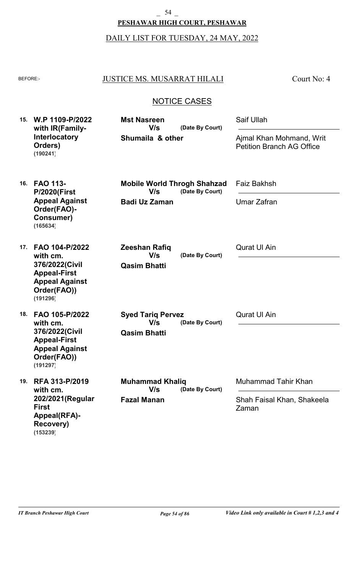\_ 54 \_

**PESHAWAR HIGH COURT, PESHAWAR**

DAILY LIST FOR TUESDAY, 24 MAY, 2022

| <b>BEFORE:-</b> |                                                                                                                         | <b>JUSTICE MS. MUSARRAT HILALI</b>                                        | Court No: 4                                                  |
|-----------------|-------------------------------------------------------------------------------------------------------------------------|---------------------------------------------------------------------------|--------------------------------------------------------------|
|                 |                                                                                                                         | <b>NOTICE CASES</b>                                                       |                                                              |
|                 | 15. W.P 1109-P/2022<br>with IR(Family-                                                                                  | <b>Mst Nasreen</b><br>V/s<br>(Date By Court)                              | Saif Ullah                                                   |
|                 | <b>Interlocatory</b><br>Orders)<br>(190241)                                                                             | Shumaila & other                                                          | Ajmal Khan Mohmand, Writ<br><b>Petition Branch AG Office</b> |
| 16.             | <b>FAO 113-</b><br><b>P/2020(First</b>                                                                                  | <b>Mobile World Throgh Shahzad</b><br>V/s<br>(Date By Court)              | <b>Faiz Bakhsh</b>                                           |
|                 | <b>Appeal Against</b><br>Order(FAO)-<br><b>Consumer)</b><br>(165634)                                                    | <b>Badi Uz Zaman</b>                                                      | <b>Umar Zafran</b>                                           |
| 17.             | FAO 104-P/2022<br>with cm.<br>376/2022(Civil<br><b>Appeal-First</b><br><b>Appeal Against</b><br>Order(FAO))<br>(191296) | <b>Zeeshan Rafiq</b><br>V/s<br>(Date By Court)<br><b>Qasim Bhatti</b>     | <b>Qurat UI Ain</b>                                          |
| 18.             | FAO 105-P/2022<br>with cm.<br>376/2022(Civil<br><b>Appeal-First</b><br><b>Appeal Against</b><br>Order(FAO))<br>(191297) | <b>Syed Tariq Pervez</b><br>V/s<br>(Date By Court)<br><b>Qasim Bhatti</b> | <b>Qurat UI Ain</b>                                          |
| 19.             | RFA 313-P/2019<br>with cm.                                                                                              | <b>Muhammad Khaliq</b><br>V/s<br>(Date By Court)                          | Muhammad Tahir Khan                                          |
|                 | 202/2021 (Regular<br><b>First</b><br><b>Appeal(RFA)-</b><br><b>Recovery)</b><br>(153239)                                | <b>Fazal Manan</b>                                                        | Shah Faisal Khan, Shakeela<br>Zaman                          |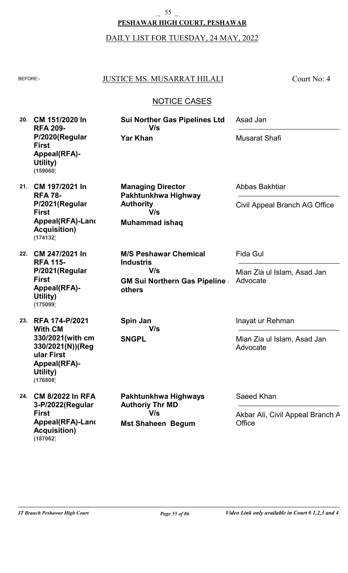**PESHAWAR HIGH COURT, PESHAWAR** \_ 55 \_

DAILY LIST FOR TUESDAY, 24 MAY, 2022

| <b>BEFORE:-</b> |                                                                                                                                           | <b>JUSTICE MS. MUSARRAT HILALI</b>                                                                       | Court No: 4                                                 |  |  |  |  |
|-----------------|-------------------------------------------------------------------------------------------------------------------------------------------|----------------------------------------------------------------------------------------------------------|-------------------------------------------------------------|--|--|--|--|
|                 | <b>NOTICE CASES</b>                                                                                                                       |                                                                                                          |                                                             |  |  |  |  |
| 20.             | CM 151/2020 In<br><b>RFA 209-</b><br>P/2020(Regular<br><b>First</b><br>Appeal(RFA)-<br>Utility)<br>(159060)                               | Sui Norther Gas Pipelines Ltd<br>V/s<br><b>Yar Khan</b>                                                  | Asad Jan<br><b>Musarat Shafi</b>                            |  |  |  |  |
| 21.             | CM 197/2021 In<br><b>RFA 78-</b><br>P/2021(Regular<br><b>First</b><br>Appeal(RFA)-Land<br><b>Acquisition)</b><br>(174132)                 | <b>Managing Director</b><br>Pakhtunkhwa Highway<br><b>Authority</b><br>V/s<br><b>Muhammad ishaq</b>      | Abbas Bakhtiar<br>Civil Appeal Branch AG Office             |  |  |  |  |
| 22.             | CM 247/2021 In<br><b>RFA 115-</b><br>P/2021(Regular<br><b>First</b><br><b>Appeal(RFA)-</b><br>Utility)<br>(175099)                        | <b>M/S Peshawar Chemical</b><br><b>Industris</b><br>V/s<br><b>GM Sui Northern Gas Pipeline</b><br>others | Fida Gul<br>Mian Zia ul Islam, Asad Jan<br>Advocate         |  |  |  |  |
|                 | 23. RFA 174-P/2021<br><b>With CM</b><br>330/2021(with cm<br>330/2021(N))(Reg<br>ular First<br><b>Appeal(RFA)-</b><br>Utility)<br>(176808) | Spin Jan<br>V/s<br><b>SNGPL</b>                                                                          | Inayat ur Rehman<br>Mian Zia ul Islam, Asad Jan<br>Advocate |  |  |  |  |
| 24.             | <b>CM 8/2022 In RFA</b><br>3-P/2022(Regular<br><b>First</b><br>Appeal(RFA)-Land<br><b>Acquisition)</b><br>(187062)                        | Pakhtunkhwa Highways<br><b>Authoriy Thr MD</b><br>V/s<br><b>Mst Shaheen Begum</b>                        | Saeed Khan<br>Akbar Ali, Civil Appeal Branch A<br>Office    |  |  |  |  |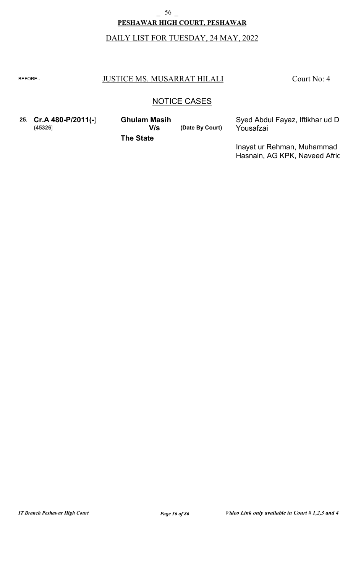# **PESHAWAR HIGH COURT, PESHAWAR**  $56$   $-$

# DAILY LIST FOR TUESDAY, 24 MAY, 2022

#### BEFORE: JUSTICE MS. MUSARRAT HILALI

Court No: 4

### NOTICE CASES

**25. Cr.A 480-P/2011(-) (45326) V/s**

**Ghulam Masih** Syed Abdul Fayaz, Iftikhar ud D<br> **V/s** (Date By Court) Yousafzai

**(Date By Court)**

Yousafzai

**The State**

Inayat ur Rehman, Muhammad Hasnain, AG KPK, Naveed Afric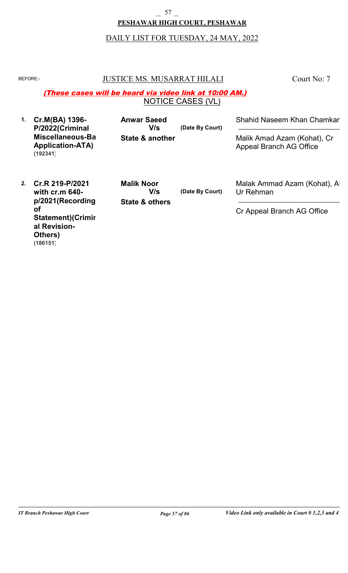#### **PESHAWAR HIGH COURT, PESHAWAR**  $-$  57  $-$

# DAILY LIST FOR TUESDAY, 24 MAY, 2022

### BEFORE: JUSTICE MS. MUSARRAT HILALI

Court No: 7

#### NOTICE CASES (VL) (These cases will be heard via video link at 10:00 AM.)

| Cr.M(BA) 1396-<br>P/2022(Criminal                       | <b>Anwar Saeed</b><br>V/s | (Date By Court) | Shahid Naseem Khan Chamkar                             |
|---------------------------------------------------------|---------------------------|-----------------|--------------------------------------------------------|
| Miscellaneous-Ba<br><b>Application-ATA)</b><br>(192341) | State & another           |                 | Malik Amad Azam (Kohat), Cr<br>Appeal Branch AG Office |

**2. Cr.R 219-P/2021 with cr.m 640 p/2021(Recording of Statement)(Crimin al Revision-Others) (186151)**

**State & others Malik Noor V/s**

**(Date By Court)**

Malak Ammad Azam (Kohat), At Ur Rehman

Cr Appeal Branch AG Office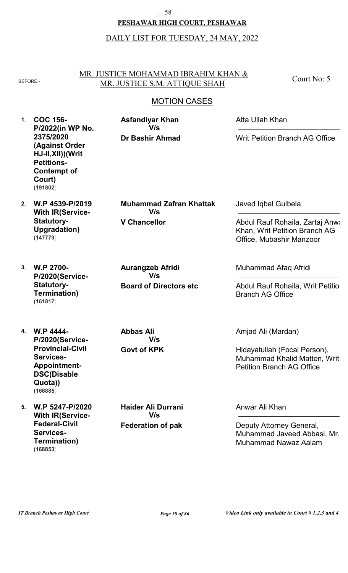#### **PESHAWAR HIGH COURT, PESHAWAR**  $-$  58  $-$

# DAILY LIST FOR TUESDAY, 24 MAY, 2022

### MR. JUSTICE MOHAMMAD IBRAHIM KHAN & BEFORE: MR. JUSTICE S.M. ATTIQUE SHAH

Court No: 5

# MOTION CASES

| 1. | <b>COC 156-</b><br>P/2022(in WP No.                                                                                       | <b>Asfandiyar Khan</b><br>V/s         | Atta Ullah Khan                                                                                  |
|----|---------------------------------------------------------------------------------------------------------------------------|---------------------------------------|--------------------------------------------------------------------------------------------------|
|    | 2375/2020<br><b>(Against Order</b><br>HJ-II, XII)) (Writ<br><b>Petitions-</b><br><b>Contempt of</b><br>Court)<br>(191802) | <b>Dr Bashir Ahmad</b>                | Writ Petition Branch AG Office                                                                   |
| 2. | W.P 4539-P/2019<br><b>With IR(Service-</b>                                                                                | <b>Muhammad Zafran Khattak</b><br>V/s | Javed Iqbal Gulbela                                                                              |
|    | <b>Statutory-</b><br><b>Upgradation)</b><br>(147779)                                                                      | <b>V Chancellor</b>                   | Abdul Rauf Rohaila, Zartaj Anwa<br>Khan, Writ Petition Branch AG<br>Office, Mubashir Manzoor     |
| 3. | <b>W.P 2700-</b><br>P/2020(Service-                                                                                       | <b>Aurangzeb Afridi</b><br>V/s        | Muhammad Afaq Afridi                                                                             |
|    | <b>Statutory-</b><br><b>Termination)</b><br>(161817)                                                                      | <b>Board of Directors etc</b>         | Abdul Rauf Rohaila, Writ Petitio<br><b>Branch AG Office</b>                                      |
| 4. | <b>W.P 4444-</b><br>P/2020(Service-                                                                                       | <b>Abbas Ali</b><br>V/s               | Amjad Ali (Mardan)                                                                               |
|    | <b>Provincial-Civil</b><br><b>Services-</b><br><b>Appointment-</b><br><b>DSC(Disable</b><br>Quota))<br>(166885)           | <b>Govt of KPK</b>                    | Hidayatullah (Focal Person),<br>Muhammad Khalid Matten, Writ<br><b>Petition Branch AG Office</b> |
| 5. | W.P 5247-P/2020<br><b>With IR(Service-</b>                                                                                | <b>Haider Ali Durrani</b><br>V/s      | Anwar Ali Khan                                                                                   |
|    | <b>Federal-Civil</b><br><b>Services-</b><br><b>Termination)</b>                                                           | <b>Federation of pak</b>              | Deputy Attorney General,<br>Muhammad Javeed Abbasi, Mr.<br>Muhammad Nawaz Aalam                  |

**(168853)**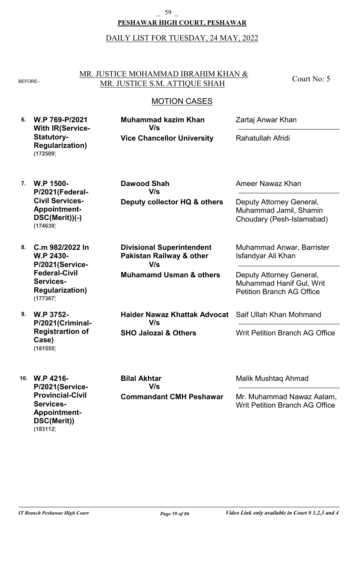#### **PESHAWAR HIGH COURT, PESHAWAR** \_ 59 \_

### DAILY LIST FOR TUESDAY, 24 MAY, 2022

#### MR. JUSTICE MOHAMMAD IBRAHIM KHAN & BEFORE:- MR. JUSTICE S.M. ATTIQUE SHAH

Court No: 5

### MOTION CASES

- **6. W.P 769-P/2021 With IR(Service-Statutory-Regularization) Vice Chancellor University Muhammad kazim Khan** Zartaj Anwar Khan Rahatullah Afridi **V/s (172509)**
- **7. W.P 1500- P/2021(Federal-Civil Services-Appointment-DSC(Merit))(-) (174639)**
- **8. C.m 982/2022 In W.P 2430- P/2021(Service-Federal-Civil Services-Regularization) (177367)**

**9. W.P 3752- P/2021(Criminal-Registrartion of Case) (181555)**

**10. W.P 4216- P/2021(Service-Provincial-Civil Services-Appointment-DSC(Merit)) (183112)**

**Deputy collector HQ & others Dawood Shah V/s**

**Muhamamd Usman & others Divisional Superintendent Pakistan Railway & other V/s**

**SHO Jalozai & Others Haider Nawaz Khattak Advocat V/s**

Ameer Nawaz Khan

Deputy Attorney General, Muhammad Jamil, Shamin Choudary (Pesh-Islamabad)

Muhammad Anwar, Barrister Isfandyar Ali Khan

Deputy Attorney General, Muhammad Hanif Gul, Writ Petition Branch AG Office

Saif Ullah Khan Mohmand

Writ Petition Branch AG Office

**Commandant CMH Peshawar Bilal Akhtar V/s**

Malik Mushtaq Ahmad

Mr. Muhammad Nawaz Aalam, Writ Petition Branch AG Office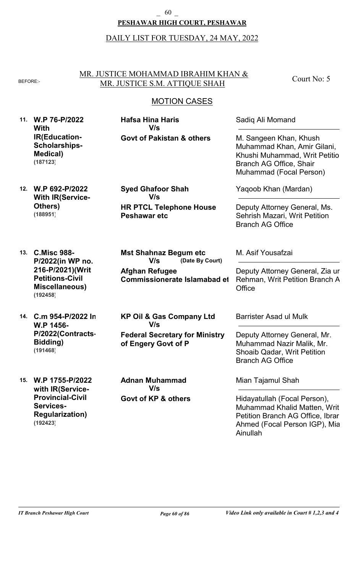#### **PESHAWAR HIGH COURT, PESHAWAR** \_ 60 \_

#### DAILY LIST FOR TUESDAY, 24 MAY, 2022

#### MR. JUSTICE MOHAMMAD IBRAHIM KHAN & BEFORE:- MR. JUSTICE S.M. ATTIQUE SHAH

Court No: 5

### MOTION CASES

**11. W.P 76-P/2022 With IR(Education-Scholarships-Medical) (187123)**

**Govt of Pakistan & others Hafsa Hina Haris V/s**

Sadiq Ali Momand

M. Sangeen Khan, Khush Muhammad Khan, Amir Gilani, Khushi Muhammad, Writ Petitio Branch AG Office, Shair Muhammad (Focal Person)

**12. W.P 692-P/2022 With IR(Service-Others) (188951)**

**HR PTCL Telephone House Peshawar etc Syed Ghafoor Shah V/s**

**13. C.Misc 988- P/2022(in WP no. 216-P/2021)(Writ Petitions-Civil Miscellaneous) (192458)**

**14. C.m 954-P/2022 In W.P 1456- P/2022(Contracts-Bidding) (191468)**

**15. W.P 1755-P/2022 with IR(Service-Provincial-Civil Services-Regularization) (192423)**

**Afghan Refugee Commissionerate Islamabad et (Date By Court) V/s**

**Mst Shahnaz Begum etc**

**Federal Secretary for Ministry of Engery Govt of P KP Oil & Gas Company Ltd V/s**

**Govt of KP & others Adnan Muhammad V/s**

Yaqoob Khan (Mardan)

Deputy Attorney General, Ms. Sehrish Mazari, Writ Petition Branch AG Office

M. Asif Yousafzai

Deputy Attorney General, Zia ur Rehman, Writ Petition Branch A **Office** 

Barrister Asad ul Mulk

Deputy Attorney General, Mr. Muhammad Nazir Malik, Mr. Shoaib Qadar, Writ Petition Branch AG Office

Mian Tajamul Shah

Hidayatullah (Focal Person), Muhammad Khalid Matten, Writ Petition Branch AG Office, Ibrar Ahmed (Focal Person IGP), Mia Ainullah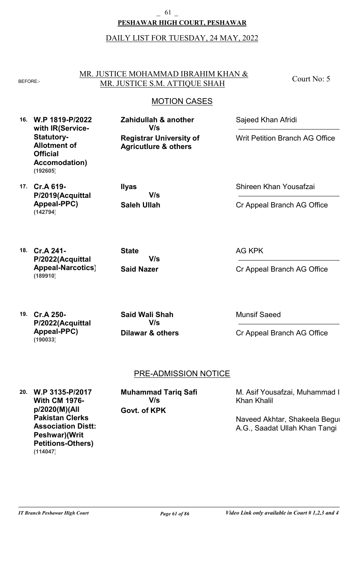#### **PESHAWAR HIGH COURT, PESHAWAR** \_ 61 \_

### DAILY LIST FOR TUESDAY, 24 MAY, 2022

#### MR. JUSTICE MOHAMMAD IBRAHIM KHAN & BEFORE:- MR. JUSTICE S.M. ATTIQUE SHAH

**Registrar University of Agricutlure & others**

**Zahidullah & another**

**V/s**

Court No: 5

### MOTION CASES

**16. W.P 1819-P/2022 with IR(Service-Statutory-Allotment of Official Accomodation) (192605)**

**17. Cr.A 619- P/2019(Acquittal Appeal-PPC) (142794)**

**Saleh Ullah Ilyas V/s**

Sajeed Khan Afridi

Writ Petition Branch AG Office

Shireen Khan Yousafzai

Cr Appeal Branch AG Office

**18. Cr.A 241- P/2022(Acquittal Appeal-Narcotics) (189910)**

**Said Nazer State V/s** AG KPK

Cr Appeal Branch AG Office

**19. Cr.A 250- P/2022(Acquittal Appeal-PPC) (190033)**

**Dilawar & others Said Wali Shah V/s**

Munsif Saeed

Cr Appeal Branch AG Office

### PRE-ADMISSION NOTICE

**20. W.P 3135-P/2017 With CM 1976 p/2020(M)(All Pakistan Clerks Association Distt: Peshwar)(Writ Petitions-Others) (114047)**

**Govt. of KPK Muhammad Tariq Safi V/s**

M. Asif Yousafzai, Muhammad I Khan Khalil

Naveed Akhtar, Shakeela Begun A.G., Saadat Ullah Khan Tangi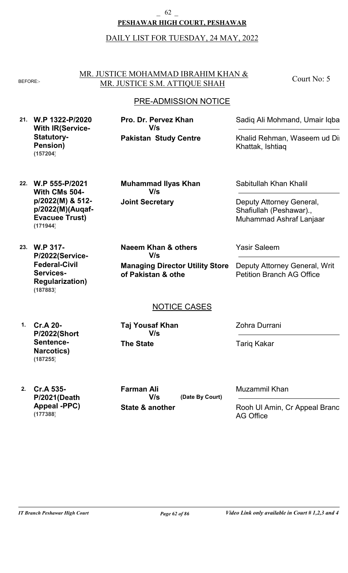#### **PESHAWAR HIGH COURT, PESHAWAR** \_ 62 \_

### DAILY LIST FOR TUESDAY, 24 MAY, 2022

#### MR. JUSTICE MOHAMMAD IBRAHIM KHAN & BEFORE:- MR. JUSTICE S.M. ATTIQUE SHAH

Court No: 5

### PRE-ADMISSION NOTICE

**21. W.P 1322-P/2020 With IR(Service-Statutory-Pension) (157204)**

**Pakistan Study Centre Pro. Dr. Pervez Khan V/s**

Sadiq Ali Mohmand, Umair Iqbal

Khalid Rehman, Waseem ud Di Khattak, Ishtiaq

**22. W.P 555-P/2021 With CMs 504 p/2022(M) & 512 p/2022(M)(Auqaf-Evacuee Trust) (171944)**

**Joint Secretary Muhammad Ilyas Khan V/s**

Sabitullah Khan Khalil

Deputy Attorney General, Shafiullah (Peshawar)., Muhammad Ashraf Lanjaar

**23. W.P 317- P/2022(Service-Federal-Civil Services-Regularization) (187883)**

**Managing Director Utility Store of Pakistan & othe Naeem Khan & others V/s**

Yasir Saleem

Deputy Attorney General, Writ Petition Branch AG Office

### NOTICE CASES

**1. Cr.A 20- P/2022(Short Sentence-Narcotics) (187255)**

**The State Taj Yousaf Khan V/s**

Zohra Durrani

Tariq Kakar

**2. Cr.A 535- P/2021(Death Appeal -PPC) (177388)**

**State & another (Date By Court) Farman Ali V/s**

Muzammil Khan

Rooh Ul Amin, Cr Appeal Branc AG Office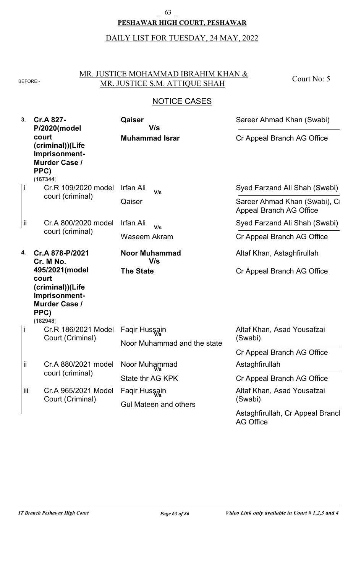### **PESHAWAR HIGH COURT, PESHAWAR**  $-$  63  $-$

DAILY LIST FOR TUESDAY, 24 MAY, 2022

### MR. JUSTICE MOHAMMAD IBRAHIM KHAN & BEFORE: MR. JUSTICE S.M. ATTIQUE SHAH

Court No: 5

| 3.  | Cr.A 827-<br>P/2020(model                                                                                | Qaiser<br>V/s                | Sareer Ahmad Khan (Swabi)                                      |
|-----|----------------------------------------------------------------------------------------------------------|------------------------------|----------------------------------------------------------------|
|     | court<br>(criminal))(Life<br>Imprisonment-<br><b>Murder Case /</b><br>PPC)<br>(167344)                   | <b>Muhammad Israr</b>        | Cr Appeal Branch AG Office                                     |
|     | Cr.R 109/2020 model<br>court (criminal)                                                                  | Irfan Ali<br>V/s<br>Qaiser   | Syed Farzand Ali Shah (Swabi)                                  |
|     |                                                                                                          |                              | Sareer Ahmad Khan (Swabi), C<br><b>Appeal Branch AG Office</b> |
| ij. | Cr.A 800/2020 model                                                                                      | Irfan Ali<br>V/s             | Syed Farzand Ali Shah (Swabi)                                  |
|     | court (criminal)                                                                                         | <b>Waseem Akram</b>          | Cr Appeal Branch AG Office                                     |
| 4.  | Cr.A 878-P/2021<br>Cr. M No.                                                                             | <b>Noor Muhammad</b><br>V/s  | Altaf Khan, Astaghfirullah                                     |
|     | 495/2021(model<br>court<br>(criminal))(Life<br>Imprisonment-<br><b>Murder Case /</b><br>PPC)<br>(182948) | <b>The State</b>             | Cr Appeal Branch AG Office                                     |
|     | Cr.R 186/2021 Model                                                                                      | Faqir Hussain                | Altaf Khan, Asad Yousafzai                                     |
|     | Court (Criminal)                                                                                         | Noor Muhammad and the state  | (Swabi)                                                        |
|     |                                                                                                          |                              | Cr Appeal Branch AG Office                                     |
| ij. | Cr.A 880/2021 model<br>court (criminal)                                                                  | Noor Muhammad                | Astaghfirullah                                                 |
|     |                                                                                                          | State thr AG KPK             | Cr Appeal Branch AG Office                                     |
| iii | Cr.A 965/2021 Model                                                                                      | Faqir Hussain                | Altaf Khan, Asad Yousafzai                                     |
|     | Court (Criminal)                                                                                         | <b>Gul Mateen and others</b> | (Swabi)                                                        |
|     |                                                                                                          |                              | Astaghfirullah, Cr Appeal Brancl<br>AG Office                  |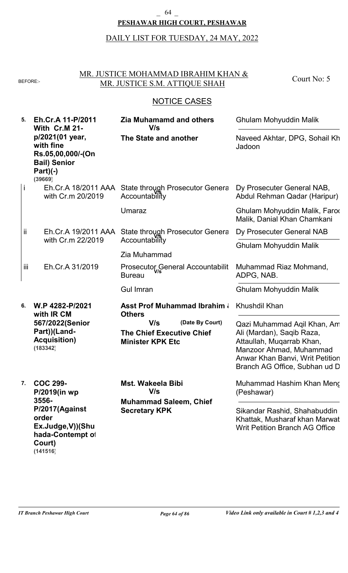#### **PESHAWAR HIGH COURT, PESHAWAR**  $64$   $-$

# DAILY LIST FOR TUESDAY, 24 MAY, 2022

### MR. JUSTICE MOHAMMAD IBRAHIM KHAN & BEFORE: MR. JUSTICE S.M. ATTIQUE SHAH

Court No: 5

# NOTICE CASES

| 5.   | Eh.Cr.A 11-P/2011<br><b>With Cr.M 21-</b><br>p/2021(01 year,<br>with fine<br>Rs.05,00,000/-(On<br><b>Bail) Senior</b><br>$Part)(-)$<br>(39669) | <b>Zia Muhamamd and others</b><br>V/s                                                    | Ghulam Mohyuddin Malik                                                                                                                                                               |
|------|------------------------------------------------------------------------------------------------------------------------------------------------|------------------------------------------------------------------------------------------|--------------------------------------------------------------------------------------------------------------------------------------------------------------------------------------|
|      |                                                                                                                                                | The State and another                                                                    | Naveed Akhtar, DPG, Sohail Kh<br>Jadoon                                                                                                                                              |
| Ť    | Eh.Cr.A 18/2011 AAA<br>with Cr.m 20/2019                                                                                                       | State through Prosecutor Genera<br>Accountability                                        | Dy Prosecuter General NAB,<br>Abdul Rehman Qadar (Haripur)                                                                                                                           |
|      |                                                                                                                                                | Umaraz                                                                                   | Ghulam Mohyuddin Malik, Farod<br>Malik, Danial Khan Chamkani                                                                                                                         |
| ii.  | Eh.Cr.A 19/2011 AAA                                                                                                                            | State through Prosecutor Genera                                                          | Dy Prosecuter General NAB                                                                                                                                                            |
|      | with Cr.m 22/2019                                                                                                                              | Accountability                                                                           | Ghulam Mohyuddin Malik                                                                                                                                                               |
|      |                                                                                                                                                | Zia Muhammad                                                                             |                                                                                                                                                                                      |
| iii. | Eh.Cr.A 31/2019                                                                                                                                | Prosecutor General Accountabilit<br><b>Bureau</b>                                        | Muhammad Riaz Mohmand,<br>ADPG, NAB.                                                                                                                                                 |
|      |                                                                                                                                                | <b>Gul Imran</b>                                                                         | <b>Ghulam Mohyuddin Malik</b>                                                                                                                                                        |
| 6.   | W.P 4282-P/2021<br>with IR CM                                                                                                                  | <b>Asst Prof Muhammad Ibrahim &amp;</b><br><b>Others</b>                                 | Khushdil Khan                                                                                                                                                                        |
|      | 567/2022(Senior<br>Part))(Land-<br><b>Acquisition)</b><br>(183342)                                                                             | V/s<br>(Date By Court)<br><b>The Chief Executive Chief</b><br><b>Minister KPK Etc</b>    | Qazi Muhammad Aqil Khan, Am<br>Ali (Mardan), Saqib Raza,<br>Attaullah, Muqarrab Khan,<br>Manzoor Ahmad, Muhammad<br>Anwar Khan Banvi, Writ Petition<br>Branch AG Office, Subhan ud D |
| 7.   | <b>COC 299-</b><br>P/2019(in wp<br>3556-<br>P/2017(Against<br>order<br>Ex.Judge, V))(Shu<br>hada-Contempt of<br>Court)                         | <b>Mst. Wakeela Bibi</b><br>V/s<br><b>Muhammad Saleem, Chief</b><br><b>Secretary KPK</b> | Muhammad Hashim Khan Meng<br>(Peshawar)<br>Sikandar Rashid, Shahabuddin<br>Khattak, Musharaf khan Marwat<br><b>Writ Petition Branch AG Office</b>                                    |

**(141516)**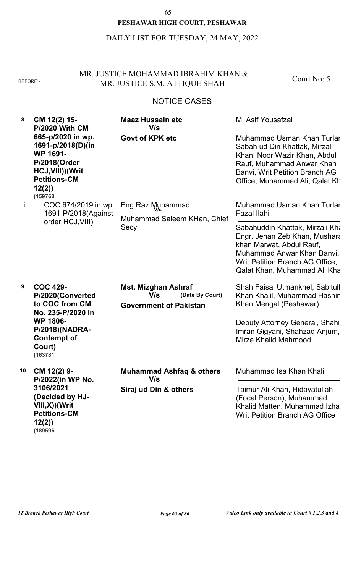#### **PESHAWAR HIGH COURT, PESHAWAR**  $-$  65  $-$

# DAILY LIST FOR TUESDAY, 24 MAY, 2022

### MR. JUSTICE MOHAMMAD IBRAHIM KHAN & BEFORE: MR. JUSTICE S.M. ATTIQUE SHAH

Court No: 5

| 8. | CM 12(2) 15-<br><b>P/2020 With CM</b><br>665-p/2020 in wp.<br>1691-p/2018(D)(in<br><b>WP 1691-</b><br>P/2018(Order<br>HCJ, VIII)) (Writ<br><b>Petitions-CM</b><br>12(2)<br>(159768) | <b>Maaz Hussain etc</b><br>V/s                                                        | M. Asif Yousafzai                                                                                                                                                                             |
|----|-------------------------------------------------------------------------------------------------------------------------------------------------------------------------------------|---------------------------------------------------------------------------------------|-----------------------------------------------------------------------------------------------------------------------------------------------------------------------------------------------|
|    |                                                                                                                                                                                     | <b>Govt of KPK etc</b>                                                                | Muhammad Usman Khan Turlai<br>Sabah ud Din Khattak, Mirzali<br>Khan, Noor Wazir Khan, Abdul<br>Rauf, Muhammad Anwar Khan<br>Banvi, Writ Petition Branch AG<br>Office, Muhammad Ali, Qalat Kh  |
| İ  | COC 674/2019 in wp<br>1691-P/2018(Against<br>order HCJ, VIII)                                                                                                                       | Eng Raz Muhammad<br>Muhammad Saleem KHan, Chief<br>Secy                               | Muhammad Usman Khan Turlai<br>Fazal Ilahi                                                                                                                                                     |
|    |                                                                                                                                                                                     |                                                                                       | Sabahuddin Khattak, Mirzali Kha<br>Engr. Jehan Zeb Khan, Mushara<br>khan Marwat, Abdul Rauf,<br>Muhammad Anwar Khan Banvi,<br>Writ Petition Branch AG Office,<br>Qalat Khan, Muhammad Ali Kha |
| 9. | <b>COC 429-</b><br>P/2020(Converted<br>to COC from CM<br>No. 235-P/2020 in<br><b>WP 1806-</b><br>P/2018)(NADRA-<br><b>Contempt of</b><br>Court)<br>(163781)                         | <b>Mst. Mizghan Ashraf</b><br>V/s<br>(Date By Court)<br><b>Government of Pakistan</b> | Shah Faisal Utmankhel, Sabitull<br>Khan Khalil, Muhammad Hashir<br>Khan Mengal (Peshawar)                                                                                                     |
|    |                                                                                                                                                                                     |                                                                                       | Deputy Attorney General, Shahi<br>Imran Gigyani, Shahzad Anjum,<br>Mirza Khalid Mahmood.                                                                                                      |
|    | 10. CM 12(2) 9-<br>P/2022(in WP No.                                                                                                                                                 | <b>Muhammad Ashfaq &amp; others</b><br>V/s                                            | Muhammad Isa Khan Khalil                                                                                                                                                                      |
|    | 3106/2021<br>(Decided by HJ-<br>$VIII, X)$ )(Writ<br><b>Petitions-CM</b><br>12(2)<br>(189596)                                                                                       | Siraj ud Din & others                                                                 | Taimur Ali Khan, Hidayatullah<br>(Focal Person), Muhammad<br>Khalid Matten, Muhammad Izha<br><b>Writ Petition Branch AG Office</b>                                                            |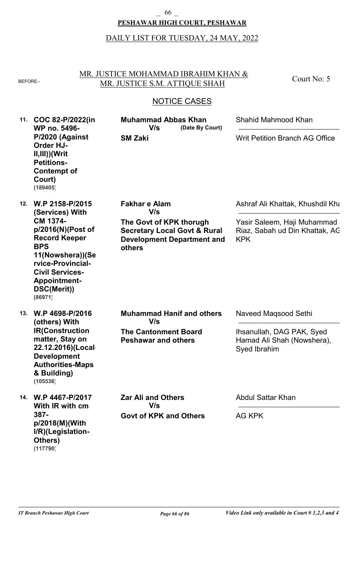#### **PESHAWAR HIGH COURT, PESHAWAR**  $\frac{66}{ }$

# DAILY LIST FOR TUESDAY, 24 MAY, 2022

MR. JUSTICE MOHAMMAD IBRAHIM KHAN & BEFORE: MR. JUSTICE S.M. ATTIQUE SHAH

Court No: 5

| 11. | COC 82-P/2022(in<br>WP no. 5496-<br>P/2020 (Against<br><b>Order HJ-</b><br>$II, III)$ )(Writ<br><b>Petitions-</b><br><b>Contempt of</b><br>Court)<br>(189405)                           | <b>Muhammad Abbas Khan</b><br>(Date By Court)<br>V/s<br><b>SM Zaki</b>                                            | Shahid Mahmood Khan                                                         |  |
|-----|-----------------------------------------------------------------------------------------------------------------------------------------------------------------------------------------|-------------------------------------------------------------------------------------------------------------------|-----------------------------------------------------------------------------|--|
|     |                                                                                                                                                                                         |                                                                                                                   | <b>Writ Petition Branch AG Office</b>                                       |  |
| 12. | W.P 2158-P/2015<br>(Services) With                                                                                                                                                      | <b>Fakhar e Alam</b><br>V/s                                                                                       | Ashraf Ali Khattak, Khushdil Kha                                            |  |
|     | CM 1374-<br>p/2016(N)(Post of<br><b>Record Keeper</b><br><b>BPS</b><br>11(Nowshera))(Se<br>rvice-Provincial-<br><b>Civil Services-</b><br><b>Appointment-</b><br>DSC(Merit))<br>(86971) | The Govt of KPK thorugh<br><b>Secretary Local Govt &amp; Rural</b><br><b>Development Department and</b><br>others | Yasir Saleem, Haji Muhammad<br>Riaz, Sabah ud Din Khattak, AC<br><b>KPK</b> |  |
| 13. | W.P 4698-P/2016<br>(others) With<br><b>IR(Construction</b><br>matter, Stay on<br>22.12.2016)(Local<br><b>Development</b><br><b>Authorities-Maps</b><br>& Building)<br>(105536)          | <b>Muhammad Hanif and others</b><br>V/s                                                                           | Naveed Magsood Sethi                                                        |  |
|     |                                                                                                                                                                                         | <b>The Cantonment Board</b><br><b>Peshawar and others</b>                                                         | Ihsanullah, DAG PAK, Syed<br>Hamad Ali Shah (Nowshera),<br>Syed Ibrahim     |  |
|     | 14. W.P 4467-P/2017<br>With IR with cm<br>387-<br>p/2018(M)(With<br>I/R)(Legislation-<br>Others)<br>(117790)                                                                            | <b>Zar Ali and Others</b><br>V/s                                                                                  | <b>Abdul Sattar Khan</b>                                                    |  |
|     |                                                                                                                                                                                         | <b>Govt of KPK and Others</b>                                                                                     | AG KPK                                                                      |  |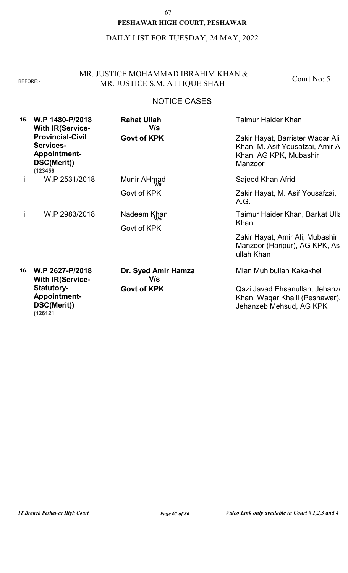#### **PESHAWAR HIGH COURT, PESHAWAR**  $-$  67  $-$

# DAILY LIST FOR TUESDAY, 24 MAY, 2022

### MR. JUSTICE MOHAMMAD IBRAHIM KHAN & BEFORE: MR. JUSTICE S.M. ATTIQUE SHAH

Court No: 5

| 15. | W.P 1480-P/2018<br><b>With IR(Service-</b><br><b>Provincial-Civil</b><br>Services-<br><b>Appointment-</b><br>DSC(Merit))<br>(123456) | <b>Rahat Ullah</b><br>V/s<br><b>Govt of KPK</b> | <b>Taimur Haider Khan</b>                                                                                |
|-----|--------------------------------------------------------------------------------------------------------------------------------------|-------------------------------------------------|----------------------------------------------------------------------------------------------------------|
|     |                                                                                                                                      |                                                 | Zakir Hayat, Barrister Waqar Ali<br>Khan, M. Asif Yousafzai, Amir A<br>Khan, AG KPK, Mubashir<br>Manzoor |
| İ   | W.P 2531/2018                                                                                                                        | Munir AHmad                                     | Sajeed Khan Afridi                                                                                       |
|     |                                                                                                                                      | Govt of KPK                                     | Zakir Hayat, M. Asif Yousafzai,<br>A.G.                                                                  |
| ii  | W.P 2983/2018                                                                                                                        | Nadeem Khan<br>Govt of KPK                      | Taimur Haider Khan, Barkat Ulla                                                                          |
|     |                                                                                                                                      |                                                 | Khan                                                                                                     |
|     |                                                                                                                                      |                                                 | Zakir Hayat, Amir Ali, Mubashir<br>Manzoor (Haripur), AG KPK, As<br>ullah Khan                           |
| 16. | W.P 2627-P/2018<br><b>With IR(Service-</b>                                                                                           | Dr. Syed Amir Hamza<br>V/s                      | Mian Muhibullah Kakakhel                                                                                 |
|     | <b>Statutory-</b><br><b>Appointment-</b><br>DSC(Merit))<br>(126121)                                                                  | <b>Govt of KPK</b>                              | Qazi Javad Ehsanullah, Jehanz<br>Khan, Waqar Khalil (Peshawar).<br>Jehanzeb Mehsud, AG KPK               |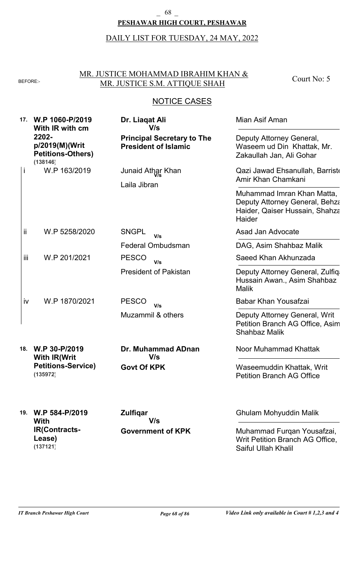#### **PESHAWAR HIGH COURT, PESHAWAR**  $\begin{smallmatrix} \text{-} & 68 \end{smallmatrix}$

# DAILY LIST FOR TUESDAY, 24 MAY, 2022

### MR. JUSTICE MOHAMMAD IBRAHIM KHAN & BEFORE: MR. JUSTICE S.M. ATTIQUE SHAH

Court No: 5

### NOTICE CASES

| 17. | W.P 1060-P/2019<br>With IR with cm<br>2202-<br>p/2019(M)(Writ<br><b>Petitions-Others)</b><br>(138146) | Dr. Liaqat Ali<br>V/s                                            | Mian Asif Aman                                                                                           |
|-----|-------------------------------------------------------------------------------------------------------|------------------------------------------------------------------|----------------------------------------------------------------------------------------------------------|
|     |                                                                                                       | <b>Principal Secretary to The</b><br><b>President of Islamic</b> | Deputy Attorney General,<br>Waseem ud Din Khattak, Mr.<br>Zakaullah Jan, Ali Gohar                       |
| Ť   | W.P 163/2019                                                                                          | Junaid Athar Khan<br>Laila Jibran                                | Qazi Jawad Ehsanullah, Barriste<br>Amir Khan Chamkani                                                    |
|     |                                                                                                       |                                                                  | Muhammad Imran Khan Matta,<br>Deputy Attorney General, Behza<br>Haider, Qaiser Hussain, Shahza<br>Haider |
| ij  | W.P 5258/2020                                                                                         | <b>SNGPL</b><br>V/s                                              | Asad Jan Advocate                                                                                        |
|     |                                                                                                       | Federal Ombudsman                                                | DAG, Asim Shahbaz Malik                                                                                  |
| iii | W.P 201/2021                                                                                          | <b>PESCO</b><br>V/s                                              | Saeed Khan Akhunzada                                                                                     |
|     |                                                                                                       | <b>President of Pakistan</b>                                     | Deputy Attorney General, Zulfiqa<br>Hussain Awan., Asim Shahbaz<br><b>Malik</b>                          |
| iv  | W.P 1870/2021                                                                                         | <b>PESCO</b><br>V/s                                              | Babar Khan Yousafzai                                                                                     |
|     |                                                                                                       | Muzammil & others                                                | Deputy Attorney General, Writ<br>Petition Branch AG Office, Asim<br><b>Shahbaz Malik</b>                 |
| 18. | W.P 30-P/2019<br><b>With IR(Writ</b><br><b>Petitions-Service)</b><br>(135972)                         | <b>Dr. Muhammad ADnan</b><br>V/s                                 | Noor Muhammad Khattak                                                                                    |
|     |                                                                                                       | <b>Govt Of KPK</b>                                               | Waseemuddin Khattak, Writ<br><b>Petition Branch AG Office</b>                                            |
| 19. | W.P 584-P/2019<br><b>With</b>                                                                         | <b>Zulfigar</b><br>V/s                                           | <b>Ghulam Mohyuddin Malik</b>                                                                            |
|     | <b>IR(Contracts-</b><br>Lease)                                                                        | <b>Government of KPK</b>                                         | Muhammad Furqan Yousafzai,<br>Writ Petition Branch AG Office,                                            |

**(137121)**

Saiful Ullah Khalil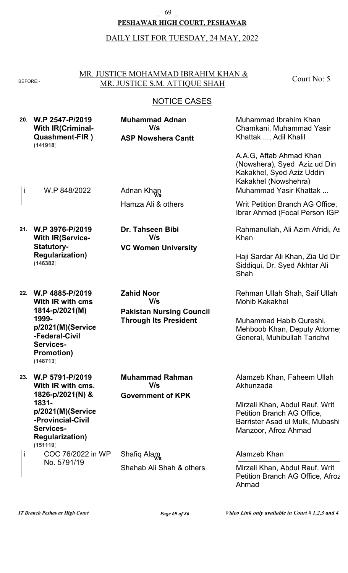#### **PESHAWAR HIGH COURT, PESHAWAR** \_ 69 \_

DAILY LIST FOR TUESDAY, 24 MAY, 2022

MR. JUSTICE MOHAMMAD IBRAHIM KHAN & BEFORE: MR. JUSTICE S.M. ATTIQUE SHAH

Court No: 5

| 20. | W.P 2547-P/2019<br><b>With IR(Criminal-</b><br><b>Quashment-FIR)</b><br>(141918)                                                                                      | <b>Muhammad Adnan</b><br>V/s<br><b>ASP Nowshera Cantt</b>                                   | Muhammad Ibrahim Khan<br>Chamkani, Muhammad Yasir<br>Khattak , Adil Khalil<br>A.A.G. Aftab Ahmad Khan<br>(Nowshera), Syed Aziz ud Din<br>Kakakhel, Syed Aziz Uddin<br>Kakakhel (Nowshehra) |
|-----|-----------------------------------------------------------------------------------------------------------------------------------------------------------------------|---------------------------------------------------------------------------------------------|--------------------------------------------------------------------------------------------------------------------------------------------------------------------------------------------|
| j.  | W.P 848/2022                                                                                                                                                          | Adnan Khan                                                                                  | Muhammad Yasir Khattak                                                                                                                                                                     |
|     |                                                                                                                                                                       | Hamza Ali & others                                                                          | Writ Petition Branch AG Office,<br>Ibrar Ahmed (Focal Person IGP)                                                                                                                          |
|     | 21. W.P 3976-P/2019<br><b>With IR(Service-</b><br><b>Statutory-</b><br><b>Regularization)</b><br>(146382)                                                             | Dr. Tahseen Bibi<br>V/s                                                                     | Rahmanullah, Ali Azim Afridi, As<br>Khan                                                                                                                                                   |
|     |                                                                                                                                                                       | <b>VC Women University</b>                                                                  | Haji Sardar Ali Khan, Zia Ud Dir<br>Siddiqui, Dr. Syed Akhtar Ali<br>Shah                                                                                                                  |
| 22. | W.P 4885-P/2019<br>With IR with cms<br>1814-p/2021(M)<br>1999-<br>p/2021(M)(Service<br>-Federal-Civil<br>Services-<br><b>Promotion)</b><br>(148713)                   | <b>Zahid Noor</b><br>V/s<br><b>Pakistan Nursing Council</b><br><b>Through Its President</b> | Rehman Ullah Shah, Saif Ullah<br><b>Mohib Kakakhel</b><br>Muhammad Habib Qureshi,<br>Mehboob Khan, Deputy Attorne<br>General, Muhibullah Tarichvi                                          |
| 23. | W.P 5791-P/2019<br>With IR with cms.<br>1826-p/2021(N) &<br>1831-<br>p/2021(M)(Service<br>-Provincial-Civil<br><b>Services-</b><br><b>Regularization)</b><br>(151119) | <b>Muhammad Rahman</b><br>V/s<br><b>Government of KPK</b>                                   | Alamzeb Khan, Faheem Ullah<br>Akhunzada                                                                                                                                                    |
|     |                                                                                                                                                                       |                                                                                             | Mirzali Khan, Abdul Rauf, Writ<br>Petition Branch AG Office,<br>Barrister Asad ul Mulk, Mubashi<br>Manzoor, Afroz Ahmad                                                                    |
| i   | COC 76/2022 in WP                                                                                                                                                     | Shafiq Alam                                                                                 | Alamzeb Khan                                                                                                                                                                               |
|     | No. 5791/19                                                                                                                                                           | Shahab Ali Shah & others                                                                    | Mirzali Khan, Abdul Rauf, Writ<br>Petition Branch AG Office, Afroz<br>Ahmad                                                                                                                |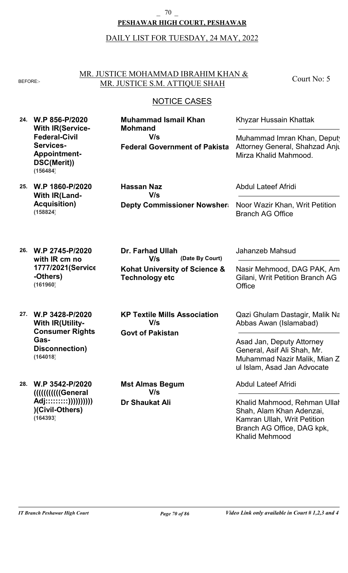#### **PESHAWAR HIGH COURT, PESHAWAR**  $\overline{\phantom{0}}$  70  $\overline{\phantom{0}}$

# DAILY LIST FOR TUESDAY, 24 MAY, 2022

#### MR. JUSTICE MOHAMMAD IBRAHIM KHAN & BEFORE: MR. JUSTICE S.M. ATTIQUE SHAH

Court No: 5

| 24. | W.P 856-P/2020<br><b>With IR(Service-</b><br><b>Federal-Civil</b><br><b>Services-</b><br><b>Appointment-</b><br>DSC(Merit))<br>(156484) | <b>Muhammad Ismail Khan</b><br><b>Mohmand</b><br>V/s<br><b>Federal Government of Pakista</b>                | Khyzar Hussain Khattak<br>Muhammad Imran Khan, Deputy<br>Attorney General, Shahzad Anju<br>Mirza Khalid Mahmood.                                                                    |
|-----|-----------------------------------------------------------------------------------------------------------------------------------------|-------------------------------------------------------------------------------------------------------------|-------------------------------------------------------------------------------------------------------------------------------------------------------------------------------------|
| 25. | W.P 1860-P/2020<br><b>With IR(Land-</b><br><b>Acquisition)</b><br>(158824)                                                              | <b>Hassan Naz</b><br>V/s<br><b>Depty Commissioner Nowsher</b>                                               | <b>Abdul Lateef Afridi</b><br>Noor Wazir Khan, Writ Petition<br><b>Branch AG Office</b>                                                                                             |
| 26. | W.P 2745-P/2020<br>with IR cm no<br>1777/2021 (Service<br>-Others)<br>(161960)                                                          | <b>Dr. Farhad Ullah</b><br>V/s<br>(Date By Court)<br>Kohat University of Science &<br><b>Technology etc</b> | Jahanzeb Mahsud<br>Nasir Mehmood, DAG PAK, Am<br>Gilani, Writ Petition Branch AG<br>Office                                                                                          |
| 27. | W.P 3428-P/2020<br><b>With IR(Utility-</b><br><b>Consumer Rights</b><br>Gas-<br>Disconnection)<br>(164018)                              | <b>KP Textile Mills Association</b><br>V/s<br><b>Govt of Pakistan</b>                                       | Qazi Ghulam Dastagir, Malik Na<br>Abbas Awan (Islamabad)<br>Asad Jan, Deputy Attorney<br>General, Asif Ali Shah, Mr.<br>Muhammad Nazir Malik, Mian Z<br>ul Islam, Asad Jan Advocate |
| 28. | W.P 3542-P/2020<br><b>////////////General</b><br>Adj:::::::::))))))))))))<br>)(Civil-Others)<br>(164393)                                | <b>Mst Almas Begum</b><br>V/s<br><b>Dr Shaukat Ali</b>                                                      | <b>Abdul Lateef Afridi</b><br>Khalid Mahmood, Rehman Ullal<br>Shah, Alam Khan Adenzai,<br>Kamran Ullah, Writ Petition<br>Branch AG Office, DAG kpk,<br><b>Khalid Mehmood</b>        |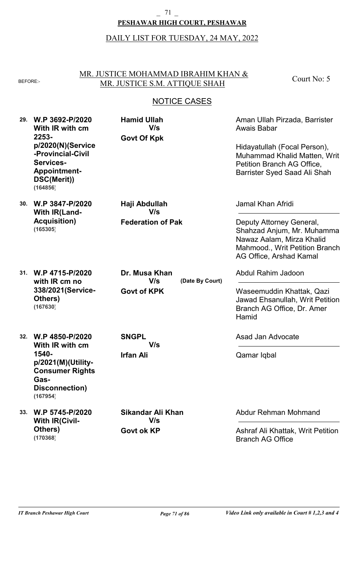#### **PESHAWAR HIGH COURT, PESHAWAR**  $-71$   $-$

# DAILY LIST FOR TUESDAY, 24 MAY, 2022

#### MR. JUSTICE MOHAMMAD IBRAHIM KHAN & BEFORE: MR. JUSTICE S.M. ATTIQUE SHAH

Court No: 5

| 29. | W.P 3692-P/2020<br>With IR with cm<br>2253-<br>p/2020(N)(Service<br>-Provincial-Civil<br>Services-<br><b>Appointment-</b><br>DSC(Merit))<br>(164856) | <b>Hamid Ullah</b><br>V/s<br><b>Govt Of Kpk</b>               | Aman Ullah Pirzada, Barrister<br>Awais Babar<br>Hidayatullah (Focal Person),<br><b>Muhammad Khalid Matten, Writ</b><br>Petition Branch AG Office,<br>Barrister Syed Saad Ali Shah |
|-----|------------------------------------------------------------------------------------------------------------------------------------------------------|---------------------------------------------------------------|-----------------------------------------------------------------------------------------------------------------------------------------------------------------------------------|
| 30. | W.P 3847-P/2020<br><b>With IR(Land-</b><br><b>Acquisition)</b><br>(165305)                                                                           | Haji Abdullah<br>V/s<br><b>Federation of Pak</b>              | Jamal Khan Afridi<br>Deputy Attorney General,<br>Shahzad Anjum, Mr. Muhamma<br>Nawaz Aalam, Mirza Khalid<br>Mahmood., Writ Petition Branch<br>AG Office, Arshad Kamal             |
| 31. | W.P 4715-P/2020<br>with IR cm no<br>338/2021 (Service-<br>Others)<br>(167630)                                                                        | Dr. Musa Khan<br>V/s<br>(Date By Court)<br><b>Govt of KPK</b> | Abdul Rahim Jadoon<br>Waseemuddin Khattak, Qazi<br>Jawad Ehsanullah, Writ Petition<br>Branch AG Office, Dr. Amer<br>Hamid                                                         |
| 32. | W.P 4850-P/2020<br>With IR with cm<br>1540-<br>p/2021(M)(Utility-<br><b>Consumer Rights</b><br>Gas-<br>Disconnection)<br>(167954)                    | <b>SNGPL</b><br>V/s<br><b>Irfan Ali</b>                       | Asad Jan Advocate<br>Qamar Iqbal                                                                                                                                                  |
| 33. | W.P 5745-P/2020<br><b>With IR(Civil-</b><br>Others)<br>(170368)                                                                                      | Sikandar Ali Khan<br>V/s<br><b>Govt ok KP</b>                 | Abdur Rehman Mohmand<br>Ashraf Ali Khattak, Writ Petition<br><b>Branch AG Office</b>                                                                                              |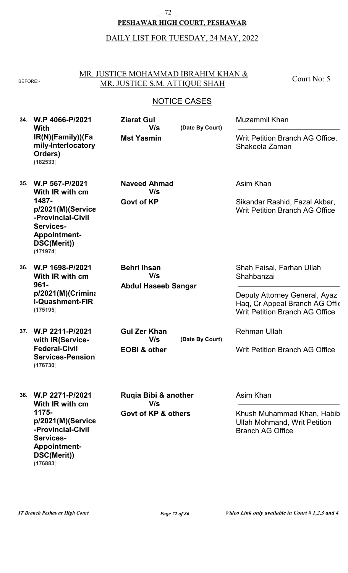#### **PESHAWAR HIGH COURT, PESHAWAR**  $2^2$

# DAILY LIST FOR TUESDAY, 24 MAY, 2022

#### MR. JUSTICE MOHAMMAD IBRAHIM KHAN & BEFORE: MR. JUSTICE S.M. ATTIQUE SHAH

Court No: 5

## NOTICE CASES

| 34. | W.P 4066-P/2021<br>With<br>IR(N)(Family))(Fa<br>mily-Interlocatory<br>Orders)<br>(182533)                                                           | <b>Ziarat Gul</b><br>V/s<br><b>Mst Yasmin</b>           | (Date By Court) | Muzammil Khan<br>Writ Petition Branch AG Office,<br>Shakeela Zaman                                                                                  |
|-----|-----------------------------------------------------------------------------------------------------------------------------------------------------|---------------------------------------------------------|-----------------|-----------------------------------------------------------------------------------------------------------------------------------------------------|
| 35. | W.P 567-P/2021<br>With IR with cm<br>1487-<br>p/2021(M)(Service<br>-Provincial-Civil<br>Services-<br><b>Appointment-</b><br>DSC(Merit))<br>(171974) | <b>Naveed Ahmad</b><br>V/s<br><b>Govt of KP</b>         |                 | Asim Khan<br>Sikandar Rashid, Fazal Akbar,<br><b>Writ Petition Branch AG Office</b>                                                                 |
| 36. | W.P 1698-P/2021<br>With IR with cm<br>$961 -$<br>$p/2021(M)$ (Crimina<br><b>I-Quashment-FIR</b><br>(175195)                                         | <b>Behri Ihsan</b><br>V/s<br><b>Abdul Haseeb Sangar</b> |                 | Shah Faisal, Farhan Ullah<br>Shahbanzai<br>Deputy Attorney General, Ayaz<br>Haq, Cr Appeal Branch AG Offic<br><b>Writ Petition Branch AG Office</b> |
| 37. | W.P 2211-P/2021<br>with IR(Service-<br><b>Federal-Civil</b><br><b>Services-Pension</b><br>(176730)                                                  | <b>Gul Zer Khan</b><br>V/s<br><b>EOBI &amp; other</b>   | (Date By Court) | <b>Rehman Ullah</b><br><b>Writ Petition Branch AG Office</b>                                                                                        |
|     | 38. W.P 2271-P/2021<br>With IR with cm<br>1175-<br>p/2021(M)(Service<br>-Provincial-Civil<br>Services-<br><b>Appointment-</b><br>DSC(Merit))        | Rugia Bibi & another<br>V/s<br>Govt of KP & others      |                 | Asim Khan<br>Khush Muhammad Khan, Habib<br><b>Ullah Mohmand, Writ Petition</b><br><b>Branch AG Office</b>                                           |

**(176883)**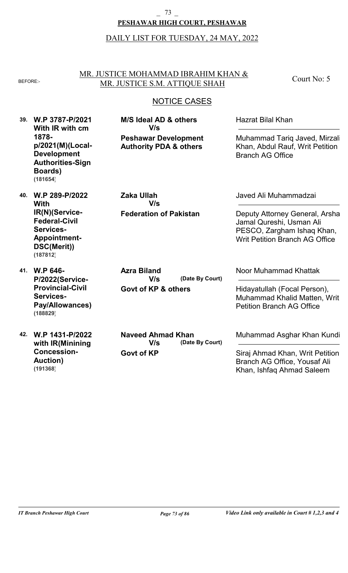#### **PESHAWAR HIGH COURT, PESHAWAR** \_ 73 \_

#### DAILY LIST FOR TUESDAY, 24 MAY, 2022

#### MR. JUSTICE MOHAMMAD IBRAHIM KHAN & BEFORE:- MR. JUSTICE S.M. ATTIQUE SHAH

**Peshawar Development Authority PDA & others**

**M/S Ideal AD & others**

**V/s**

Court No: 5

## **NOTICE CASES**

**39. W.P 3787-P/2021 With IR with cm 1878 p/2021(M)(Local-Development Authorities-Sign Boards) (181654)**

**40. W.P 289-P/2022**

**IR(N)(Service-Federal-Civil Services-**

**Appointment-DSC(Merit))**

**With**

**(187812)**

**Federation of Pakistan Zaka Ullah V/s**

Javed Ali Muhammadzai

Hazrat Bilal Khan

Branch AG Office

Deputy Attorney General, Arsha Jamal Qureshi, Usman Ali PESCO, Zargham Ishaq Khan, Writ Petition Branch AG Office

Muhammad Tariq Javed, Mirzali Khan, Abdul Rauf, Writ Petition

**41. W.P 646- P/2022(Service-Provincial-Civil Services-Pay/Allowances) (188829)**

**42. W.P 1431-P/2022 with IR(Minining Concession-Auction) (191368)**

**(Date By Court) Azra Biland V/s**

**Govt of KP & others**

**Govt of KP (Date By Court) Naveed Ahmad Khan V/s**

Noor Muhammad Khattak

Hidayatullah (Focal Person), Muhammad Khalid Matten, Writ Petition Branch AG Office

Muhammad Asghar Khan Kundi

Siraj Ahmad Khan, Writ Petition Branch AG Office, Yousaf Ali Khan, Ishfaq Ahmad Saleem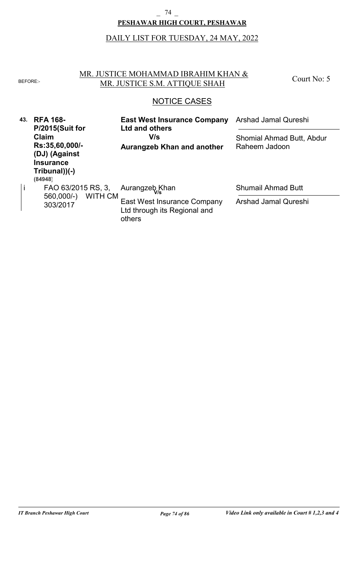#### **PESHAWAR HIGH COURT, PESHAWAR** \_ 74 \_

# DAILY LIST FOR TUESDAY, 24 MAY, 2022

#### NOTICE CASES MR. JUSTICE MOHAMMAD IBRAHIM KHAN & BEFORE: MR. JUSTICE S.M. ATTIQUE SHAH **43. RFA 168- P/2015(Suit for Claim Rs:35,60,000/-** Court No: 5 **East West Insurance Company Ltd and others** Arshad Jamal Qureshi Shomial Ahmad Butt, Abdur **V/s**

Raheem Jadoon

Shumail Ahmad Butt

Arshad Jamal Qureshi

**Aurangzeb Khan and another**

Ltd through its Regional and

303/2017 WITH OM East West Insurance Company

others

**(DJ) (Against Insurance Tribunal))(-)**

**(84948)**

FAO 63/2015 RS, 3, 560,000/-) WITH CM

i FAO 63/2015 RS, 3, Aurangzeb Khan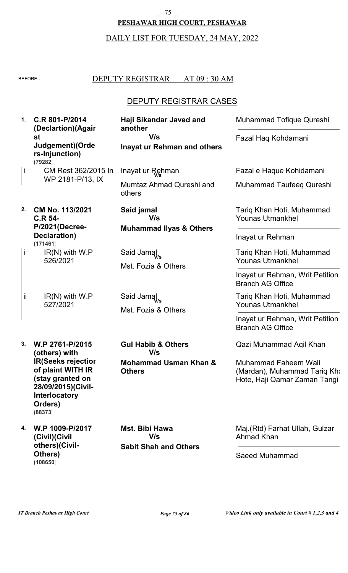#### $-75$

## **PESHAWAR HIGH COURT, PESHAWAR**

# DAILY LIST FOR TUESDAY, 24 MAY, 2022

### BEFORE: DEPUTY REGISTRAR AT 09 : 30 AM

# DEPUTY REGISTRAR CASES

| 1.  | C.R 801-P/2014<br>(Declartion)(Agair                                                                      | Haji Sikandar Javed and<br>another                      | <b>Muhammad Tofique Qureshi</b>                                                      |
|-----|-----------------------------------------------------------------------------------------------------------|---------------------------------------------------------|--------------------------------------------------------------------------------------|
|     | st<br>Judgement)(Orde<br>rs-Injunction)<br>(79282)                                                        | V/s<br><b>Inayat ur Rehman and others</b>               | Fazal Haq Kohdamani                                                                  |
| j   | CM Rest 362/2015 In                                                                                       | Inayat ur Rehman                                        | Fazal e Haque Kohidamani                                                             |
|     | WP 2181-P/13, IX                                                                                          | Mumtaz Ahmad Qureshi and<br>others                      | Muhammad Taufeeq Qureshi                                                             |
| 2.  | CM No. 113/2021<br><b>C.R 54-</b><br>P/2021(Decree-                                                       | Said jamal<br>V/s<br><b>Muhammad Ilyas &amp; Others</b> | Tariq Khan Hoti, Muhammad<br><b>Younas Utmankhel</b>                                 |
|     | Declaration)<br>(171461)                                                                                  |                                                         | Inayat ur Rehman                                                                     |
| i   | $IR(N)$ with $W.P$<br>526/2021                                                                            | Said Jamal<br>Mst. Fozia & Others                       | Tariq Khan Hoti, Muhammad<br><b>Younas Utmankhel</b>                                 |
|     |                                                                                                           |                                                         | Inayat ur Rehman, Writ Petition<br><b>Branch AG Office</b>                           |
| ij. | $IR(N)$ with $W.P$<br>527/2021                                                                            | Said Jamal<br>Mst. Fozia & Others                       | Tariq Khan Hoti, Muhammad<br><b>Younas Utmankhel</b>                                 |
|     |                                                                                                           |                                                         | Inayat ur Rehman, Writ Petition<br><b>Branch AG Office</b>                           |
| 3.  | W.P 2761-P/2015<br>(others) with                                                                          | <b>Gul Habib &amp; Others</b><br>V/s                    | Qazi Muhammad Aqil Khan                                                              |
|     | <b>IR(Seeks rejectior</b><br>of plaint WITH IR<br>(stay granted on<br>28/09/2015)(Civil-<br>Interlocatory | <b>Mohammad Usman Khan &amp;</b><br><b>Others</b>       | Muhammad Faheem Wali<br>(Mardan), Muhammad Tariq Kha<br>Hote, Haji Qamar Zaman Tangi |

**4. W.P 1009-P/2017 (Civil)(Civil others)(Civil-Others) (108650)**

**Orders)**

**(88373)**

**Sabit Shah and Others Mst. Bibi Hawa V/s**

Maj.(Rtd) Farhat Ullah, Gulzar Ahmad Khan

Saeed Muhammad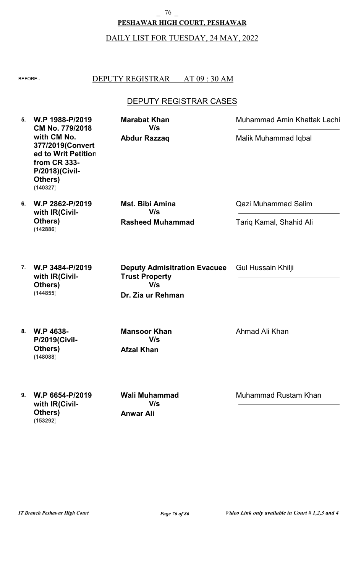# **PESHAWAR HIGH COURT, PESHAWAR** \_ 76 \_

#### DAILY LIST FOR TUESDAY, 24 MAY, 2022

#### BEFORE: DEPUTY REGISTRAR AT 09:30 AM

## DEPUTY REGISTRAR CASES

**5. W.P 1988-P/2019 6. W.P 2862-P/2019 7. W.P 3484-P/2019 8. W.P 4638- 9. W.P 6654-P/2019 CM No. 779/2018 with CM No. 377/2019(Convert ed to Writ Petition from CR 333- P/2018)(Civil-Others) with IR(Civil-Others) with IR(Civil-Others) P/2019(Civil-Others) with IR(Civil-Others) Abdur Razzaq Rasheed Muhammad Dr. Zia ur Rehman Afzal Khan Anwar Ali Marabat Khan Mst. Bibi Amina Deputy Admisitration Evacuee Trust Property Mansoor Khan Wali Muhammad** Muhammad Amin Khattak Lachi Qazi Muhammad Salim Gul Hussain Khilji Ahmad Ali Khan Muhammad Rustam Khan Malik Muhammad Iqbal Tariq Kamal, Shahid Ali **V/s V/s V/s V/s V/s (140327) (142886) (144855) (148088) (153292)**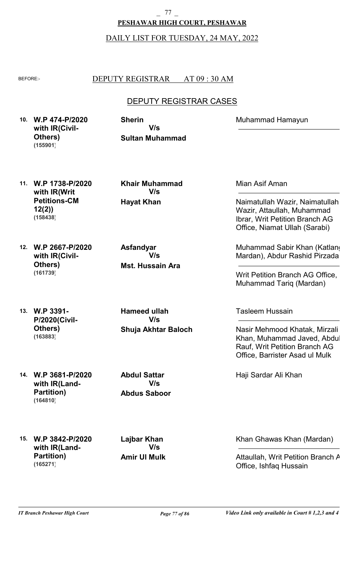**PESHAWAR HIGH COURT, PESHAWAR** 77

DAILY LIST FOR TUESDAY, 24 MAY, 2022

### BEFORE: DEPUTY REGISTRAR AT 09:30 AM

## DEPUTY REGISTRAR CASES

**10. W.P 474-P/2020 with IR(Civil-Others) (155901)**

**Sultan Muhammad Sherin V/s**

**11. W.P 1738-P/2020 with IR(Writ Petitions-CM 12(2)) (158438)**

**12. W.P 2667-P/2020**

**with IR(Civil-**

**Others)**

**(161739)**

**Hayat Khan Khair Muhammad V/s**

**Mst. Hussain Ara Asfandyar V/s**

**13. W.P 3391- P/2020(Civil-Others) (163883)**

**Shuja Akhtar Baloch Hameed ullah V/s**

**14. W.P 3681-P/2020 with IR(Land-Partition) (164810)**

**Abdus Saboor Abdul Sattar V/s**

**15. W.P 3842-P/2020 with IR(Land-Partition) (165271)**

**Amir Ul Mulk Lajbar Khan V/s**

Mian Asif Aman

Muhammad Hamayun

Naimatullah Wazir, Naimatullah Wazir, Attaullah, Muhammad Ibrar, Writ Petition Branch AG Office, Niamat Ullah (Sarabi)

Muhammad Sabir Khan (Katlang Mardan), Abdur Rashid Pirzada

Writ Petition Branch AG Office, Muhammad Tariq (Mardan)

Tasleem Hussain

Nasir Mehmood Khatak, Mirzali Khan, Muhammad Javed, Abdul Rauf, Writ Petition Branch AG Office, Barrister Asad ul Mulk

Haji Sardar Ali Khan

Khan Ghawas Khan (Mardan)

Attaullah, Writ Petition Branch A Office, Ishfaq Hussain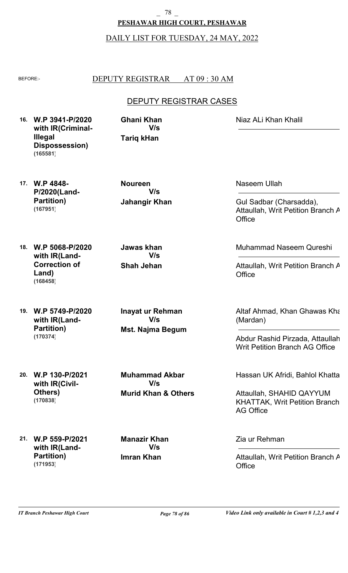**PESHAWAR HIGH COURT, PESHAWAR** \_ 78 \_

DAILY LIST FOR TUESDAY, 24 MAY, 2022

#### BEFORE: DEPUTY REGISTRAR AT 09:30 AM

## DEPUTY REGISTRAR CASES

**16. W.P 3941-P/2020 with IR(Criminal-Illegal Dispossession) (165581)**

**Tariq kHan Ghani Khan V/s**

Niaz ALi Khan Khalil

**17. W.P 4848- P/2020(Land-Partition) (167951)**

**18. W.P 5068-P/2020**

**Land)**

**(168458)**

**with IR(Land-Correction of** **Jahangir Khan Noureen V/s**

**Shah Jehan Jawas khan V/s**

**19. W.P 5749-P/2020 with IR(Land-Partition) (170374)**

**Mst. Najma Begum Inayat ur Rehman V/s**

**20. W.P 130-P/2021 with IR(Civil-Others) (170838)**

**Murid Khan & Others Muhammad Akbar V/s**

**21. W.P 559-P/2021 with IR(Land-Partition) (171953)**

**Imran Khan Manazir Khan V/s**

Naseem Ullah

Gul Sadbar (Charsadda), Attaullah, Writ Petition Branch A **Office** 

Muhammad Naseem Qureshi

Attaullah, Writ Petition Branch A **Office** 

Altaf Ahmad, Khan Ghawas Khan (Mardan)

Abdur Rashid Pirzada, Attaullah, Writ Petition Branch AG Office

Hassan UK Afridi, Bahlol Khattak

Attaullah, SHAHID QAYYUM KHATTAK, Writ Petition Branch AG Office

Zia ur Rehman

Attaullah, Writ Petition Branch A **Office**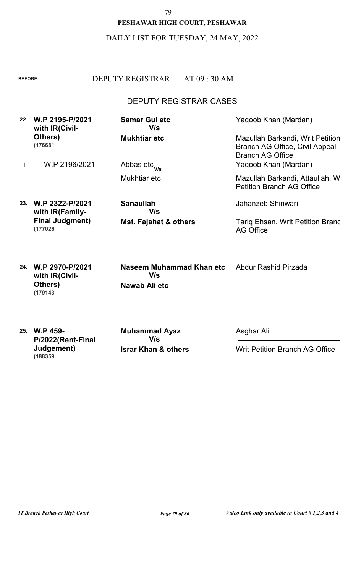# **PESHAWAR HIGH COURT, PESHAWAR** \_ 79 \_

# DAILY LIST FOR TUESDAY, 24 MAY, 2022

#### BEFORE: DEPUTY REGISTRAR AT 09 : 30 AM

## DEPUTY REGISTRAR CASES

| 22. | W.P 2195-P/2021<br>with IR(Civil-                        | <b>Samar Gul etc</b><br>V/s                      | Yaqoob Khan (Mardan)                                                                          |
|-----|----------------------------------------------------------|--------------------------------------------------|-----------------------------------------------------------------------------------------------|
|     | Others)<br>(176681)                                      | <b>Mukhtiar etc</b>                              | Mazullah Barkandi, Writ Petition<br>Branch AG Office, Civil Appeal<br><b>Branch AG Office</b> |
| İ   | W.P 2196/2021                                            | Abbas etc <sub>V/s</sub>                         | Yaqoob Khan (Mardan)                                                                          |
|     |                                                          | Mukhtiar etc                                     | Mazullah Barkandi, Attaullah, W<br><b>Petition Branch AG Office</b>                           |
| 23. | W.P 2322-P/2021<br>with IR(Family-                       | <b>Sanaullah</b><br>V/s                          | Jahanzeb Shinwari                                                                             |
|     | <b>Final Judgment)</b><br>(177026)                       | Mst. Fajahat & others                            | Tarig Ehsan, Writ Petition Branc<br><b>AG Office</b>                                          |
| 24. | W.P 2970-P/2021<br>with IR(Civil-<br>Others)<br>(179143) | Naseem Muhammad Khan etc<br>V/s<br>Nawab Ali etc | Abdur Rashid Pirzada                                                                          |

**25. W.P 459- P/2022(Rent-Final Judgement) (188359)**

**Israr Khan & others**

**V/s**

**Muhammad Ayaz**

Asghar Ali

Writ Petition Branch AG Office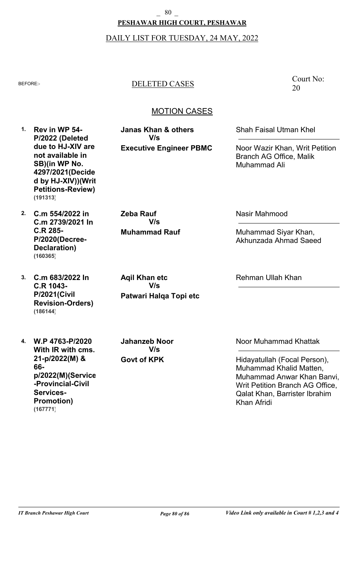## **PESHAWAR HIGH COURT, PESHAWAR** \_ 80 \_

#### DAILY LIST FOR TUESDAY, 24 MAY, 2022

### BEFORE:- DELETED CASES

Court No: 20

### MOTION CASES

**Executive Engineer PBMC Janas Khan & others V/s**

Shah Faisal Utman Khel

Noor Wazir Khan, Writ Petition Branch AG Office, Malik Muhammad Ali

**2. C.m 554/2022 in C.m 2739/2021 In C.R 285- P/2020(Decree-Declaration) (160365)**

**1. Rev in WP 54-**

**(191313)**

**P/2022 (Deleted due to HJ-XIV are not available in SB)(in WP No. 4297/2021(Decide d by HJ-XIV))(Writ Petitions-Review)**

**3. C.m 683/2022 In C.R 1043- P/2021(Civil Revision-Orders) (186144)**

**4. W.P 4763-P/2020 With IR with cms. 21-p/2022(M) & 66 p/2022(M)(Service -Provincial-Civil Services-Promotion) (167771)**

**Muhammad Rauf V/s**

**Zeba Rauf**

**Patwari Halqa Topi etc Aqil Khan etc V/s**

**Govt of KPK Jahanzeb Noor V/s**

Nasir Mahmood

Muhammad Siyar Khan, Akhunzada Ahmad Saeed

Rehman Ullah Khan

Noor Muhammad Khattak

Hidayatullah (Focal Person), Muhammad Khalid Matten, Muhammad Anwar Khan Banvi, Writ Petition Branch AG Office, Qalat Khan, Barrister Ibrahim Khan Afridi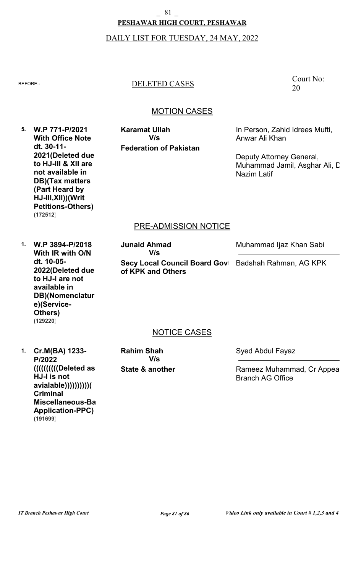# **PESHAWAR HIGH COURT, PESHAWAR** 81

#### DAILY LIST FOR TUESDAY, 24 MAY, 2022

### BEFORE:- DELETED CASES

### MOTION CASES

**5. W.P 771-P/2021 With Office Note dt. 30-11- 2021(Deleted due to HJ-III & XII are not available in DB)(Tax matters (Part Heard by HJ-III,XII))(Writ Petitions-Others) (172512)**

**Federation of Pakistan Karamat Ullah V/s**

In Person, Zahid Idrees Mufti, Anwar Ali Khan

Deputy Attorney General, Muhammad Jamil, Asghar Ali, C. Nazim Latif

### PRE-ADMISSION NOTICE

**1. W.P 3894-P/2018 With IR with O/N dt. 10-05- 2022(Deleted due to HJ-I are not available in DB)(Nomenclatur e)(Service-Others) (129220)**

**Secy Local Council Board Govt of KPK and Others Junaid Ahmad V/s**

Muhammad Ijaz Khan Sabi

Badshah Rahman, AG KPK

### NOTICE CASES

**1. Cr.M(BA) 1233- P/2022 ((((((((((Deleted as HJ-I is not avialable))))))))))( Criminal Miscellaneous-Bail Application-PPC) (191699)**

**State & another Rahim Shah V/s**

Syed Abdul Fayaz

Rameez Muhammad, Cr Appeal Branch AG Office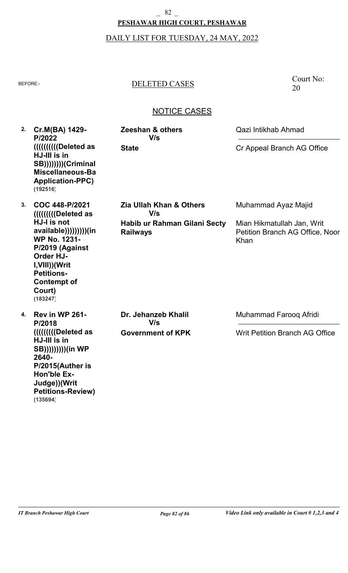# **PESHAWAR HIGH COURT, PESHAWAR**  $-$  82  $-$

# DAILY LIST FOR TUESDAY, 24 MAY, 2022

# BEFORE:- DELETED CASES

Court No: 20

| 2. | Cr.M(BA) 1429-<br>P/2022<br>(((((((((((((Deleted as<br>HJ-III is in<br>SB))))))))(Criminal<br>Miscellaneous-Ba                                                                          | Zeeshan & others<br>V/s<br><b>State</b>         | Qazi Intikhab Ahmad<br>Cr Appeal Branch AG Office                     |
|----|-----------------------------------------------------------------------------------------------------------------------------------------------------------------------------------------|-------------------------------------------------|-----------------------------------------------------------------------|
|    | <b>Application-PPC)</b><br>(192516)                                                                                                                                                     |                                                 |                                                                       |
| 3. | COC 448-P/2021                                                                                                                                                                          | <b>Zia Ullah Khan &amp; Others</b><br>V/s       | Muhammad Ayaz Majid                                                   |
|    | HJ-I is not<br>available))))))))))(in<br><b>WP No. 1231-</b><br>P/2019 (Against<br><b>Order HJ-</b><br>I, VIII)) (Writ<br><b>Petitions-</b><br><b>Contempt of</b><br>Court)<br>(183247) | Habib ur Rahman Gilani Secty<br><b>Railways</b> | Mian Hikmatullah Jan, Writ<br>Petition Branch AG Office, Noor<br>Khan |
| 4. | Rev in WP 261-<br>P/2018                                                                                                                                                                | Dr. Jehanzeb Khalil<br>V/s                      | Muhammad Farooq Afridi                                                |
|    | ((((((((((((Deleted as<br>HJ-III is in<br>SB))))))))))(in WP<br>2640-<br>P/2015(Auther is<br><b>Hon'ble Ex-</b><br>Judge))(Writ<br><b>Petitions-Review)</b><br>(135694)                 | <b>Government of KPK</b>                        | <b>Writ Petition Branch AG Office</b>                                 |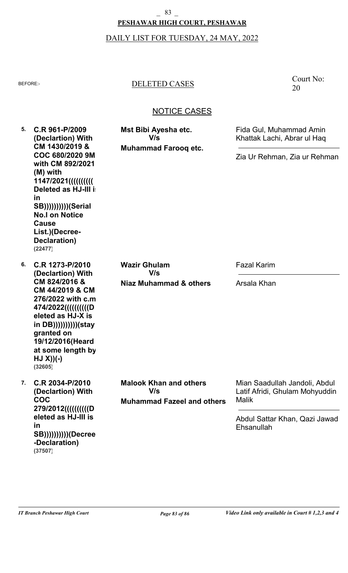# **PESHAWAR HIGH COURT, PESHAWAR**  $-$  83  $-$

# DAILY LIST FOR TUESDAY, 24 MAY, 2022

# BEFORE:- DELETED CASES

| 5.<br>in | C.R 961-P/2009<br>(Declartion) With<br>CM 1430/2019 &                                                                                                                                                                                                 | Mst Bibi Ayesha etc.<br>V/s<br><b>Muhammad Farooq etc.</b>                | Fida Gul, Muhammad Amin<br>Khattak Lachi, Abrar ul Haq                                                                         |
|----------|-------------------------------------------------------------------------------------------------------------------------------------------------------------------------------------------------------------------------------------------------------|---------------------------------------------------------------------------|--------------------------------------------------------------------------------------------------------------------------------|
|          | COC 680/2020 9M<br>with CM 892/2021<br>(M) with<br>1147/2021((((((((((((<br><b>Deleted as HJ-III is</b><br><b>SB</b> ((()()()())()(Serial<br><b>No.I on Notice</b><br><b>Cause</b><br>List.)(Decree-<br>Declaration)<br>(22477)                       |                                                                           | Zia Ur Rehman, Zia ur Rehman                                                                                                   |
| 6.       | C.R 1273-P/2010<br>(Declartion) With<br>CM 824/2016 &<br>CM 44/2019 & CM<br>276/2022 with c.m.<br>474/2022(((((((((((O<br>eleted as HJ-X is<br>in DB))))))))))))(stay<br>granted on<br>19/12/2016(Heard<br>at some length by<br>$HJ(X)(-)$<br>(32605) | <b>Wazir Ghulam</b><br>V/s                                                | <b>Fazal Karim</b>                                                                                                             |
|          |                                                                                                                                                                                                                                                       | Niaz Muhammad & others                                                    | Arsala Khan                                                                                                                    |
| 7.       | C.R 2034-P/2010<br>(Declartion) With<br><b>COC</b><br>279/2012((((((((((())D<br>eleted as HJ-III is<br>in<br><b>SB))))))))))(Decree</b><br>-Declaration)<br>(37507)                                                                                   | <b>Malook Khan and others</b><br>V/s<br><b>Muhammad Fazeel and others</b> | Mian Saadullah Jandoli, Abdul<br>Latif Afridi, Ghulam Mohyuddin<br><b>Malik</b><br>Abdul Sattar Khan, Qazi Jawad<br>Ehsanullah |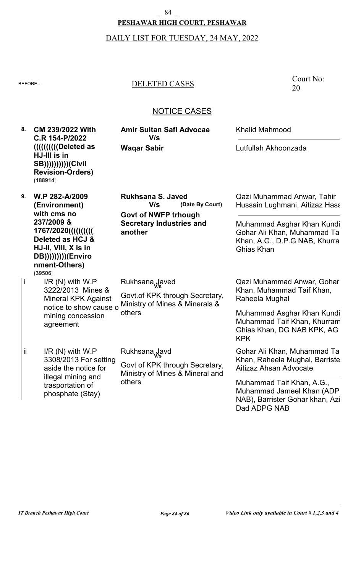### **PESHAWAR HIGH COURT, PESHAWAR**  $-84$

# DAILY LIST FOR TUESDAY, 24 MAY, 2022

# BEFORE:- DELETED CASES

Court No: 20

| 8. | <b>CM 239/2022 With</b><br>C.R 154-P/2022<br>        ( Deleted as<br>HJ-III is in<br><b>SB)))))))))))(Civil</b><br><b>Revision-Orders)</b><br>(188914)                            | <b>Amir Sultan Safi Advocae</b><br>V/s<br><b>Waqar Sabir</b>                                                                    | <b>Khalid Mahmood</b><br>Lutfullah Akhoonzada                                                                                                                                                                      |
|----|-----------------------------------------------------------------------------------------------------------------------------------------------------------------------------------|---------------------------------------------------------------------------------------------------------------------------------|--------------------------------------------------------------------------------------------------------------------------------------------------------------------------------------------------------------------|
| 9. | W.P 282-A/2009<br>(Environment)<br>with cms no<br>237/2009 &<br>1767/2020((((((((()<br>Deleted as HCJ &<br>HJ-II, VIII, X is in<br>DB)))))))))(Enviro<br>nment-Others)<br>(39506) | <b>Rukhsana S. Javed</b><br>V/s<br>(Date By Court)<br><b>Govt of NWFP trhough</b><br><b>Secretary Industries and</b><br>another | Qazi Muhammad Anwar, Tahir<br>Hussain Lughmani, Aitizaz Hass<br>Muhammad Asghar Khan Kundi<br>Gohar Ali Khan, Muhammad Ta<br>Khan, A.G., D.P.G NAB, Khurra<br>Ghias Khan                                           |
| İ  | $I/R(N)$ with $W.P$<br>3222/2013 Mines &<br><b>Mineral KPK Against</b><br>notice to show cause o<br>mining concession<br>agreement                                                | Rukhsana Javed<br>Govt. of KPK through Secretary,<br>Ministry of Mines & Minerals &<br>others                                   | Qazi Muhammad Anwar, Gohar<br>Khan, Muhammad Taif Khan,<br>Raheela Mughal<br>Muhammad Asghar Khan Kundi<br>Muhammad Taif Khan, Khurram<br>Ghias Khan, DG NAB KPK, AG                                               |
| ii | $I/R(N)$ with $W.P$<br>3308/2013 For setting<br>aside the notice for<br>illegal mining and<br>trasportation of<br>phosphate (Stay)                                                | Rukhsana Javd<br>Govt of KPK through Secretary,<br>Ministry of Mines & Mineral and<br>others                                    | <b>KPK</b><br>Gohar Ali Khan, Muhammad Ta<br>Khan, Raheela Mughal, Barriste<br>Aitizaz Ahsan Advocate<br>Muhammad Taif Khan, A.G.,<br>Muhammad Jameel Khan (ADP<br>NAB), Barrister Gohar khan, Azi<br>Dad ADPG NAB |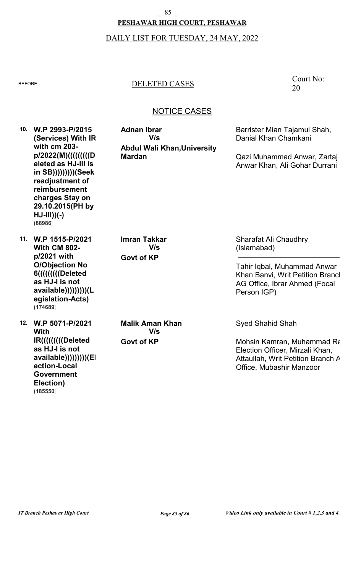# **PESHAWAR HIGH COURT, PESHAWAR**  $-85$

# DAILY LIST FOR TUESDAY, 24 MAY, 2022

# BEFORE:- DELETED CASES

# NOTICE CASES

|     | 10. W.P 2993-P/2015<br>(Services) With IR<br>with cm 203-<br>p/2022(M)(((((((((I)D)<br>eleted as HJ-III is<br>in SB))))))))))(Seek<br>readjustment of<br>reimbursement<br>charges Stay on<br>29.10.2015(PH by<br>$HJ-III$ ) $(-)$<br>(88986) | <b>Adnan Ibrar</b><br>V/s<br><b>Abdul Wali Khan, University</b><br><b>Mardan</b> | Barrister Mian Tajamul Shah,<br>Danial Khan Chamkani<br>Qazi Muhammad Anwar, Zartaj<br>Anwar Khan, Ali Gohar Durrani                                           |
|-----|----------------------------------------------------------------------------------------------------------------------------------------------------------------------------------------------------------------------------------------------|----------------------------------------------------------------------------------|----------------------------------------------------------------------------------------------------------------------------------------------------------------|
| 11. | W.P 1515-P/2021<br><b>With CM 802-</b><br>p/2021 with<br><b>O/Objection No</b><br>6((((((((((Deleted<br>as HJ-I is not<br>available))))))))))(L<br>egislation-Acts)<br>(174689)                                                              | <b>Imran Takkar</b><br>V/s<br><b>Govt of KP</b>                                  | <b>Sharafat Ali Chaudhry</b><br>(Islamabad)<br>Tahir Iqbal, Muhammad Anwar<br>Khan Banvi, Writ Petition Brancl<br>AG Office, Ibrar Ahmed (Focal<br>Person IGP) |
| 12. | W.P 5071-P/2021<br><b>With</b><br>IR((((((((((Deleted)<br>as HJ-I is not<br>available))))))))))(El<br>ection-Local<br>Government                                                                                                             | <b>Malik Aman Khan</b><br>V/s<br><b>Govt of KP</b>                               | <b>Syed Shahid Shah</b><br>Mohsin Kamran, Muhammad Ra<br>Election Officer, Mirzali Khan,<br>Attaullah, Writ Petition Branch A<br>Office, Mubashir Manzoor      |

**Election)**

**(185550)**